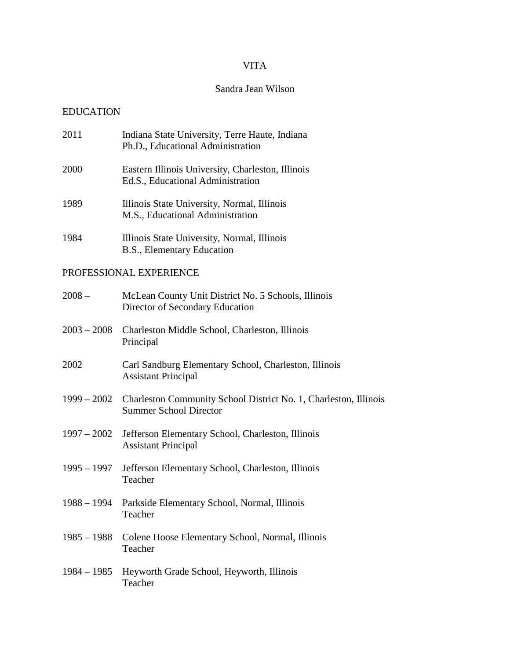## VITA

## Sandra Jean Wilson

## EDUCATION

| 2011                    | Indiana State University, Terre Haute, Indiana<br>Ph.D., Educational Administration               |  |  |  |  |
|-------------------------|---------------------------------------------------------------------------------------------------|--|--|--|--|
| 2000                    | Eastern Illinois University, Charleston, Illinois<br>Ed.S., Educational Administration            |  |  |  |  |
| 1989                    | Illinois State University, Normal, Illinois<br>M.S., Educational Administration                   |  |  |  |  |
| 1984                    | Illinois State University, Normal, Illinois<br>B.S., Elementary Education                         |  |  |  |  |
| PROFESSIONAL EXPERIENCE |                                                                                                   |  |  |  |  |
| $2008 -$                | McLean County Unit District No. 5 Schools, Illinois<br>Director of Secondary Education            |  |  |  |  |
| $2003 - 2008$           | Charleston Middle School, Charleston, Illinois<br>Principal                                       |  |  |  |  |
| 2002                    | Carl Sandburg Elementary School, Charleston, Illinois<br><b>Assistant Principal</b>               |  |  |  |  |
| $1999 - 2002$           | Charleston Community School District No. 1, Charleston, Illinois<br><b>Summer School Director</b> |  |  |  |  |
| $1997 - 2002$           | Jefferson Elementary School, Charleston, Illinois<br><b>Assistant Principal</b>                   |  |  |  |  |
| $1995 - 1997$           | Jefferson Elementary School, Charleston, Illinois<br>Teacher                                      |  |  |  |  |
| 1988 – 1994             | Parkside Elementary School, Normal, Illinois<br>Teacher                                           |  |  |  |  |
| $1985 - 1988$           | Colene Hoose Elementary School, Normal, Illinois<br>Teacher                                       |  |  |  |  |
| $1984 - 1985$           | Heyworth Grade School, Heyworth, Illinois<br>Teacher                                              |  |  |  |  |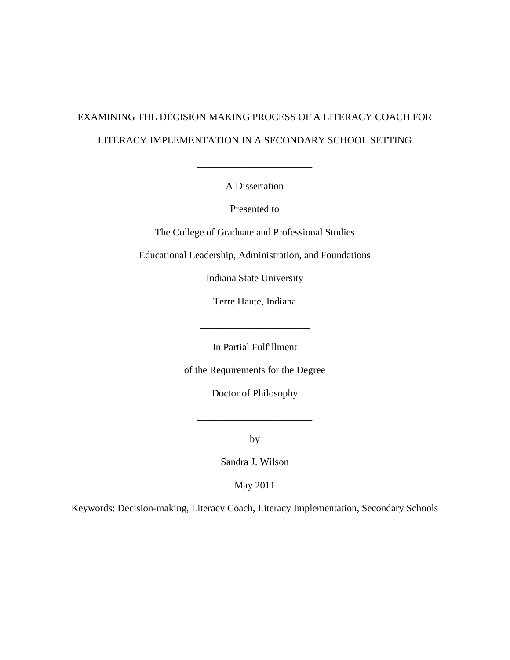# EXAMINING THE DECISION MAKING PROCESS OF A LITERACY COACH FOR LITERACY IMPLEMENTATION IN A SECONDARY SCHOOL SETTING

A Dissertation

\_\_\_\_\_\_\_\_\_\_\_\_\_\_\_\_\_\_\_\_\_\_\_

Presented to

The College of Graduate and Professional Studies

Educational Leadership, Administration, and Foundations

Indiana State University

Terre Haute, Indiana

In Partial Fulfillment

of the Requirements for the Degree

Doctor of Philosophy

 $\frac{1}{\sqrt{2}}$  ,  $\frac{1}{\sqrt{2}}$  ,  $\frac{1}{\sqrt{2}}$  ,  $\frac{1}{\sqrt{2}}$  ,  $\frac{1}{\sqrt{2}}$ 

by

Sandra J. Wilson

May 2011

Keywords: Decision-making, Literacy Coach, Literacy Implementation, Secondary Schools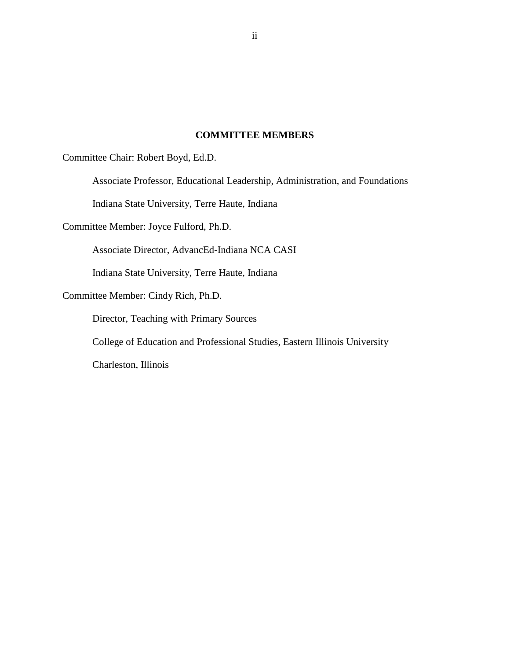## **COMMITTEE MEMBERS**

Committee Chair: Robert Boyd, Ed.D.

Associate Professor, Educational Leadership, Administration, and Foundations

Indiana State University, Terre Haute, Indiana

Committee Member: Joyce Fulford, Ph.D.

Associate Director, AdvancEd-Indiana NCA CASI

Indiana State University, Terre Haute, Indiana

Committee Member: Cindy Rich, Ph.D.

Director, Teaching with Primary Sources

College of Education and Professional Studies, Eastern Illinois University

Charleston, Illinois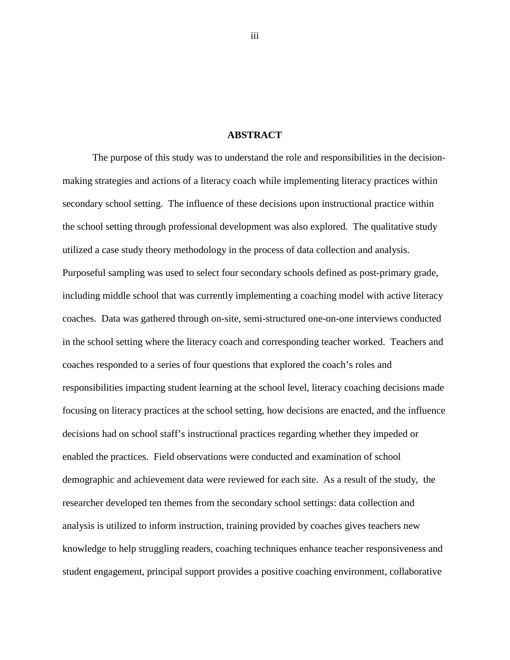#### **ABSTRACT**

The purpose of this study was to understand the role and responsibilities in the decisionmaking strategies and actions of a literacy coach while implementing literacy practices within secondary school setting. The influence of these decisions upon instructional practice within the school setting through professional development was also explored. The qualitative study utilized a case study theory methodology in the process of data collection and analysis. Purposeful sampling was used to select four secondary schools defined as post-primary grade, including middle school that was currently implementing a coaching model with active literacy coaches. Data was gathered through on-site, semi-structured one-on-one interviews conducted in the school setting where the literacy coach and corresponding teacher worked. Teachers and coaches responded to a series of four questions that explored the coach's roles and responsibilities impacting student learning at the school level, literacy coaching decisions made focusing on literacy practices at the school setting, how decisions are enacted, and the influence decisions had on school staff's instructional practices regarding whether they impeded or enabled the practices. Field observations were conducted and examination of school demographic and achievement data were reviewed for each site. As a result of the study, the researcher developed ten themes from the secondary school settings: data collection and analysis is utilized to inform instruction, training provided by coaches gives teachers new knowledge to help struggling readers, coaching techniques enhance teacher responsiveness and student engagement, principal support provides a positive coaching environment, collaborative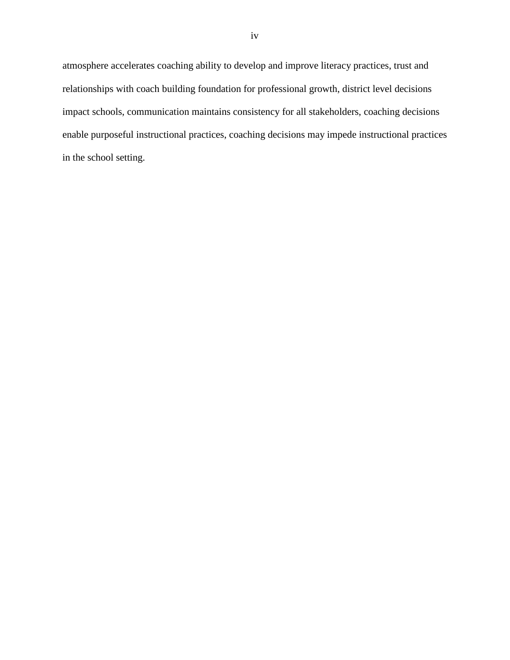atmosphere accelerates coaching ability to develop and improve literacy practices, trust and relationships with coach building foundation for professional growth, district level decisions impact schools, communication maintains consistency for all stakeholders, coaching decisions enable purposeful instructional practices, coaching decisions may impede instructional practices in the school setting.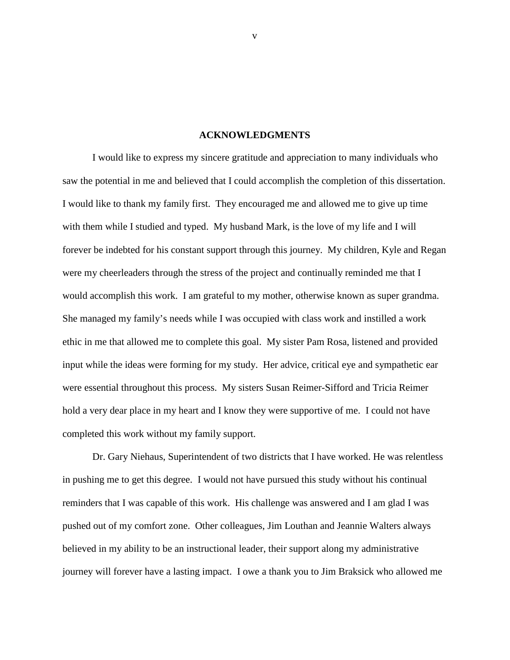#### **ACKNOWLEDGMENTS**

I would like to express my sincere gratitude and appreciation to many individuals who saw the potential in me and believed that I could accomplish the completion of this dissertation. I would like to thank my family first. They encouraged me and allowed me to give up time with them while I studied and typed. My husband Mark, is the love of my life and I will forever be indebted for his constant support through this journey. My children, Kyle and Regan were my cheerleaders through the stress of the project and continually reminded me that I would accomplish this work. I am grateful to my mother, otherwise known as super grandma. She managed my family's needs while I was occupied with class work and instilled a work ethic in me that allowed me to complete this goal. My sister Pam Rosa, listened and provided input while the ideas were forming for my study. Her advice, critical eye and sympathetic ear were essential throughout this process. My sisters Susan Reimer-Sifford and Tricia Reimer hold a very dear place in my heart and I know they were supportive of me. I could not have completed this work without my family support.

Dr. Gary Niehaus, Superintendent of two districts that I have worked. He was relentless in pushing me to get this degree. I would not have pursued this study without his continual reminders that I was capable of this work. His challenge was answered and I am glad I was pushed out of my comfort zone. Other colleagues, Jim Louthan and Jeannie Walters always believed in my ability to be an instructional leader, their support along my administrative journey will forever have a lasting impact. I owe a thank you to Jim Braksick who allowed me

v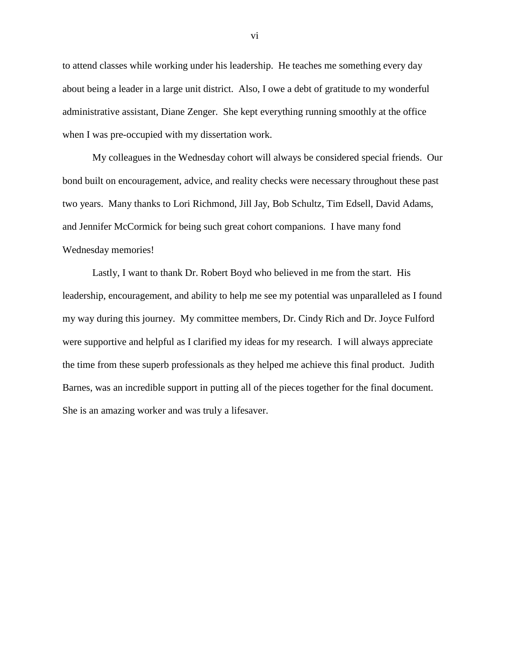to attend classes while working under his leadership. He teaches me something every day about being a leader in a large unit district. Also, I owe a debt of gratitude to my wonderful administrative assistant, Diane Zenger. She kept everything running smoothly at the office when I was pre-occupied with my dissertation work.

My colleagues in the Wednesday cohort will always be considered special friends. Our bond built on encouragement, advice, and reality checks were necessary throughout these past two years. Many thanks to Lori Richmond, Jill Jay, Bob Schultz, Tim Edsell, David Adams, and Jennifer McCormick for being such great cohort companions. I have many fond Wednesday memories!

Lastly, I want to thank Dr. Robert Boyd who believed in me from the start. His leadership, encouragement, and ability to help me see my potential was unparalleled as I found my way during this journey. My committee members, Dr. Cindy Rich and Dr. Joyce Fulford were supportive and helpful as I clarified my ideas for my research. I will always appreciate the time from these superb professionals as they helped me achieve this final product. Judith Barnes, was an incredible support in putting all of the pieces together for the final document. She is an amazing worker and was truly a lifesaver.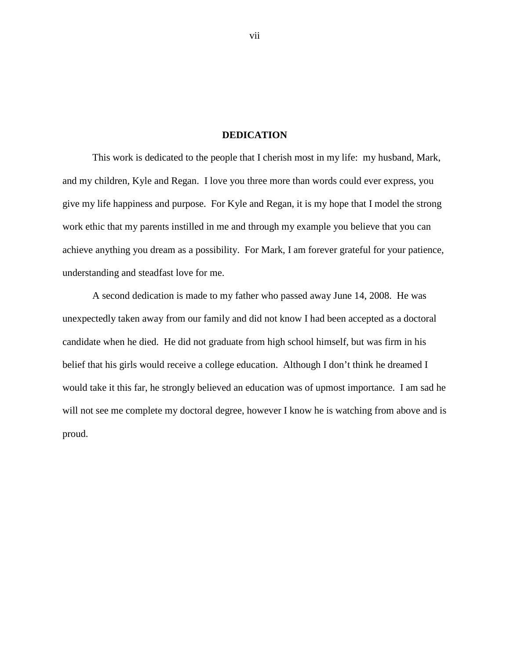#### **DEDICATION**

This work is dedicated to the people that I cherish most in my life: my husband, Mark, and my children, Kyle and Regan. I love you three more than words could ever express, you give my life happiness and purpose. For Kyle and Regan, it is my hope that I model the strong work ethic that my parents instilled in me and through my example you believe that you can achieve anything you dream as a possibility. For Mark, I am forever grateful for your patience, understanding and steadfast love for me.

A second dedication is made to my father who passed away June 14, 2008. He was unexpectedly taken away from our family and did not know I had been accepted as a doctoral candidate when he died. He did not graduate from high school himself, but was firm in his belief that his girls would receive a college education. Although I don't think he dreamed I would take it this far, he strongly believed an education was of upmost importance. I am sad he will not see me complete my doctoral degree, however I know he is watching from above and is proud.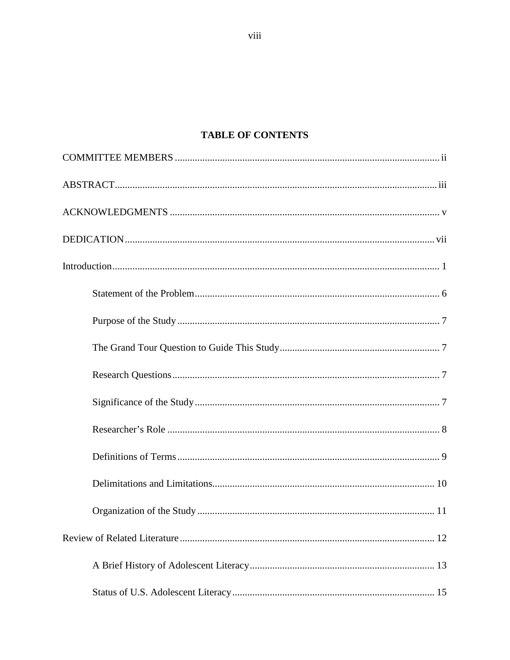# **TABLE OF CONTENTS**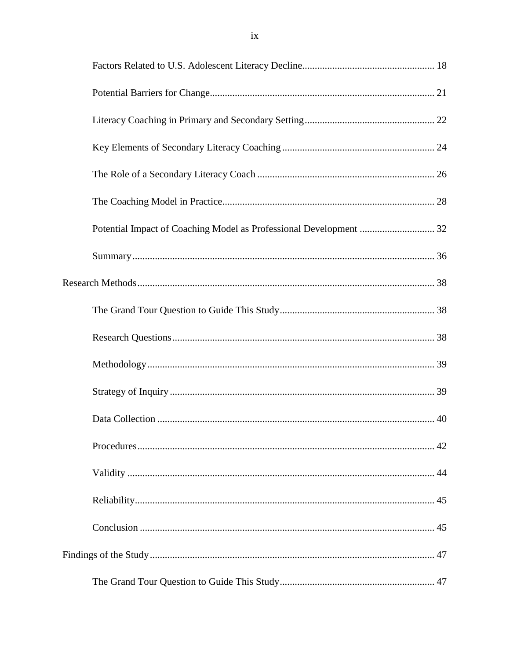| Potential Impact of Coaching Model as Professional Development  32 |  |
|--------------------------------------------------------------------|--|
|                                                                    |  |
|                                                                    |  |
|                                                                    |  |
|                                                                    |  |
|                                                                    |  |
|                                                                    |  |
|                                                                    |  |
|                                                                    |  |
|                                                                    |  |
|                                                                    |  |
|                                                                    |  |
|                                                                    |  |
|                                                                    |  |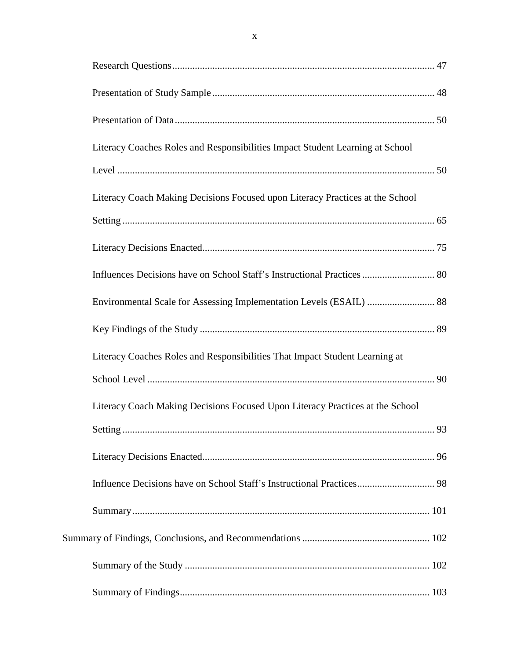| Literacy Coaches Roles and Responsibilities Impact Student Learning at School |  |
|-------------------------------------------------------------------------------|--|
|                                                                               |  |
| Literacy Coach Making Decisions Focused upon Literacy Practices at the School |  |
|                                                                               |  |
|                                                                               |  |
| Influences Decisions have on School Staff's Instructional Practices  80       |  |
|                                                                               |  |
|                                                                               |  |
| Literacy Coaches Roles and Responsibilities That Impact Student Learning at   |  |
|                                                                               |  |
| Literacy Coach Making Decisions Focused Upon Literacy Practices at the School |  |
|                                                                               |  |
|                                                                               |  |
| Influence Decisions have on School Staff's Instructional Practices 98         |  |
|                                                                               |  |
|                                                                               |  |
|                                                                               |  |
|                                                                               |  |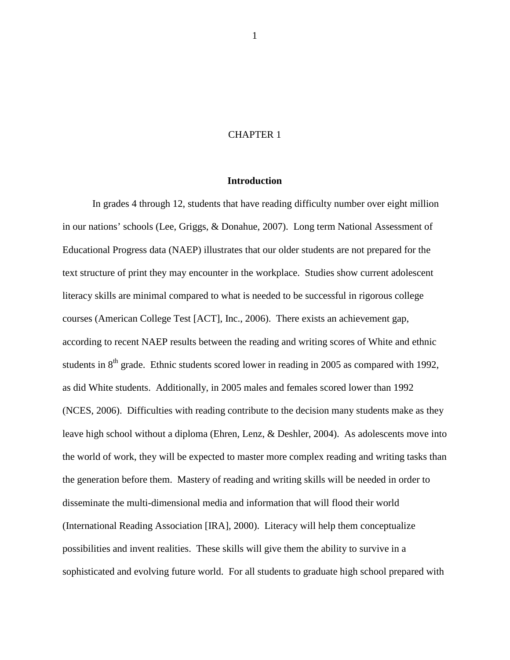#### CHAPTER 1

### **Introduction**

In grades 4 through 12, students that have reading difficulty number over eight million in our nations' schools (Lee, Griggs, & Donahue, 2007). Long term National Assessment of Educational Progress data (NAEP) illustrates that our older students are not prepared for the text structure of print they may encounter in the workplace. Studies show current adolescent literacy skills are minimal compared to what is needed to be successful in rigorous college courses (American College Test [ACT], Inc., 2006). There exists an achievement gap, according to recent NAEP results between the reading and writing scores of White and ethnic students in  $8<sup>th</sup>$  grade. Ethnic students scored lower in reading in 2005 as compared with 1992, as did White students. Additionally, in 2005 males and females scored lower than 1992 (NCES, 2006). Difficulties with reading contribute to the decision many students make as they leave high school without a diploma (Ehren, Lenz, & Deshler, 2004). As adolescents move into the world of work, they will be expected to master more complex reading and writing tasks than the generation before them. Mastery of reading and writing skills will be needed in order to disseminate the multi-dimensional media and information that will flood their world (International Reading Association [IRA], 2000). Literacy will help them conceptualize possibilities and invent realities. These skills will give them the ability to survive in a sophisticated and evolving future world. For all students to graduate high school prepared with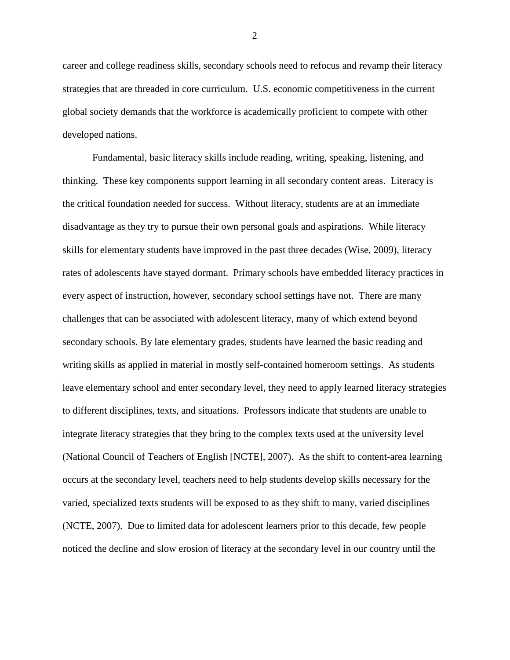career and college readiness skills, secondary schools need to refocus and revamp their literacy strategies that are threaded in core curriculum. U.S. economic competitiveness in the current global society demands that the workforce is academically proficient to compete with other developed nations.

Fundamental, basic literacy skills include reading, writing, speaking, listening, and thinking. These key components support learning in all secondary content areas. Literacy is the critical foundation needed for success. Without literacy, students are at an immediate disadvantage as they try to pursue their own personal goals and aspirations. While literacy skills for elementary students have improved in the past three decades (Wise, 2009), literacy rates of adolescents have stayed dormant. Primary schools have embedded literacy practices in every aspect of instruction, however, secondary school settings have not. There are many challenges that can be associated with adolescent literacy, many of which extend beyond secondary schools. By late elementary grades, students have learned the basic reading and writing skills as applied in material in mostly self-contained homeroom settings. As students leave elementary school and enter secondary level, they need to apply learned literacy strategies to different disciplines, texts, and situations. Professors indicate that students are unable to integrate literacy strategies that they bring to the complex texts used at the university level (National Council of Teachers of English [NCTE], 2007). As the shift to content-area learning occurs at the secondary level, teachers need to help students develop skills necessary for the varied, specialized texts students will be exposed to as they shift to many, varied disciplines (NCTE, 2007). Due to limited data for adolescent learners prior to this decade, few people noticed the decline and slow erosion of literacy at the secondary level in our country until the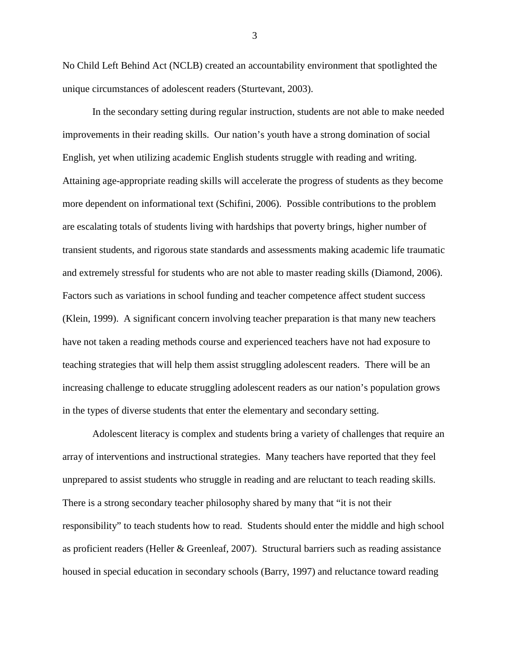No Child Left Behind Act (NCLB) created an accountability environment that spotlighted the unique circumstances of adolescent readers (Sturtevant, 2003).

In the secondary setting during regular instruction, students are not able to make needed improvements in their reading skills. Our nation's youth have a strong domination of social English, yet when utilizing academic English students struggle with reading and writing. Attaining age-appropriate reading skills will accelerate the progress of students as they become more dependent on informational text (Schifini, 2006). Possible contributions to the problem are escalating totals of students living with hardships that poverty brings, higher number of transient students, and rigorous state standards and assessments making academic life traumatic and extremely stressful for students who are not able to master reading skills (Diamond, 2006). Factors such as variations in school funding and teacher competence affect student success (Klein, 1999). A significant concern involving teacher preparation is that many new teachers have not taken a reading methods course and experienced teachers have not had exposure to teaching strategies that will help them assist struggling adolescent readers. There will be an increasing challenge to educate struggling adolescent readers as our nation's population grows in the types of diverse students that enter the elementary and secondary setting.

Adolescent literacy is complex and students bring a variety of challenges that require an array of interventions and instructional strategies. Many teachers have reported that they feel unprepared to assist students who struggle in reading and are reluctant to teach reading skills. There is a strong secondary teacher philosophy shared by many that "it is not their responsibility" to teach students how to read. Students should enter the middle and high school as proficient readers (Heller & Greenleaf, 2007). Structural barriers such as reading assistance housed in special education in secondary schools (Barry, 1997) and reluctance toward reading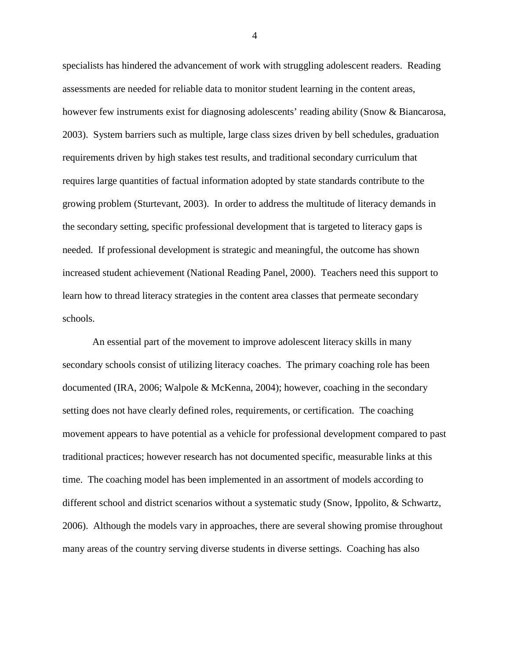specialists has hindered the advancement of work with struggling adolescent readers. Reading assessments are needed for reliable data to monitor student learning in the content areas, however few instruments exist for diagnosing adolescents' reading ability (Snow & Biancarosa, 2003). System barriers such as multiple, large class sizes driven by bell schedules, graduation requirements driven by high stakes test results, and traditional secondary curriculum that requires large quantities of factual information adopted by state standards contribute to the growing problem (Sturtevant, 2003). In order to address the multitude of literacy demands in the secondary setting, specific professional development that is targeted to literacy gaps is needed. If professional development is strategic and meaningful, the outcome has shown increased student achievement (National Reading Panel, 2000). Teachers need this support to learn how to thread literacy strategies in the content area classes that permeate secondary schools.

An essential part of the movement to improve adolescent literacy skills in many secondary schools consist of utilizing literacy coaches. The primary coaching role has been documented (IRA, 2006; Walpole & McKenna, 2004); however, coaching in the secondary setting does not have clearly defined roles, requirements, or certification. The coaching movement appears to have potential as a vehicle for professional development compared to past traditional practices; however research has not documented specific, measurable links at this time. The coaching model has been implemented in an assortment of models according to different school and district scenarios without a systematic study (Snow, Ippolito, & Schwartz, 2006). Although the models vary in approaches, there are several showing promise throughout many areas of the country serving diverse students in diverse settings. Coaching has also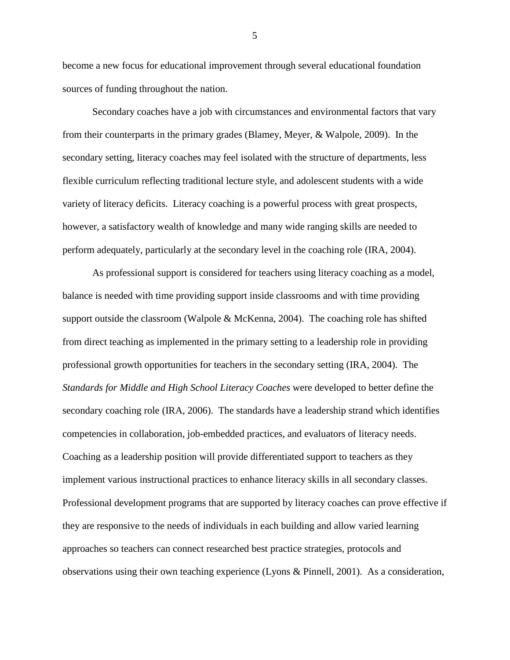become a new focus for educational improvement through several educational foundation sources of funding throughout the nation.

Secondary coaches have a job with circumstances and environmental factors that vary from their counterparts in the primary grades (Blamey, Meyer, & Walpole, 2009). In the secondary setting, literacy coaches may feel isolated with the structure of departments, less flexible curriculum reflecting traditional lecture style, and adolescent students with a wide variety of literacy deficits. Literacy coaching is a powerful process with great prospects, however, a satisfactory wealth of knowledge and many wide ranging skills are needed to perform adequately, particularly at the secondary level in the coaching role (IRA, 2004).

As professional support is considered for teachers using literacy coaching as a model, balance is needed with time providing support inside classrooms and with time providing support outside the classroom (Walpole & McKenna, 2004). The coaching role has shifted from direct teaching as implemented in the primary setting to a leadership role in providing professional growth opportunities for teachers in the secondary setting (IRA, 2004). The *Standards for Middle and High School Literacy Coaches* were developed to better define the secondary coaching role (IRA, 2006). The standards have a leadership strand which identifies competencies in collaboration, job-embedded practices, and evaluators of literacy needs. Coaching as a leadership position will provide differentiated support to teachers as they implement various instructional practices to enhance literacy skills in all secondary classes. Professional development programs that are supported by literacy coaches can prove effective if they are responsive to the needs of individuals in each building and allow varied learning approaches so teachers can connect researched best practice strategies, protocols and observations using their own teaching experience (Lyons & Pinnell, 2001). As a consideration,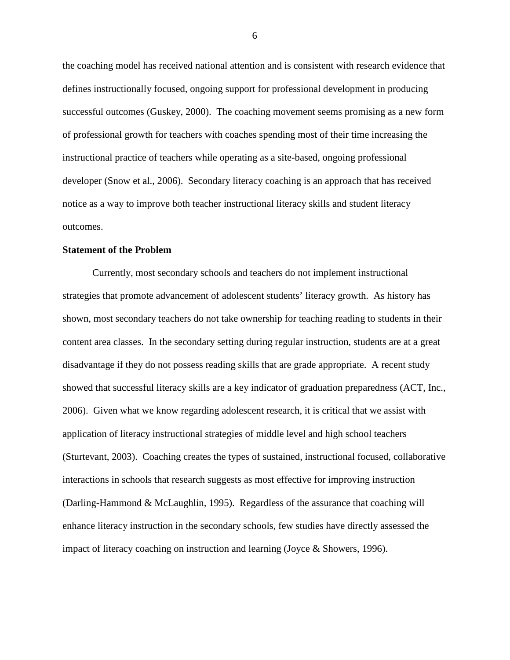the coaching model has received national attention and is consistent with research evidence that defines instructionally focused, ongoing support for professional development in producing successful outcomes (Guskey, 2000). The coaching movement seems promising as a new form of professional growth for teachers with coaches spending most of their time increasing the instructional practice of teachers while operating as a site-based, ongoing professional developer (Snow et al., 2006). Secondary literacy coaching is an approach that has received notice as a way to improve both teacher instructional literacy skills and student literacy outcomes.

#### **Statement of the Problem**

Currently, most secondary schools and teachers do not implement instructional strategies that promote advancement of adolescent students' literacy growth. As history has shown, most secondary teachers do not take ownership for teaching reading to students in their content area classes. In the secondary setting during regular instruction, students are at a great disadvantage if they do not possess reading skills that are grade appropriate. A recent study showed that successful literacy skills are a key indicator of graduation preparedness (ACT, Inc., 2006). Given what we know regarding adolescent research, it is critical that we assist with application of literacy instructional strategies of middle level and high school teachers (Sturtevant, 2003). Coaching creates the types of sustained, instructional focused, collaborative interactions in schools that research suggests as most effective for improving instruction (Darling-Hammond & McLaughlin, 1995). Regardless of the assurance that coaching will enhance literacy instruction in the secondary schools, few studies have directly assessed the impact of literacy coaching on instruction and learning (Joyce & Showers, 1996).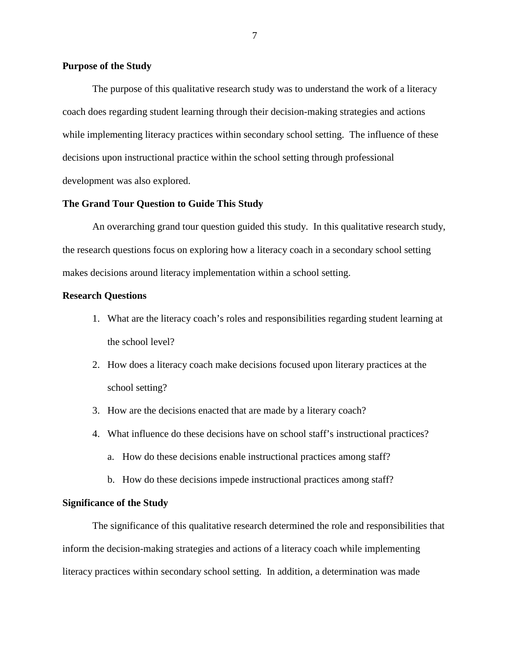#### **Purpose of the Study**

The purpose of this qualitative research study was to understand the work of a literacy coach does regarding student learning through their decision-making strategies and actions while implementing literacy practices within secondary school setting. The influence of these decisions upon instructional practice within the school setting through professional development was also explored.

#### **The Grand Tour Question to Guide This Study**

An overarching grand tour question guided this study. In this qualitative research study, the research questions focus on exploring how a literacy coach in a secondary school setting makes decisions around literacy implementation within a school setting.

#### **Research Questions**

- 1. What are the literacy coach's roles and responsibilities regarding student learning at the school level?
- 2. How does a literacy coach make decisions focused upon literary practices at the school setting?
- 3. How are the decisions enacted that are made by a literary coach?
- 4. What influence do these decisions have on school staff's instructional practices?
	- a. How do these decisions enable instructional practices among staff?
	- b. How do these decisions impede instructional practices among staff?

#### **Significance of the Study**

The significance of this qualitative research determined the role and responsibilities that inform the decision-making strategies and actions of a literacy coach while implementing literacy practices within secondary school setting. In addition, a determination was made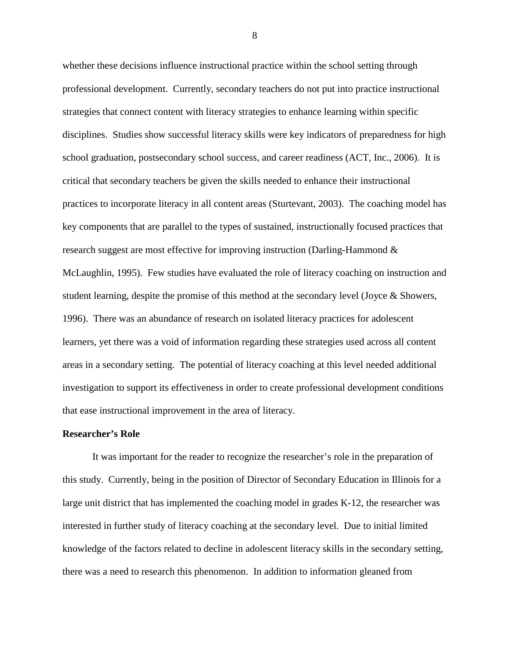whether these decisions influence instructional practice within the school setting through professional development. Currently, secondary teachers do not put into practice instructional strategies that connect content with literacy strategies to enhance learning within specific disciplines. Studies show successful literacy skills were key indicators of preparedness for high school graduation, postsecondary school success, and career readiness (ACT, Inc., 2006). It is critical that secondary teachers be given the skills needed to enhance their instructional practices to incorporate literacy in all content areas (Sturtevant, 2003). The coaching model has key components that are parallel to the types of sustained, instructionally focused practices that research suggest are most effective for improving instruction (Darling-Hammond & McLaughlin, 1995). Few studies have evaluated the role of literacy coaching on instruction and student learning, despite the promise of this method at the secondary level (Joyce  $\&$  Showers, 1996). There was an abundance of research on isolated literacy practices for adolescent learners, yet there was a void of information regarding these strategies used across all content areas in a secondary setting. The potential of literacy coaching at this level needed additional investigation to support its effectiveness in order to create professional development conditions that ease instructional improvement in the area of literacy.

#### **Researcher's Role**

It was important for the reader to recognize the researcher's role in the preparation of this study. Currently, being in the position of Director of Secondary Education in Illinois for a large unit district that has implemented the coaching model in grades K-12, the researcher was interested in further study of literacy coaching at the secondary level. Due to initial limited knowledge of the factors related to decline in adolescent literacy skills in the secondary setting, there was a need to research this phenomenon. In addition to information gleaned from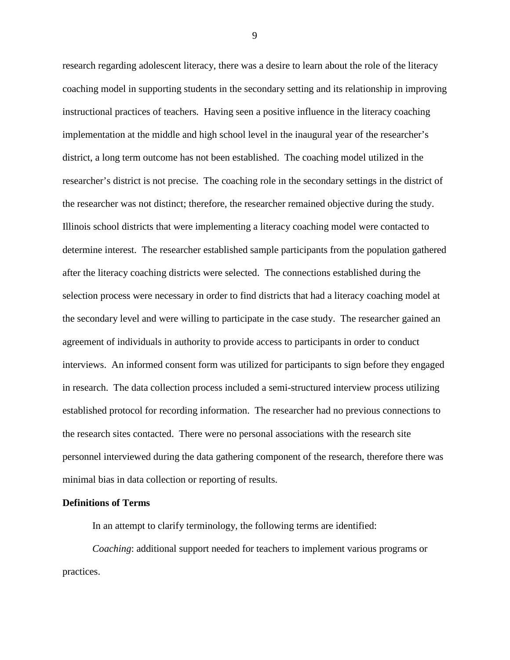research regarding adolescent literacy, there was a desire to learn about the role of the literacy coaching model in supporting students in the secondary setting and its relationship in improving instructional practices of teachers*.* Having seen a positive influence in the literacy coaching implementation at the middle and high school level in the inaugural year of the researcher's district, a long term outcome has not been established. The coaching model utilized in the researcher's district is not precise. The coaching role in the secondary settings in the district of the researcher was not distinct; therefore, the researcher remained objective during the study. Illinois school districts that were implementing a literacy coaching model were contacted to determine interest. The researcher established sample participants from the population gathered after the literacy coaching districts were selected. The connections established during the selection process were necessary in order to find districts that had a literacy coaching model at the secondary level and were willing to participate in the case study. The researcher gained an agreement of individuals in authority to provide access to participants in order to conduct interviews. An informed consent form was utilized for participants to sign before they engaged in research. The data collection process included a semi-structured interview process utilizing established protocol for recording information. The researcher had no previous connections to the research sites contacted. There were no personal associations with the research site personnel interviewed during the data gathering component of the research, therefore there was minimal bias in data collection or reporting of results.

#### **Definitions of Terms**

In an attempt to clarify terminology, the following terms are identified:

*Coaching*: additional support needed for teachers to implement various programs or practices.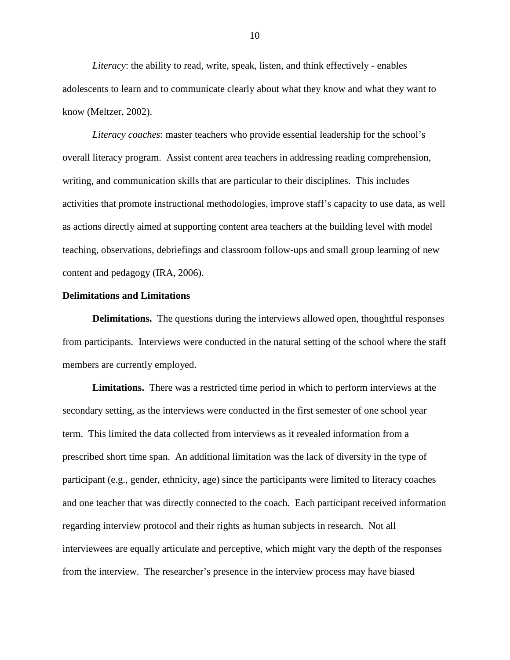*Literacy*: the ability to read, write, speak, listen, and think effectively - enables adolescents to learn and to communicate clearly about what they know and what they want to know (Meltzer, 2002).

*Literacy coaches*: master teachers who provide essential leadership for the school's overall literacy program. Assist content area teachers in addressing reading comprehension, writing, and communication skills that are particular to their disciplines. This includes activities that promote instructional methodologies, improve staff's capacity to use data, as well as actions directly aimed at supporting content area teachers at the building level with model teaching, observations, debriefings and classroom follow-ups and small group learning of new content and pedagogy (IRA, 2006).

#### **Delimitations and Limitations**

**Delimitations.** The questions during the interviews allowed open, thoughtful responses from participants. Interviews were conducted in the natural setting of the school where the staff members are currently employed.

**Limitations.** There was a restricted time period in which to perform interviews at the secondary setting, as the interviews were conducted in the first semester of one school year term. This limited the data collected from interviews as it revealed information from a prescribed short time span. An additional limitation was the lack of diversity in the type of participant (e.g., gender, ethnicity, age) since the participants were limited to literacy coaches and one teacher that was directly connected to the coach. Each participant received information regarding interview protocol and their rights as human subjects in research. Not all interviewees are equally articulate and perceptive, which might vary the depth of the responses from the interview. The researcher's presence in the interview process may have biased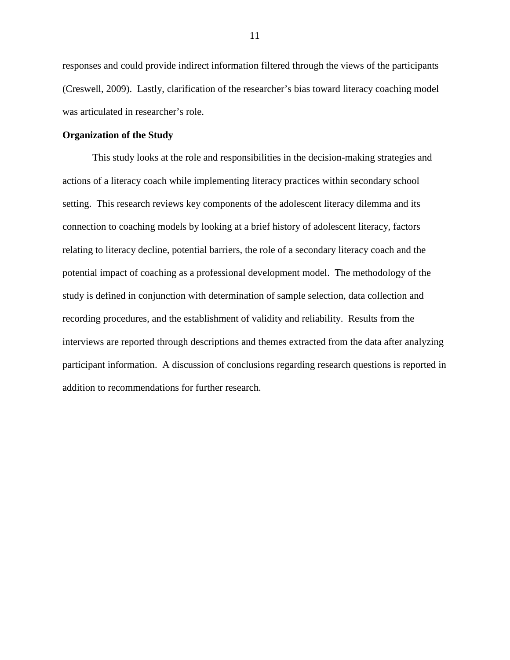responses and could provide indirect information filtered through the views of the participants (Creswell, 2009). Lastly, clarification of the researcher's bias toward literacy coaching model was articulated in researcher's role.

#### **Organization of the Study**

This study looks at the role and responsibilities in the decision-making strategies and actions of a literacy coach while implementing literacy practices within secondary school setting. This research reviews key components of the adolescent literacy dilemma and its connection to coaching models by looking at a brief history of adolescent literacy, factors relating to literacy decline, potential barriers, the role of a secondary literacy coach and the potential impact of coaching as a professional development model. The methodology of the study is defined in conjunction with determination of sample selection, data collection and recording procedures, and the establishment of validity and reliability. Results from the interviews are reported through descriptions and themes extracted from the data after analyzing participant information. A discussion of conclusions regarding research questions is reported in addition to recommendations for further research.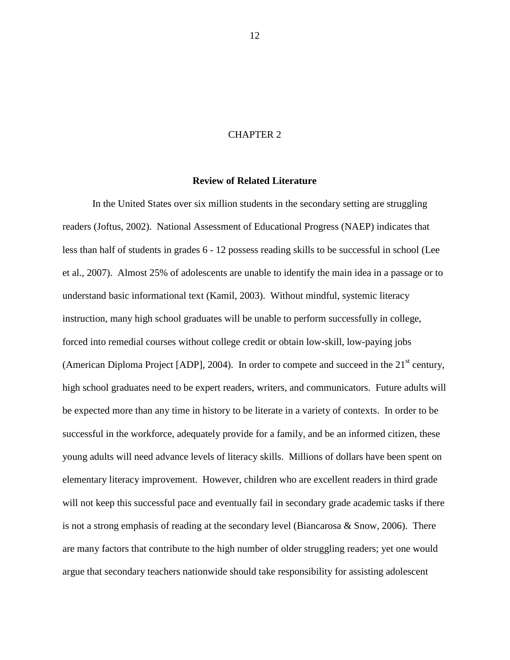#### CHAPTER 2

#### **Review of Related Literature**

In the United States over six million students in the secondary setting are struggling readers (Joftus, 2002). National Assessment of Educational Progress (NAEP) indicates that less than half of students in grades 6 - 12 possess reading skills to be successful in school (Lee et al., 2007). Almost 25% of adolescents are unable to identify the main idea in a passage or to understand basic informational text (Kamil, 2003). Without mindful, systemic literacy instruction, many high school graduates will be unable to perform successfully in college, forced into remedial courses without college credit or obtain low-skill, low-paying jobs (American Diploma Project [ADP], 2004). In order to compete and succeed in the  $21<sup>st</sup>$  century, high school graduates need to be expert readers, writers, and communicators. Future adults will be expected more than any time in history to be literate in a variety of contexts. In order to be successful in the workforce, adequately provide for a family, and be an informed citizen, these young adults will need advance levels of literacy skills. Millions of dollars have been spent on elementary literacy improvement. However, children who are excellent readers in third grade will not keep this successful pace and eventually fail in secondary grade academic tasks if there is not a strong emphasis of reading at the secondary level (Biancarosa & Snow, 2006). There are many factors that contribute to the high number of older struggling readers; yet one would argue that secondary teachers nationwide should take responsibility for assisting adolescent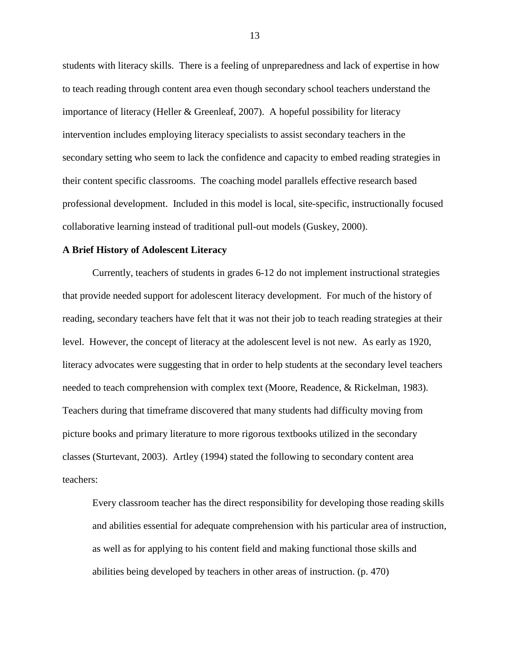students with literacy skills. There is a feeling of unpreparedness and lack of expertise in how to teach reading through content area even though secondary school teachers understand the importance of literacy (Heller & Greenleaf, 2007). A hopeful possibility for literacy intervention includes employing literacy specialists to assist secondary teachers in the secondary setting who seem to lack the confidence and capacity to embed reading strategies in their content specific classrooms. The coaching model parallels effective research based professional development. Included in this model is local, site-specific, instructionally focused collaborative learning instead of traditional pull-out models (Guskey, 2000).

#### **A Brief History of Adolescent Literacy**

Currently, teachers of students in grades 6-12 do not implement instructional strategies that provide needed support for adolescent literacy development. For much of the history of reading, secondary teachers have felt that it was not their job to teach reading strategies at their level. However, the concept of literacy at the adolescent level is not new. As early as 1920, literacy advocates were suggesting that in order to help students at the secondary level teachers needed to teach comprehension with complex text (Moore, Readence, & Rickelman, 1983). Teachers during that timeframe discovered that many students had difficulty moving from picture books and primary literature to more rigorous textbooks utilized in the secondary classes (Sturtevant, 2003). Artley (1994) stated the following to secondary content area teachers:

Every classroom teacher has the direct responsibility for developing those reading skills and abilities essential for adequate comprehension with his particular area of instruction, as well as for applying to his content field and making functional those skills and abilities being developed by teachers in other areas of instruction. (p. 470)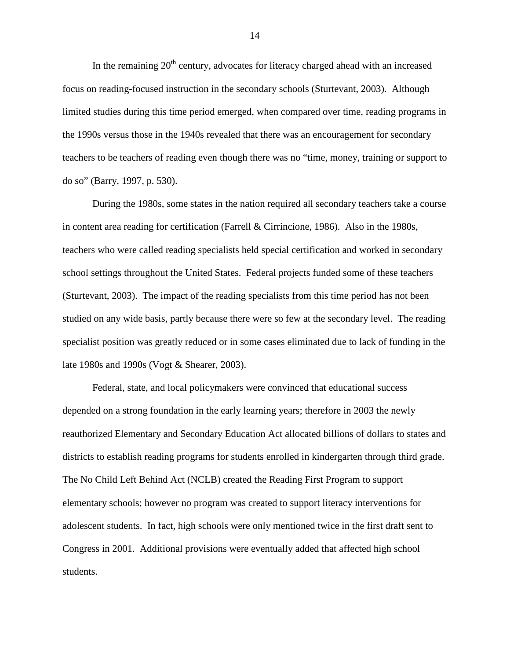In the remaining  $20<sup>th</sup>$  century, advocates for literacy charged ahead with an increased focus on reading-focused instruction in the secondary schools (Sturtevant, 2003). Although limited studies during this time period emerged, when compared over time, reading programs in the 1990s versus those in the 1940s revealed that there was an encouragement for secondary teachers to be teachers of reading even though there was no "time, money, training or support to do so" (Barry, 1997, p. 530).

During the 1980s, some states in the nation required all secondary teachers take a course in content area reading for certification (Farrell & Cirrincione, 1986). Also in the 1980s, teachers who were called reading specialists held special certification and worked in secondary school settings throughout the United States. Federal projects funded some of these teachers (Sturtevant, 2003). The impact of the reading specialists from this time period has not been studied on any wide basis, partly because there were so few at the secondary level. The reading specialist position was greatly reduced or in some cases eliminated due to lack of funding in the late 1980s and 1990s (Vogt & Shearer, 2003).

Federal, state, and local policymakers were convinced that educational success depended on a strong foundation in the early learning years; therefore in 2003 the newly reauthorized Elementary and Secondary Education Act allocated billions of dollars to states and districts to establish reading programs for students enrolled in kindergarten through third grade. The No Child Left Behind Act (NCLB) created the Reading First Program to support elementary schools; however no program was created to support literacy interventions for adolescent students. In fact, high schools were only mentioned twice in the first draft sent to Congress in 2001. Additional provisions were eventually added that affected high school students.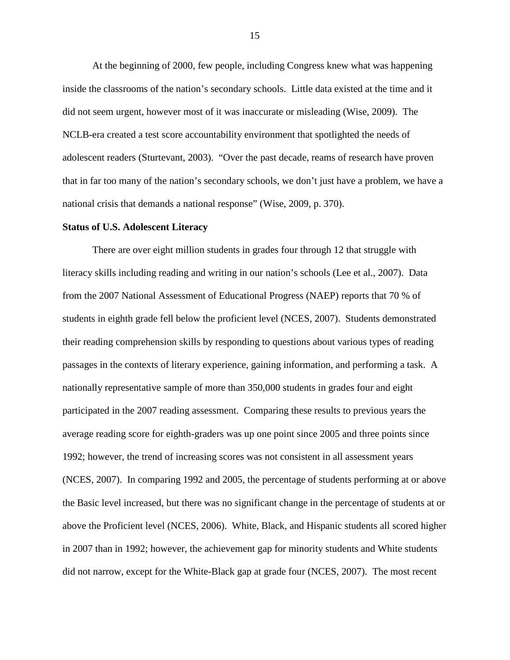At the beginning of 2000, few people, including Congress knew what was happening inside the classrooms of the nation's secondary schools. Little data existed at the time and it did not seem urgent, however most of it was inaccurate or misleading (Wise, 2009). The NCLB-era created a test score accountability environment that spotlighted the needs of adolescent readers (Sturtevant, 2003). "Over the past decade, reams of research have proven that in far too many of the nation's secondary schools, we don't just have a problem, we have a national crisis that demands a national response" (Wise, 2009, p. 370).

#### **Status of U.S. Adolescent Literacy**

There are over eight million students in grades four through 12 that struggle with literacy skills including reading and writing in our nation's schools (Lee et al., 2007). Data from the 2007 National Assessment of Educational Progress (NAEP) reports that 70 % of students in eighth grade fell below the proficient level (NCES, 2007). Students demonstrated their reading comprehension skills by responding to questions about various types of reading passages in the contexts of literary experience, gaining information, and performing a task. A nationally representative sample of more than 350,000 students in grades four and eight participated in the 2007 reading assessment. Comparing these results to previous years the average reading score for eighth-graders was up one point since 2005 and three points since 1992; however, the trend of increasing scores was not consistent in all assessment years (NCES, 2007). In comparing 1992 and 2005, the percentage of students performing at or above the Basic level increased, but there was no significant change in the percentage of students at or above the Proficient level (NCES, 2006). White, Black, and Hispanic students all scored higher in 2007 than in 1992; however, the achievement gap for minority students and White students did not narrow, except for the White-Black gap at grade four (NCES, 2007). The most recent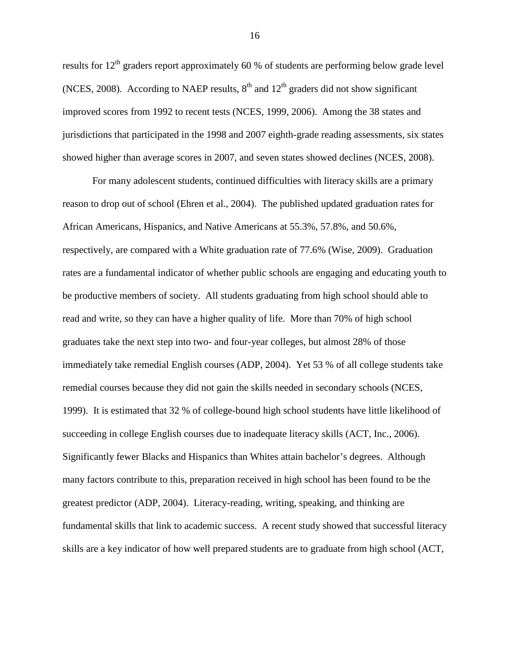results for  $12<sup>th</sup>$  graders report approximately 60 % of students are performing below grade level (NCES, 2008). According to NAEP results,  $8<sup>th</sup>$  and  $12<sup>th</sup>$  graders did not show significant improved scores from 1992 to recent tests (NCES, 1999, 2006). Among the 38 states and jurisdictions that participated in the 1998 and 2007 eighth-grade reading assessments, six states showed higher than average scores in 2007, and seven states showed declines (NCES, 2008).

For many adolescent students, continued difficulties with literacy skills are a primary reason to drop out of school (Ehren et al., 2004). The published updated graduation rates for African Americans, Hispanics, and Native Americans at 55.3%, 57.8%, and 50.6%, respectively, are compared with a White graduation rate of 77.6% (Wise, 2009). Graduation rates are a fundamental indicator of whether public schools are engaging and educating youth to be productive members of society. All students graduating from high school should able to read and write, so they can have a higher quality of life. More than 70% of high school graduates take the next step into two- and four-year colleges, but almost 28% of those immediately take remedial English courses (ADP, 2004). Yet 53 % of all college students take remedial courses because they did not gain the skills needed in secondary schools (NCES, 1999). It is estimated that 32 % of college-bound high school students have little likelihood of succeeding in college English courses due to inadequate literacy skills (ACT, Inc., 2006). Significantly fewer Blacks and Hispanics than Whites attain bachelor's degrees. Although many factors contribute to this, preparation received in high school has been found to be the greatest predictor (ADP, 2004). Literacy-reading, writing, speaking, and thinking are fundamental skills that link to academic success. A recent study showed that successful literacy skills are a key indicator of how well prepared students are to graduate from high school (ACT,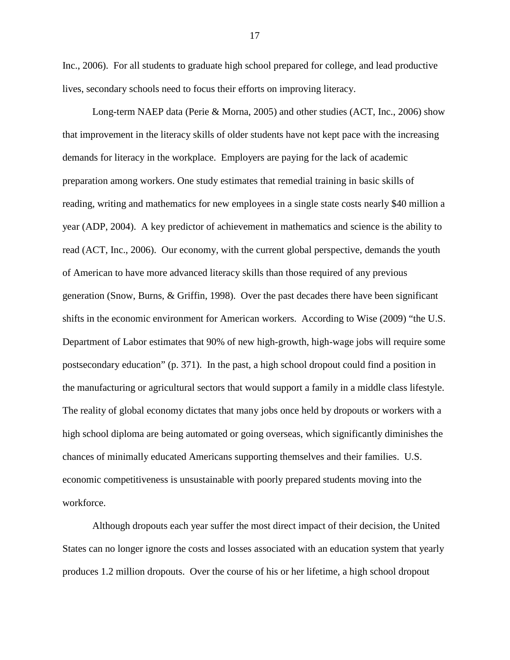Inc., 2006). For all students to graduate high school prepared for college, and lead productive lives, secondary schools need to focus their efforts on improving literacy.

Long-term NAEP data (Perie & Morna, 2005) and other studies (ACT, Inc., 2006) show that improvement in the literacy skills of older students have not kept pace with the increasing demands for literacy in the workplace. Employers are paying for the lack of academic preparation among workers. One study estimates that remedial training in basic skills of reading, writing and mathematics for new employees in a single state costs nearly \$40 million a year (ADP, 2004). A key predictor of achievement in mathematics and science is the ability to read (ACT, Inc., 2006). Our economy, with the current global perspective, demands the youth of American to have more advanced literacy skills than those required of any previous generation (Snow, Burns, & Griffin, 1998). Over the past decades there have been significant shifts in the economic environment for American workers. According to Wise (2009) "the U.S. Department of Labor estimates that 90% of new high-growth, high-wage jobs will require some postsecondary education" (p. 371). In the past, a high school dropout could find a position in the manufacturing or agricultural sectors that would support a family in a middle class lifestyle. The reality of global economy dictates that many jobs once held by dropouts or workers with a high school diploma are being automated or going overseas, which significantly diminishes the chances of minimally educated Americans supporting themselves and their families. U.S. economic competitiveness is unsustainable with poorly prepared students moving into the workforce.

Although dropouts each year suffer the most direct impact of their decision, the United States can no longer ignore the costs and losses associated with an education system that yearly produces 1.2 million dropouts. Over the course of his or her lifetime, a high school dropout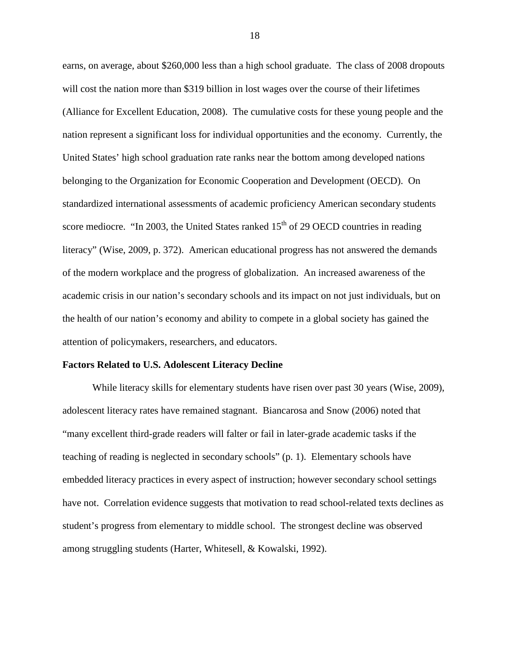earns, on average, about \$260,000 less than a high school graduate. The class of 2008 dropouts will cost the nation more than \$319 billion in lost wages over the course of their lifetimes (Alliance for Excellent Education, 2008). The cumulative costs for these young people and the nation represent a significant loss for individual opportunities and the economy. Currently, the United States' high school graduation rate ranks near the bottom among developed nations belonging to the Organization for Economic Cooperation and Development (OECD). On standardized international assessments of academic proficiency American secondary students score mediocre. "In 2003, the United States ranked  $15<sup>th</sup>$  of 29 OECD countries in reading literacy" (Wise, 2009, p. 372). American educational progress has not answered the demands of the modern workplace and the progress of globalization. An increased awareness of the academic crisis in our nation's secondary schools and its impact on not just individuals, but on the health of our nation's economy and ability to compete in a global society has gained the attention of policymakers, researchers, and educators.

#### **Factors Related to U.S. Adolescent Literacy Decline**

While literacy skills for elementary students have risen over past 30 years (Wise, 2009), adolescent literacy rates have remained stagnant. Biancarosa and Snow (2006) noted that "many excellent third-grade readers will falter or fail in later-grade academic tasks if the teaching of reading is neglected in secondary schools" (p. 1). Elementary schools have embedded literacy practices in every aspect of instruction; however secondary school settings have not. Correlation evidence suggests that motivation to read school-related texts declines as student's progress from elementary to middle school. The strongest decline was observed among struggling students (Harter, Whitesell, & Kowalski, 1992).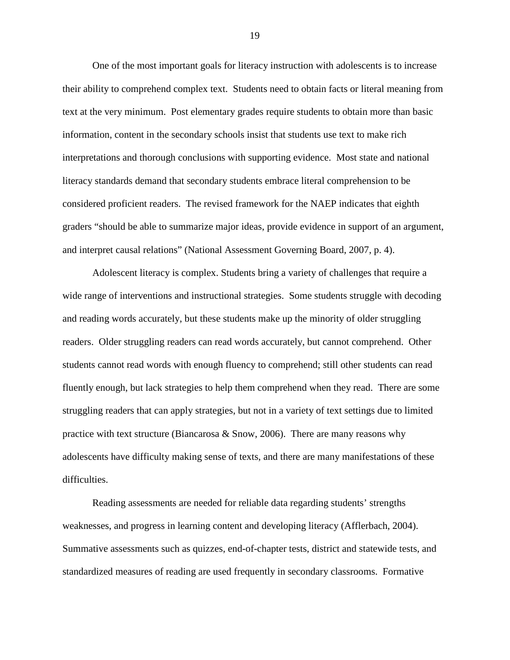One of the most important goals for literacy instruction with adolescents is to increase their ability to comprehend complex text. Students need to obtain facts or literal meaning from text at the very minimum. Post elementary grades require students to obtain more than basic information, content in the secondary schools insist that students use text to make rich interpretations and thorough conclusions with supporting evidence. Most state and national literacy standards demand that secondary students embrace literal comprehension to be considered proficient readers. The revised framework for the NAEP indicates that eighth graders "should be able to summarize major ideas, provide evidence in support of an argument, and interpret causal relations" (National Assessment Governing Board, 2007, p. 4).

Adolescent literacy is complex. Students bring a variety of challenges that require a wide range of interventions and instructional strategies. Some students struggle with decoding and reading words accurately, but these students make up the minority of older struggling readers. Older struggling readers can read words accurately, but cannot comprehend. Other students cannot read words with enough fluency to comprehend; still other students can read fluently enough, but lack strategies to help them comprehend when they read. There are some struggling readers that can apply strategies, but not in a variety of text settings due to limited practice with text structure (Biancarosa & Snow, 2006). There are many reasons why adolescents have difficulty making sense of texts, and there are many manifestations of these difficulties.

Reading assessments are needed for reliable data regarding students' strengths weaknesses, and progress in learning content and developing literacy (Afflerbach, 2004). Summative assessments such as quizzes, end-of-chapter tests, district and statewide tests, and standardized measures of reading are used frequently in secondary classrooms. Formative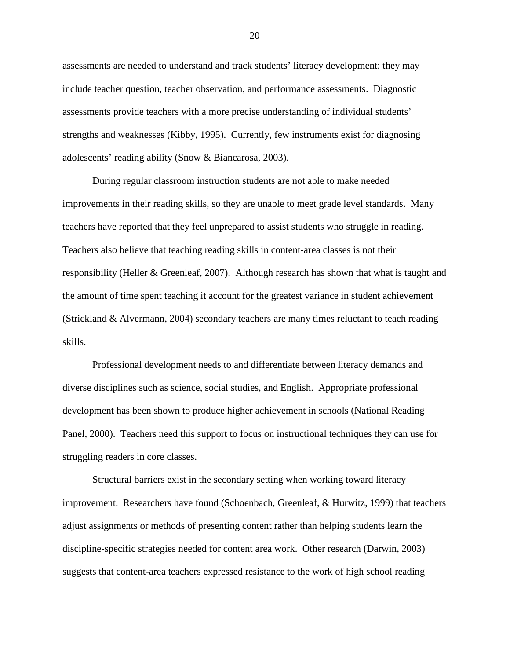assessments are needed to understand and track students' literacy development; they may include teacher question, teacher observation, and performance assessments. Diagnostic assessments provide teachers with a more precise understanding of individual students' strengths and weaknesses (Kibby, 1995). Currently, few instruments exist for diagnosing adolescents' reading ability (Snow & Biancarosa, 2003).

During regular classroom instruction students are not able to make needed improvements in their reading skills, so they are unable to meet grade level standards. Many teachers have reported that they feel unprepared to assist students who struggle in reading. Teachers also believe that teaching reading skills in content-area classes is not their responsibility (Heller & Greenleaf, 2007). Although research has shown that what is taught and the amount of time spent teaching it account for the greatest variance in student achievement (Strickland & Alvermann, 2004) secondary teachers are many times reluctant to teach reading skills.

Professional development needs to and differentiate between literacy demands and diverse disciplines such as science, social studies, and English. Appropriate professional development has been shown to produce higher achievement in schools (National Reading Panel, 2000). Teachers need this support to focus on instructional techniques they can use for struggling readers in core classes.

Structural barriers exist in the secondary setting when working toward literacy improvement. Researchers have found (Schoenbach, Greenleaf, & Hurwitz, 1999) that teachers adjust assignments or methods of presenting content rather than helping students learn the discipline-specific strategies needed for content area work. Other research (Darwin, 2003) suggests that content-area teachers expressed resistance to the work of high school reading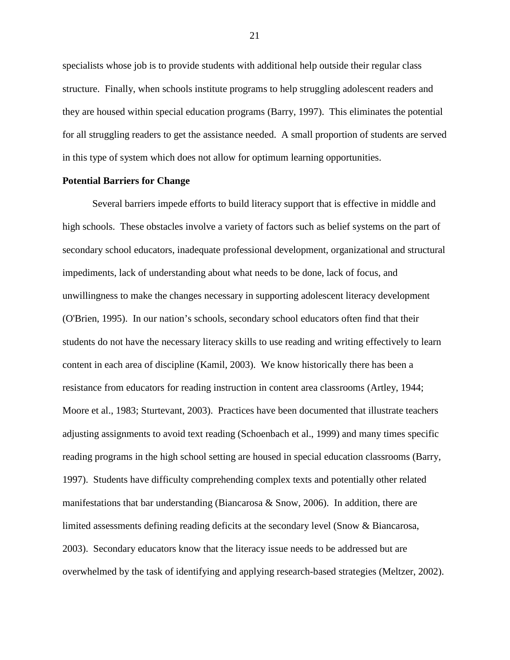specialists whose job is to provide students with additional help outside their regular class structure. Finally, when schools institute programs to help struggling adolescent readers and they are housed within special education programs (Barry, 1997). This eliminates the potential for all struggling readers to get the assistance needed. A small proportion of students are served in this type of system which does not allow for optimum learning opportunities.

#### **Potential Barriers for Change**

Several barriers impede efforts to build literacy support that is effective in middle and high schools. These obstacles involve a variety of factors such as belief systems on the part of secondary school educators, inadequate professional development, organizational and structural impediments, lack of understanding about what needs to be done, lack of focus, and unwillingness to make the changes necessary in supporting adolescent literacy development (O'Brien, 1995). In our nation's schools, secondary school educators often find that their students do not have the necessary literacy skills to use reading and writing effectively to learn content in each area of discipline (Kamil, 2003). We know historically there has been a resistance from educators for reading instruction in content area classrooms (Artley, 1944; Moore et al., 1983; Sturtevant, 2003). Practices have been documented that illustrate teachers adjusting assignments to avoid text reading (Schoenbach et al., 1999) and many times specific reading programs in the high school setting are housed in special education classrooms (Barry, 1997). Students have difficulty comprehending complex texts and potentially other related manifestations that bar understanding (Biancarosa & Snow, 2006). In addition, there are limited assessments defining reading deficits at the secondary level (Snow & Biancarosa, 2003). Secondary educators know that the literacy issue needs to be addressed but are overwhelmed by the task of identifying and applying research-based strategies (Meltzer, 2002).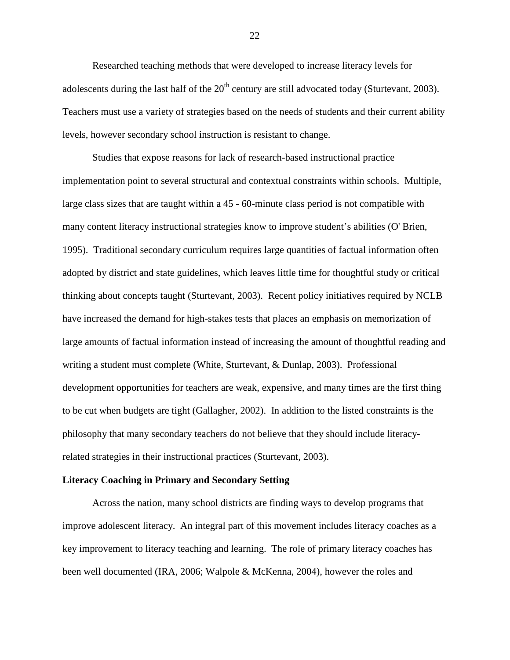Researched teaching methods that were developed to increase literacy levels for adolescents during the last half of the  $20<sup>th</sup>$  century are still advocated today (Sturtevant, 2003). Teachers must use a variety of strategies based on the needs of students and their current ability levels, however secondary school instruction is resistant to change.

Studies that expose reasons for lack of research-based instructional practice implementation point to several structural and contextual constraints within schools. Multiple, large class sizes that are taught within a 45 - 60-minute class period is not compatible with many content literacy instructional strategies know to improve student's abilities (O' Brien, 1995). Traditional secondary curriculum requires large quantities of factual information often adopted by district and state guidelines, which leaves little time for thoughtful study or critical thinking about concepts taught (Sturtevant, 2003). Recent policy initiatives required by NCLB have increased the demand for high-stakes tests that places an emphasis on memorization of large amounts of factual information instead of increasing the amount of thoughtful reading and writing a student must complete (White, Sturtevant, & Dunlap, 2003). Professional development opportunities for teachers are weak, expensive, and many times are the first thing to be cut when budgets are tight (Gallagher, 2002). In addition to the listed constraints is the philosophy that many secondary teachers do not believe that they should include literacyrelated strategies in their instructional practices (Sturtevant, 2003).

#### **Literacy Coaching in Primary and Secondary Setting**

Across the nation, many school districts are finding ways to develop programs that improve adolescent literacy. An integral part of this movement includes literacy coaches as a key improvement to literacy teaching and learning. The role of primary literacy coaches has been well documented (IRA, 2006; Walpole & McKenna, 2004), however the roles and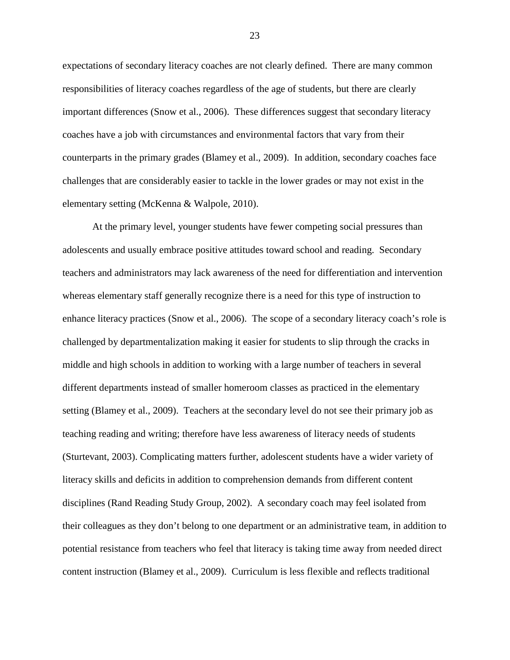expectations of secondary literacy coaches are not clearly defined. There are many common responsibilities of literacy coaches regardless of the age of students, but there are clearly important differences (Snow et al., 2006). These differences suggest that secondary literacy coaches have a job with circumstances and environmental factors that vary from their counterparts in the primary grades (Blamey et al., 2009). In addition, secondary coaches face challenges that are considerably easier to tackle in the lower grades or may not exist in the elementary setting (McKenna & Walpole, 2010).

At the primary level, younger students have fewer competing social pressures than adolescents and usually embrace positive attitudes toward school and reading. Secondary teachers and administrators may lack awareness of the need for differentiation and intervention whereas elementary staff generally recognize there is a need for this type of instruction to enhance literacy practices (Snow et al., 2006). The scope of a secondary literacy coach's role is challenged by departmentalization making it easier for students to slip through the cracks in middle and high schools in addition to working with a large number of teachers in several different departments instead of smaller homeroom classes as practiced in the elementary setting (Blamey et al., 2009). Teachers at the secondary level do not see their primary job as teaching reading and writing; therefore have less awareness of literacy needs of students (Sturtevant, 2003). Complicating matters further, adolescent students have a wider variety of literacy skills and deficits in addition to comprehension demands from different content disciplines (Rand Reading Study Group, 2002). A secondary coach may feel isolated from their colleagues as they don't belong to one department or an administrative team, in addition to potential resistance from teachers who feel that literacy is taking time away from needed direct content instruction (Blamey et al., 2009). Curriculum is less flexible and reflects traditional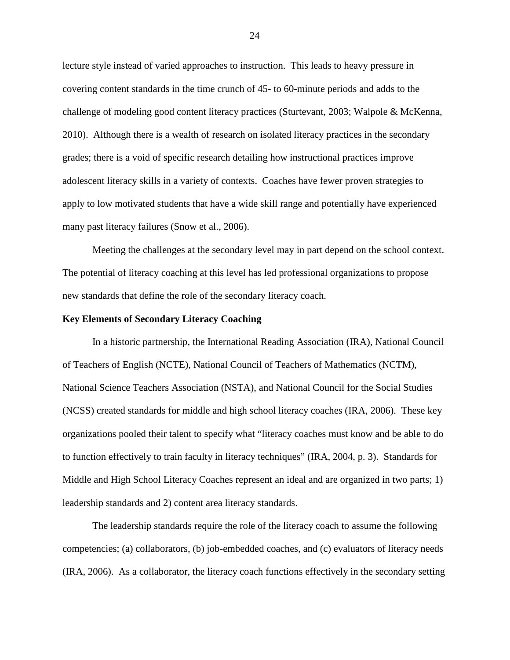lecture style instead of varied approaches to instruction. This leads to heavy pressure in covering content standards in the time crunch of 45- to 60-minute periods and adds to the challenge of modeling good content literacy practices (Sturtevant, 2003; Walpole & McKenna, 2010). Although there is a wealth of research on isolated literacy practices in the secondary grades; there is a void of specific research detailing how instructional practices improve adolescent literacy skills in a variety of contexts. Coaches have fewer proven strategies to apply to low motivated students that have a wide skill range and potentially have experienced many past literacy failures (Snow et al., 2006).

Meeting the challenges at the secondary level may in part depend on the school context. The potential of literacy coaching at this level has led professional organizations to propose new standards that define the role of the secondary literacy coach.

#### **Key Elements of Secondary Literacy Coaching**

In a historic partnership, the International Reading Association (IRA), National Council of Teachers of English (NCTE), National Council of Teachers of Mathematics (NCTM), National Science Teachers Association (NSTA), and National Council for the Social Studies (NCSS) created standards for middle and high school literacy coaches (IRA, 2006). These key organizations pooled their talent to specify what "literacy coaches must know and be able to do to function effectively to train faculty in literacy techniques" (IRA, 2004, p. 3). Standards for Middle and High School Literacy Coaches represent an ideal and are organized in two parts; 1) leadership standards and 2) content area literacy standards.

The leadership standards require the role of the literacy coach to assume the following competencies; (a) collaborators, (b) job-embedded coaches, and (c) evaluators of literacy needs (IRA, 2006). As a collaborator, the literacy coach functions effectively in the secondary setting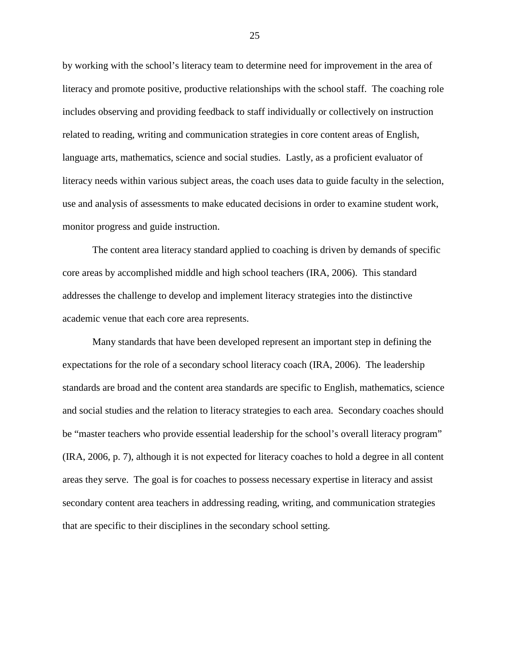by working with the school's literacy team to determine need for improvement in the area of literacy and promote positive, productive relationships with the school staff. The coaching role includes observing and providing feedback to staff individually or collectively on instruction related to reading, writing and communication strategies in core content areas of English, language arts, mathematics, science and social studies. Lastly, as a proficient evaluator of literacy needs within various subject areas, the coach uses data to guide faculty in the selection, use and analysis of assessments to make educated decisions in order to examine student work, monitor progress and guide instruction.

The content area literacy standard applied to coaching is driven by demands of specific core areas by accomplished middle and high school teachers (IRA, 2006). This standard addresses the challenge to develop and implement literacy strategies into the distinctive academic venue that each core area represents.

Many standards that have been developed represent an important step in defining the expectations for the role of a secondary school literacy coach (IRA, 2006). The leadership standards are broad and the content area standards are specific to English, mathematics, science and social studies and the relation to literacy strategies to each area. Secondary coaches should be "master teachers who provide essential leadership for the school's overall literacy program" (IRA, 2006, p. 7), although it is not expected for literacy coaches to hold a degree in all content areas they serve. The goal is for coaches to possess necessary expertise in literacy and assist secondary content area teachers in addressing reading, writing, and communication strategies that are specific to their disciplines in the secondary school setting.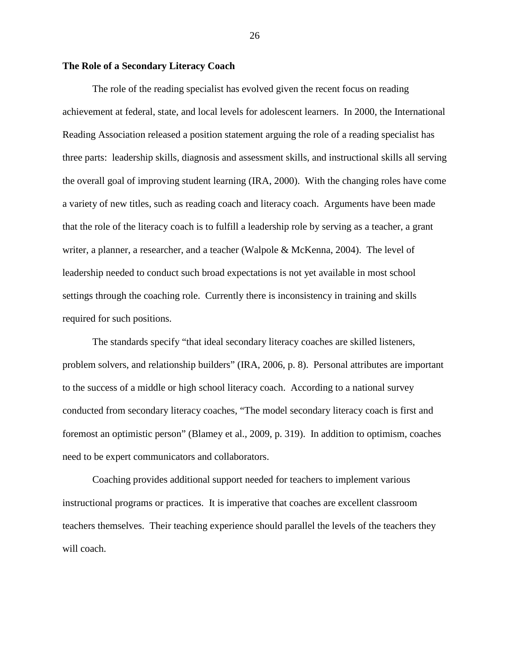# **The Role of a Secondary Literacy Coach**

The role of the reading specialist has evolved given the recent focus on reading achievement at federal, state, and local levels for adolescent learners. In 2000, the International Reading Association released a position statement arguing the role of a reading specialist has three parts: leadership skills, diagnosis and assessment skills, and instructional skills all serving the overall goal of improving student learning (IRA, 2000).With the changing roles have come a variety of new titles, such as reading coach and literacy coach. Arguments have been made that the role of the literacy coach is to fulfill a leadership role by serving as a teacher, a grant writer, a planner, a researcher, and a teacher (Walpole & McKenna, 2004). The level of leadership needed to conduct such broad expectations is not yet available in most school settings through the coaching role. Currently there is inconsistency in training and skills required for such positions.

The standards specify "that ideal secondary literacy coaches are skilled listeners, problem solvers, and relationship builders" (IRA, 2006, p. 8). Personal attributes are important to the success of a middle or high school literacy coach. According to a national survey conducted from secondary literacy coaches, "The model secondary literacy coach is first and foremost an optimistic person" (Blamey et al., 2009, p. 319). In addition to optimism, coaches need to be expert communicators and collaborators.

Coaching provides additional support needed for teachers to implement various instructional programs or practices. It is imperative that coaches are excellent classroom teachers themselves. Their teaching experience should parallel the levels of the teachers they will coach.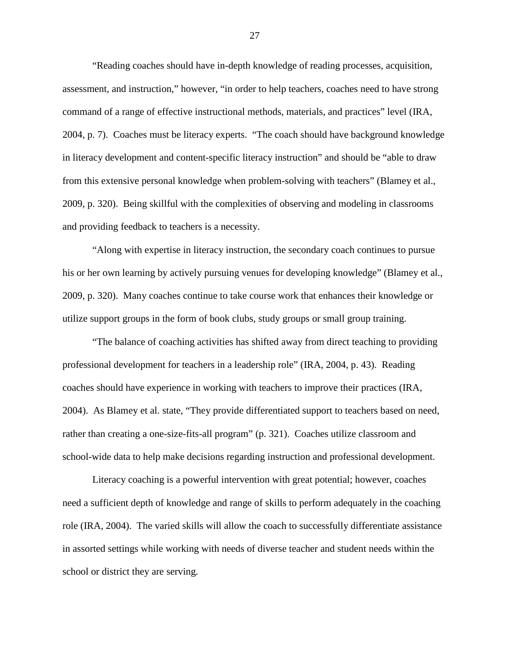"Reading coaches should have in-depth knowledge of reading processes, acquisition, assessment, and instruction," however, "in order to help teachers, coaches need to have strong command of a range of effective instructional methods, materials, and practices" level (IRA, 2004, p. 7). Coaches must be literacy experts. "The coach should have background knowledge in literacy development and content-specific literacy instruction" and should be "able to draw from this extensive personal knowledge when problem-solving with teachers" (Blamey et al., 2009, p. 320). Being skillful with the complexities of observing and modeling in classrooms and providing feedback to teachers is a necessity.

"Along with expertise in literacy instruction, the secondary coach continues to pursue his or her own learning by actively pursuing venues for developing knowledge" (Blamey et al., 2009, p. 320). Many coaches continue to take course work that enhances their knowledge or utilize support groups in the form of book clubs, study groups or small group training.

"The balance of coaching activities has shifted away from direct teaching to providing professional development for teachers in a leadership role" (IRA, 2004, p. 43). Reading coaches should have experience in working with teachers to improve their practices (IRA, 2004). As Blamey et al. state, "They provide differentiated support to teachers based on need, rather than creating a one-size-fits-all program" (p. 321). Coaches utilize classroom and school-wide data to help make decisions regarding instruction and professional development.

Literacy coaching is a powerful intervention with great potential; however, coaches need a sufficient depth of knowledge and range of skills to perform adequately in the coaching role (IRA, 2004). The varied skills will allow the coach to successfully differentiate assistance in assorted settings while working with needs of diverse teacher and student needs within the school or district they are serving.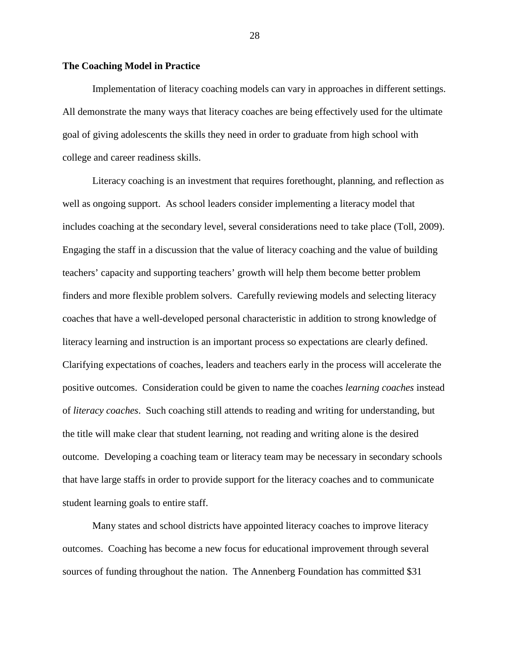# **The Coaching Model in Practice**

Implementation of literacy coaching models can vary in approaches in different settings. All demonstrate the many ways that literacy coaches are being effectively used for the ultimate goal of giving adolescents the skills they need in order to graduate from high school with college and career readiness skills.

Literacy coaching is an investment that requires forethought, planning, and reflection as well as ongoing support. As school leaders consider implementing a literacy model that includes coaching at the secondary level, several considerations need to take place (Toll, 2009). Engaging the staff in a discussion that the value of literacy coaching and the value of building teachers' capacity and supporting teachers' growth will help them become better problem finders and more flexible problem solvers. Carefully reviewing models and selecting literacy coaches that have a well-developed personal characteristic in addition to strong knowledge of literacy learning and instruction is an important process so expectations are clearly defined. Clarifying expectations of coaches, leaders and teachers early in the process will accelerate the positive outcomes. Consideration could be given to name the coaches *learning coaches* instead of *literacy coaches*. Such coaching still attends to reading and writing for understanding, but the title will make clear that student learning, not reading and writing alone is the desired outcome. Developing a coaching team or literacy team may be necessary in secondary schools that have large staffs in order to provide support for the literacy coaches and to communicate student learning goals to entire staff.

Many states and school districts have appointed literacy coaches to improve literacy outcomes. Coaching has become a new focus for educational improvement through several sources of funding throughout the nation. The Annenberg Foundation has committed \$31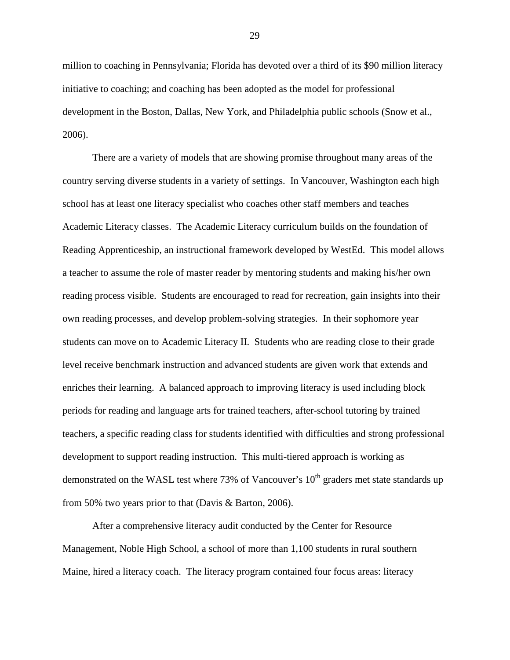million to coaching in Pennsylvania; Florida has devoted over a third of its \$90 million literacy initiative to coaching; and coaching has been adopted as the model for professional development in the Boston, Dallas, New York, and Philadelphia public schools (Snow et al., 2006).

There are a variety of models that are showing promise throughout many areas of the country serving diverse students in a variety of settings. In Vancouver, Washington each high school has at least one literacy specialist who coaches other staff members and teaches Academic Literacy classes. The Academic Literacy curriculum builds on the foundation of Reading Apprenticeship, an instructional framework developed by WestEd. This model allows a teacher to assume the role of master reader by mentoring students and making his/her own reading process visible. Students are encouraged to read for recreation, gain insights into their own reading processes, and develop problem-solving strategies. In their sophomore year students can move on to Academic Literacy II. Students who are reading close to their grade level receive benchmark instruction and advanced students are given work that extends and enriches their learning. A balanced approach to improving literacy is used including block periods for reading and language arts for trained teachers, after-school tutoring by trained teachers, a specific reading class for students identified with difficulties and strong professional development to support reading instruction. This multi-tiered approach is working as demonstrated on the WASL test where 73% of Vancouver's  $10<sup>th</sup>$  graders met state standards up from 50% two years prior to that (Davis & Barton, 2006).

After a comprehensive literacy audit conducted by the Center for Resource Management, Noble High School, a school of more than 1,100 students in rural southern Maine, hired a literacy coach. The literacy program contained four focus areas: literacy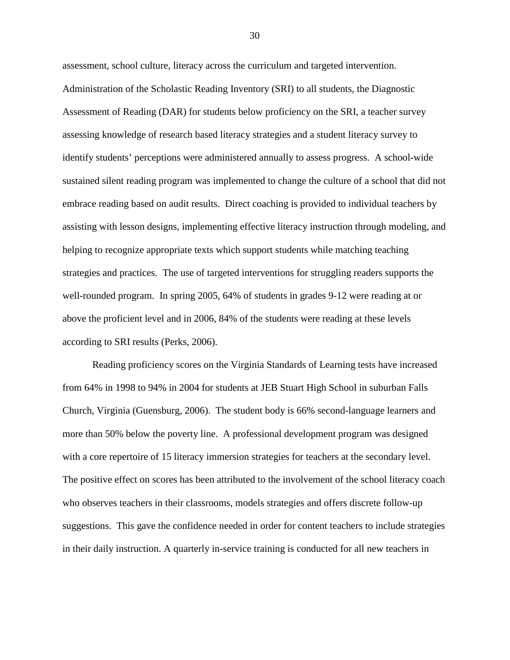assessment, school culture, literacy across the curriculum and targeted intervention. Administration of the Scholastic Reading Inventory (SRI) to all students, the Diagnostic Assessment of Reading (DAR) for students below proficiency on the SRI, a teacher survey assessing knowledge of research based literacy strategies and a student literacy survey to identify students' perceptions were administered annually to assess progress. A school-wide sustained silent reading program was implemented to change the culture of a school that did not embrace reading based on audit results. Direct coaching is provided to individual teachers by assisting with lesson designs, implementing effective literacy instruction through modeling, and helping to recognize appropriate texts which support students while matching teaching strategies and practices. The use of targeted interventions for struggling readers supports the well-rounded program. In spring 2005, 64% of students in grades 9-12 were reading at or above the proficient level and in 2006, 84% of the students were reading at these levels according to SRI results (Perks, 2006).

Reading proficiency scores on the Virginia Standards of Learning tests have increased from 64% in 1998 to 94% in 2004 for students at JEB Stuart High School in suburban Falls Church, Virginia (Guensburg, 2006). The student body is 66% second-language learners and more than 50% below the poverty line. A professional development program was designed with a core repertoire of 15 literacy immersion strategies for teachers at the secondary level. The positive effect on scores has been attributed to the involvement of the school literacy coach who observes teachers in their classrooms, models strategies and offers discrete follow-up suggestions. This gave the confidence needed in order for content teachers to include strategies in their daily instruction. A quarterly in-service training is conducted for all new teachers in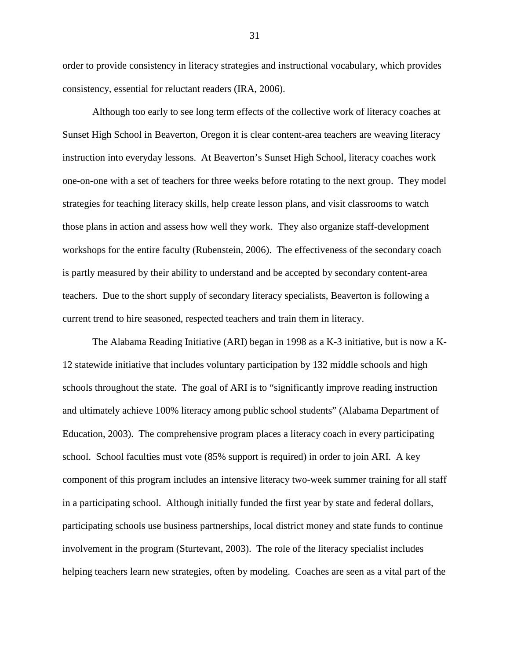order to provide consistency in literacy strategies and instructional vocabulary, which provides consistency, essential for reluctant readers (IRA, 2006).

Although too early to see long term effects of the collective work of literacy coaches at Sunset High School in Beaverton, Oregon it is clear content-area teachers are weaving literacy instruction into everyday lessons. At Beaverton's Sunset High School, literacy coaches work one-on-one with a set of teachers for three weeks before rotating to the next group. They model strategies for teaching literacy skills, help create lesson plans, and visit classrooms to watch those plans in action and assess how well they work. They also organize staff-development workshops for the entire faculty (Rubenstein, 2006). The effectiveness of the secondary coach is partly measured by their ability to understand and be accepted by secondary content-area teachers. Due to the short supply of secondary literacy specialists, Beaverton is following a current trend to hire seasoned, respected teachers and train them in literacy.

The Alabama Reading Initiative (ARI) began in 1998 as a K-3 initiative, but is now a K-12 statewide initiative that includes voluntary participation by 132 middle schools and high schools throughout the state. The goal of ARI is to "significantly improve reading instruction and ultimately achieve 100% literacy among public school students" (Alabama Department of Education, 2003). The comprehensive program places a literacy coach in every participating school. School faculties must vote (85% support is required) in order to join ARI. A key component of this program includes an intensive literacy two-week summer training for all staff in a participating school. Although initially funded the first year by state and federal dollars, participating schools use business partnerships, local district money and state funds to continue involvement in the program (Sturtevant, 2003). The role of the literacy specialist includes helping teachers learn new strategies, often by modeling. Coaches are seen as a vital part of the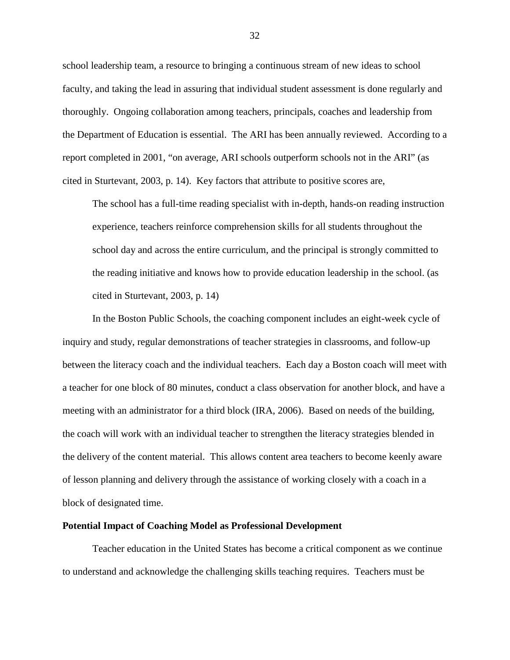school leadership team, a resource to bringing a continuous stream of new ideas to school faculty, and taking the lead in assuring that individual student assessment is done regularly and thoroughly. Ongoing collaboration among teachers, principals, coaches and leadership from the Department of Education is essential. The ARI has been annually reviewed. According to a report completed in 2001, "on average, ARI schools outperform schools not in the ARI" (as cited in Sturtevant, 2003, p. 14). Key factors that attribute to positive scores are,

The school has a full-time reading specialist with in-depth, hands-on reading instruction experience, teachers reinforce comprehension skills for all students throughout the school day and across the entire curriculum, and the principal is strongly committed to the reading initiative and knows how to provide education leadership in the school. (as cited in Sturtevant, 2003, p. 14)

In the Boston Public Schools, the coaching component includes an eight-week cycle of inquiry and study, regular demonstrations of teacher strategies in classrooms, and follow-up between the literacy coach and the individual teachers. Each day a Boston coach will meet with a teacher for one block of 80 minutes, conduct a class observation for another block, and have a meeting with an administrator for a third block (IRA, 2006). Based on needs of the building, the coach will work with an individual teacher to strengthen the literacy strategies blended in the delivery of the content material. This allows content area teachers to become keenly aware of lesson planning and delivery through the assistance of working closely with a coach in a block of designated time.

#### **Potential Impact of Coaching Model as Professional Development**

Teacher education in the United States has become a critical component as we continue to understand and acknowledge the challenging skills teaching requires. Teachers must be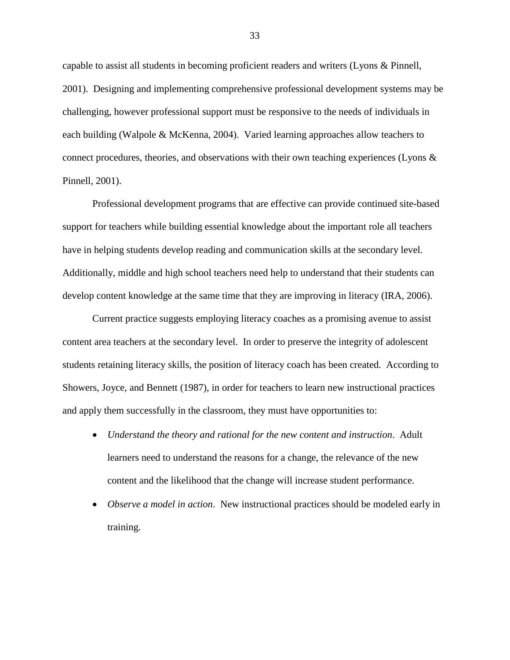capable to assist all students in becoming proficient readers and writers (Lyons & Pinnell, 2001). Designing and implementing comprehensive professional development systems may be challenging, however professional support must be responsive to the needs of individuals in each building (Walpole & McKenna, 2004). Varied learning approaches allow teachers to connect procedures, theories, and observations with their own teaching experiences (Lyons & Pinnell, 2001).

Professional development programs that are effective can provide continued site-based support for teachers while building essential knowledge about the important role all teachers have in helping students develop reading and communication skills at the secondary level. Additionally, middle and high school teachers need help to understand that their students can develop content knowledge at the same time that they are improving in literacy (IRA, 2006).

Current practice suggests employing literacy coaches as a promising avenue to assist content area teachers at the secondary level. In order to preserve the integrity of adolescent students retaining literacy skills, the position of literacy coach has been created. According to Showers, Joyce, and Bennett (1987), in order for teachers to learn new instructional practices and apply them successfully in the classroom, they must have opportunities to:

- *Understand the theory and rational for the new content and instruction*. Adult learners need to understand the reasons for a change, the relevance of the new content and the likelihood that the change will increase student performance.
- *Observe a model in action*. New instructional practices should be modeled early in training.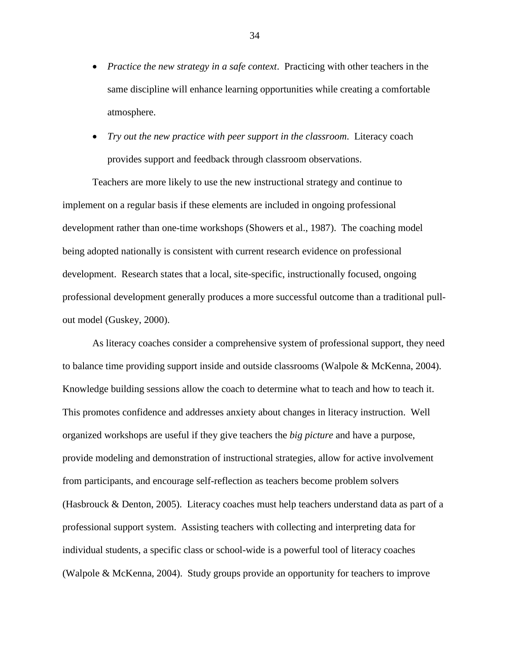- *Practice the new strategy in a safe context*. Practicing with other teachers in the same discipline will enhance learning opportunities while creating a comfortable atmosphere.
- *Try out the new practice with peer support in the classroom*. Literacy coach provides support and feedback through classroom observations.

Teachers are more likely to use the new instructional strategy and continue to implement on a regular basis if these elements are included in ongoing professional development rather than one-time workshops (Showers et al., 1987). The coaching model being adopted nationally is consistent with current research evidence on professional development. Research states that a local, site-specific, instructionally focused, ongoing professional development generally produces a more successful outcome than a traditional pullout model (Guskey, 2000).

As literacy coaches consider a comprehensive system of professional support, they need to balance time providing support inside and outside classrooms (Walpole & McKenna, 2004). Knowledge building sessions allow the coach to determine what to teach and how to teach it. This promotes confidence and addresses anxiety about changes in literacy instruction. Well organized workshops are useful if they give teachers the *big picture* and have a purpose, provide modeling and demonstration of instructional strategies, allow for active involvement from participants, and encourage self-reflection as teachers become problem solvers (Hasbrouck & Denton, 2005). Literacy coaches must help teachers understand data as part of a professional support system. Assisting teachers with collecting and interpreting data for individual students, a specific class or school-wide is a powerful tool of literacy coaches (Walpole & McKenna, 2004). Study groups provide an opportunity for teachers to improve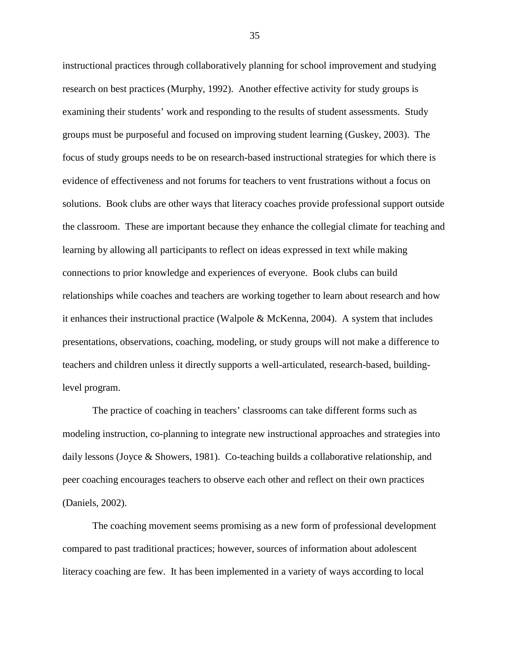instructional practices through collaboratively planning for school improvement and studying research on best practices (Murphy, 1992). Another effective activity for study groups is examining their students' work and responding to the results of student assessments. Study groups must be purposeful and focused on improving student learning (Guskey, 2003). The focus of study groups needs to be on research-based instructional strategies for which there is evidence of effectiveness and not forums for teachers to vent frustrations without a focus on solutions. Book clubs are other ways that literacy coaches provide professional support outside the classroom. These are important because they enhance the collegial climate for teaching and learning by allowing all participants to reflect on ideas expressed in text while making connections to prior knowledge and experiences of everyone. Book clubs can build relationships while coaches and teachers are working together to learn about research and how it enhances their instructional practice (Walpole & McKenna, 2004). A system that includes presentations, observations, coaching, modeling, or study groups will not make a difference to teachers and children unless it directly supports a well-articulated, research-based, buildinglevel program.

The practice of coaching in teachers' classrooms can take different forms such as modeling instruction, co-planning to integrate new instructional approaches and strategies into daily lessons (Joyce & Showers, 1981). Co-teaching builds a collaborative relationship, and peer coaching encourages teachers to observe each other and reflect on their own practices (Daniels, 2002).

The coaching movement seems promising as a new form of professional development compared to past traditional practices; however, sources of information about adolescent literacy coaching are few. It has been implemented in a variety of ways according to local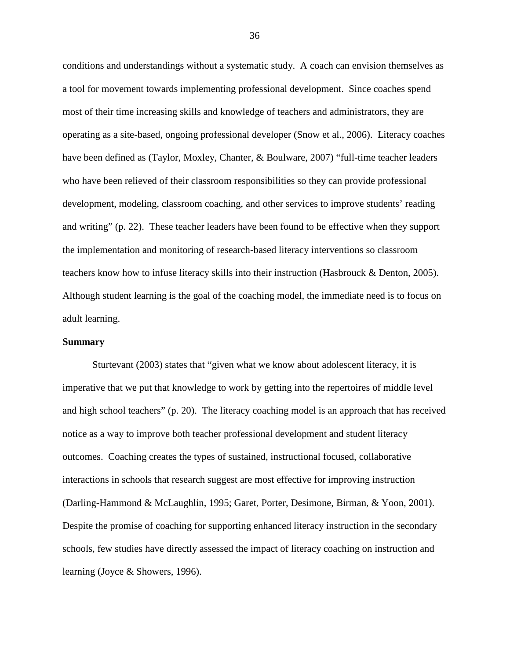conditions and understandings without a systematic study. A coach can envision themselves as a tool for movement towards implementing professional development. Since coaches spend most of their time increasing skills and knowledge of teachers and administrators, they are operating as a site-based, ongoing professional developer (Snow et al., 2006). Literacy coaches have been defined as (Taylor, Moxley, Chanter, & Boulware, 2007) "full-time teacher leaders who have been relieved of their classroom responsibilities so they can provide professional development, modeling, classroom coaching, and other services to improve students' reading and writing" (p. 22). These teacher leaders have been found to be effective when they support the implementation and monitoring of research-based literacy interventions so classroom teachers know how to infuse literacy skills into their instruction (Hasbrouck & Denton, 2005). Although student learning is the goal of the coaching model, the immediate need is to focus on adult learning.

# **Summary**

Sturtevant (2003) states that "given what we know about adolescent literacy, it is imperative that we put that knowledge to work by getting into the repertoires of middle level and high school teachers" (p. 20). The literacy coaching model is an approach that has received notice as a way to improve both teacher professional development and student literacy outcomes. Coaching creates the types of sustained, instructional focused, collaborative interactions in schools that research suggest are most effective for improving instruction (Darling-Hammond & McLaughlin, 1995; Garet, Porter, Desimone, Birman, & Yoon, 2001). Despite the promise of coaching for supporting enhanced literacy instruction in the secondary schools, few studies have directly assessed the impact of literacy coaching on instruction and learning (Joyce & Showers, 1996).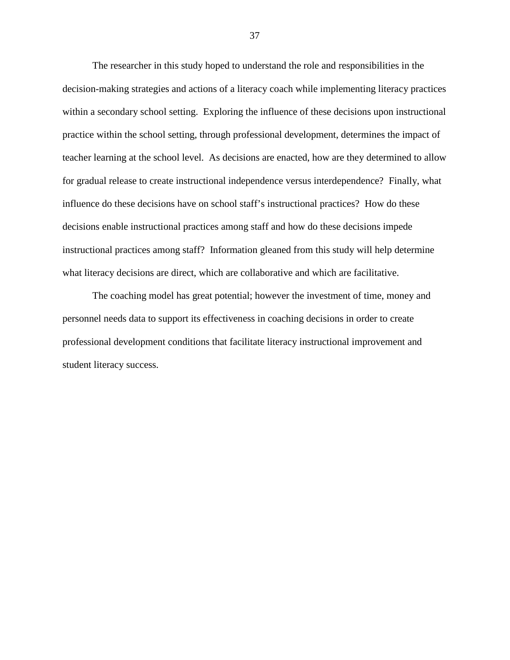The researcher in this study hoped to understand the role and responsibilities in the decision-making strategies and actions of a literacy coach while implementing literacy practices within a secondary school setting. Exploring the influence of these decisions upon instructional practice within the school setting, through professional development, determines the impact of teacher learning at the school level. As decisions are enacted, how are they determined to allow for gradual release to create instructional independence versus interdependence? Finally, what influence do these decisions have on school staff's instructional practices? How do these decisions enable instructional practices among staff and how do these decisions impede instructional practices among staff? Information gleaned from this study will help determine what literacy decisions are direct, which are collaborative and which are facilitative.

The coaching model has great potential; however the investment of time, money and personnel needs data to support its effectiveness in coaching decisions in order to create professional development conditions that facilitate literacy instructional improvement and student literacy success.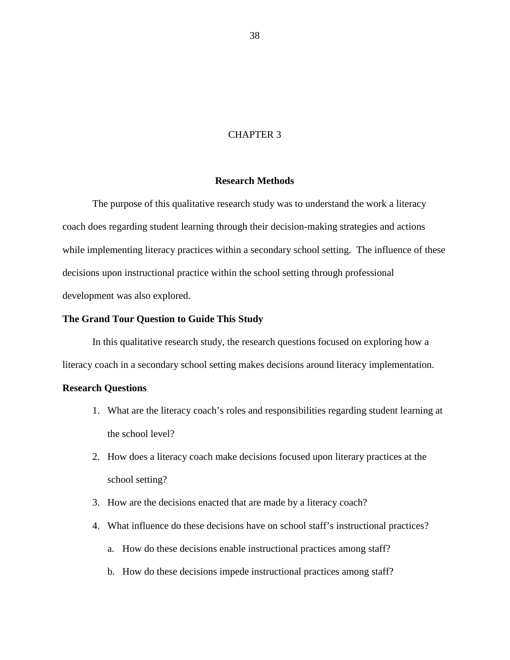# CHAPTER 3

## **Research Methods**

The purpose of this qualitative research study was to understand the work a literacy coach does regarding student learning through their decision-making strategies and actions while implementing literacy practices within a secondary school setting. The influence of these decisions upon instructional practice within the school setting through professional development was also explored.

# **The Grand Tour Question to Guide This Study**

In this qualitative research study, the research questions focused on exploring how a literacy coach in a secondary school setting makes decisions around literacy implementation.

## **Research Questions**

- 1. What are the literacy coach's roles and responsibilities regarding student learning at the school level?
- 2. How does a literacy coach make decisions focused upon literary practices at the school setting?
- 3. How are the decisions enacted that are made by a literacy coach?
- 4. What influence do these decisions have on school staff's instructional practices?
	- a. How do these decisions enable instructional practices among staff?
	- b. How do these decisions impede instructional practices among staff?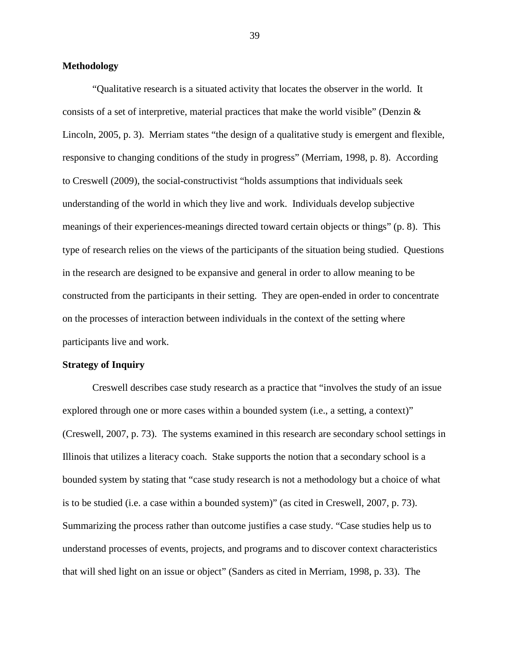# **Methodology**

"Qualitative research is a situated activity that locates the observer in the world. It consists of a set of interpretive, material practices that make the world visible" (Denzin  $\&$ Lincoln, 2005, p. 3). Merriam states "the design of a qualitative study is emergent and flexible, responsive to changing conditions of the study in progress" (Merriam, 1998, p. 8). According to Creswell (2009), the social-constructivist "holds assumptions that individuals seek understanding of the world in which they live and work. Individuals develop subjective meanings of their experiences-meanings directed toward certain objects or things" (p. 8). This type of research relies on the views of the participants of the situation being studied. Questions in the research are designed to be expansive and general in order to allow meaning to be constructed from the participants in their setting. They are open-ended in order to concentrate on the processes of interaction between individuals in the context of the setting where participants live and work.

#### **Strategy of Inquiry**

Creswell describes case study research as a practice that "involves the study of an issue explored through one or more cases within a bounded system (i.e., a setting, a context)" (Creswell, 2007, p. 73). The systems examined in this research are secondary school settings in Illinois that utilizes a literacy coach. Stake supports the notion that a secondary school is a bounded system by stating that "case study research is not a methodology but a choice of what is to be studied (i.e. a case within a bounded system)" (as cited in Creswell, 2007, p. 73). Summarizing the process rather than outcome justifies a case study. "Case studies help us to understand processes of events, projects, and programs and to discover context characteristics that will shed light on an issue or object" (Sanders as cited in Merriam, 1998, p. 33). The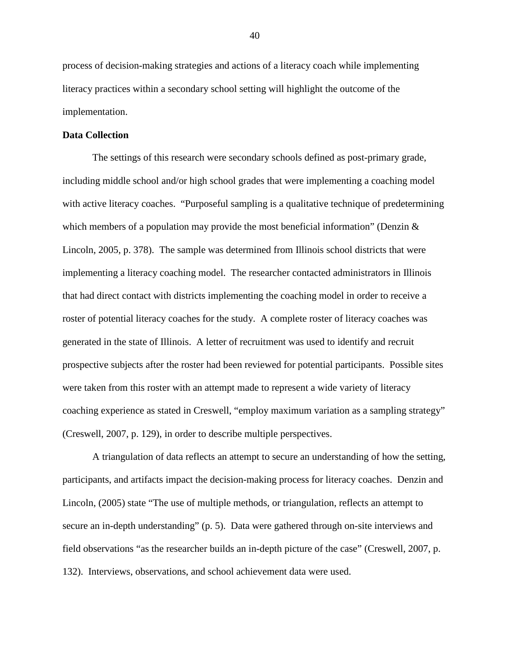process of decision-making strategies and actions of a literacy coach while implementing literacy practices within a secondary school setting will highlight the outcome of the implementation.

# **Data Collection**

The settings of this research were secondary schools defined as post-primary grade, including middle school and/or high school grades that were implementing a coaching model with active literacy coaches. "Purposeful sampling is a qualitative technique of predetermining which members of a population may provide the most beneficial information" (Denzin  $\&$ Lincoln, 2005, p. 378). The sample was determined from Illinois school districts that were implementing a literacy coaching model. The researcher contacted administrators in Illinois that had direct contact with districts implementing the coaching model in order to receive a roster of potential literacy coaches for the study. A complete roster of literacy coaches was generated in the state of Illinois. A letter of recruitment was used to identify and recruit prospective subjects after the roster had been reviewed for potential participants. Possible sites were taken from this roster with an attempt made to represent a wide variety of literacy coaching experience as stated in Creswell, "employ maximum variation as a sampling strategy" (Creswell, 2007, p. 129), in order to describe multiple perspectives.

A triangulation of data reflects an attempt to secure an understanding of how the setting, participants, and artifacts impact the decision-making process for literacy coaches. Denzin and Lincoln, (2005) state "The use of multiple methods, or triangulation, reflects an attempt to secure an in-depth understanding" (p. 5). Data were gathered through on-site interviews and field observations "as the researcher builds an in-depth picture of the case" (Creswell, 2007, p. 132). Interviews, observations, and school achievement data were used.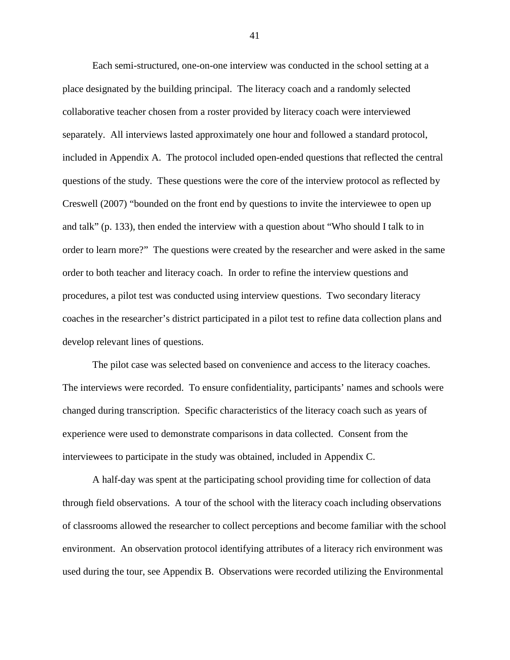Each semi-structured, one-on-one interview was conducted in the school setting at a place designated by the building principal. The literacy coach and a randomly selected collaborative teacher chosen from a roster provided by literacy coach were interviewed separately. All interviews lasted approximately one hour and followed a standard protocol, included in Appendix A. The protocol included open-ended questions that reflected the central questions of the study. These questions were the core of the interview protocol as reflected by Creswell (2007) "bounded on the front end by questions to invite the interviewee to open up and talk" (p. 133), then ended the interview with a question about "Who should I talk to in order to learn more?" The questions were created by the researcher and were asked in the same order to both teacher and literacy coach. In order to refine the interview questions and procedures, a pilot test was conducted using interview questions. Two secondary literacy coaches in the researcher's district participated in a pilot test to refine data collection plans and develop relevant lines of questions.

The pilot case was selected based on convenience and access to the literacy coaches. The interviews were recorded. To ensure confidentiality, participants' names and schools were changed during transcription. Specific characteristics of the literacy coach such as years of experience were used to demonstrate comparisons in data collected. Consent from the interviewees to participate in the study was obtained, included in Appendix C.

A half-day was spent at the participating school providing time for collection of data through field observations. A tour of the school with the literacy coach including observations of classrooms allowed the researcher to collect perceptions and become familiar with the school environment. An observation protocol identifying attributes of a literacy rich environment was used during the tour, see Appendix B. Observations were recorded utilizing the Environmental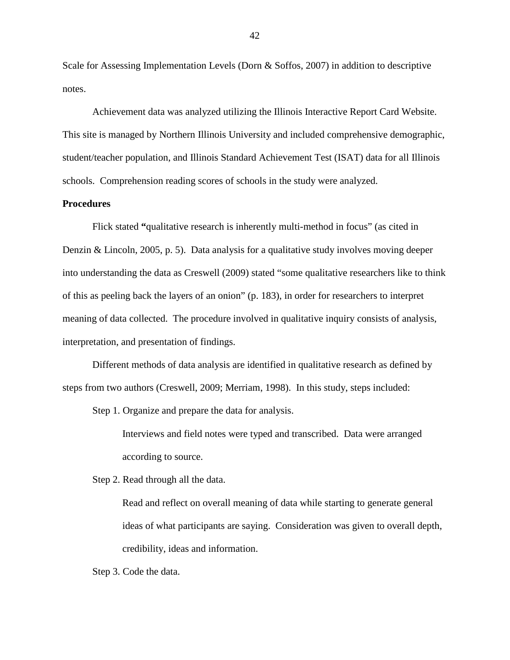Scale for Assessing Implementation Levels (Dorn & Soffos, 2007) in addition to descriptive notes.

Achievement data was analyzed utilizing the Illinois Interactive Report Card Website. This site is managed by Northern Illinois University and included comprehensive demographic, student/teacher population, and Illinois Standard Achievement Test (ISAT) data for all Illinois schools. Comprehension reading scores of schools in the study were analyzed.

# **Procedures**

Flick stated **"**qualitative research is inherently multi-method in focus" (as cited in Denzin & Lincoln, 2005, p. 5). Data analysis for a qualitative study involves moving deeper into understanding the data as Creswell (2009) stated "some qualitative researchers like to think of this as peeling back the layers of an onion" (p. 183), in order for researchers to interpret meaning of data collected. The procedure involved in qualitative inquiry consists of analysis, interpretation, and presentation of findings.

Different methods of data analysis are identified in qualitative research as defined by steps from two authors (Creswell, 2009; Merriam, 1998). In this study, steps included:

Step 1. Organize and prepare the data for analysis.

Interviews and field notes were typed and transcribed. Data were arranged according to source.

Step 2. Read through all the data.

Read and reflect on overall meaning of data while starting to generate general ideas of what participants are saying. Consideration was given to overall depth, credibility, ideas and information.

Step 3. Code the data.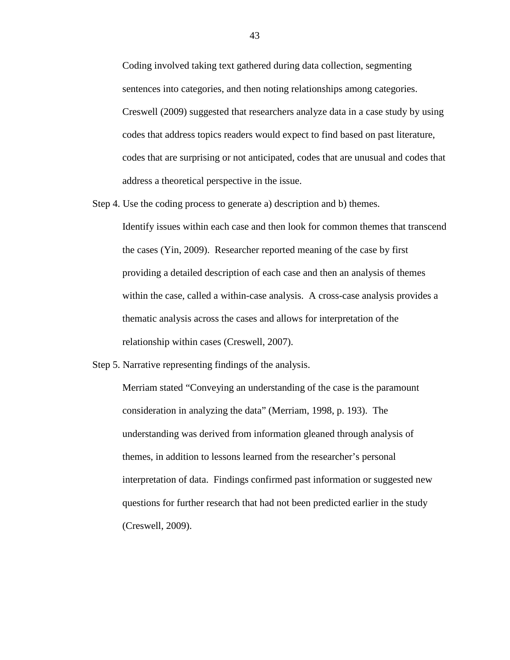Coding involved taking text gathered during data collection, segmenting sentences into categories, and then noting relationships among categories. Creswell (2009) suggested that researchers analyze data in a case study by using codes that address topics readers would expect to find based on past literature, codes that are surprising or not anticipated, codes that are unusual and codes that address a theoretical perspective in the issue.

Step 4. Use the coding process to generate a) description and b) themes.

Identify issues within each case and then look for common themes that transcend the cases (Yin, 2009). Researcher reported meaning of the case by first providing a detailed description of each case and then an analysis of themes within the case, called a within-case analysis. A cross-case analysis provides a thematic analysis across the cases and allows for interpretation of the relationship within cases (Creswell, 2007).

Step 5. Narrative representing findings of the analysis.

Merriam stated "Conveying an understanding of the case is the paramount consideration in analyzing the data" (Merriam, 1998, p. 193). The understanding was derived from information gleaned through analysis of themes, in addition to lessons learned from the researcher's personal interpretation of data. Findings confirmed past information or suggested new questions for further research that had not been predicted earlier in the study (Creswell, 2009).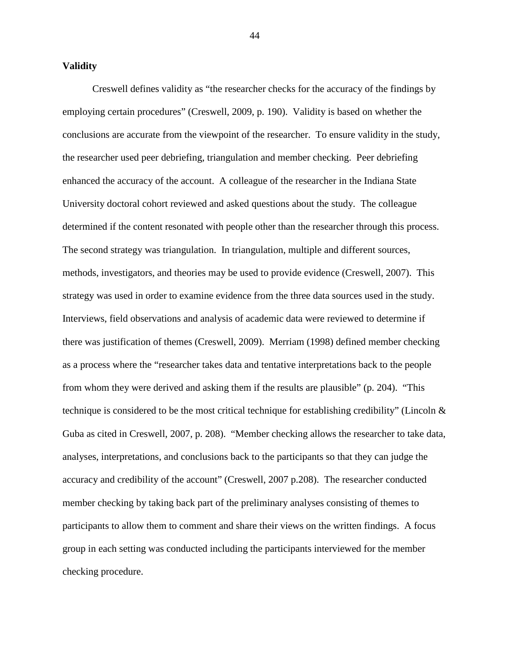### **Validity**

Creswell defines validity as "the researcher checks for the accuracy of the findings by employing certain procedures" (Creswell, 2009, p. 190). Validity is based on whether the conclusions are accurate from the viewpoint of the researcher. To ensure validity in the study, the researcher used peer debriefing, triangulation and member checking. Peer debriefing enhanced the accuracy of the account. A colleague of the researcher in the Indiana State University doctoral cohort reviewed and asked questions about the study. The colleague determined if the content resonated with people other than the researcher through this process. The second strategy was triangulation. In triangulation, multiple and different sources, methods, investigators, and theories may be used to provide evidence (Creswell, 2007). This strategy was used in order to examine evidence from the three data sources used in the study. Interviews, field observations and analysis of academic data were reviewed to determine if there was justification of themes (Creswell, 2009). Merriam (1998) defined member checking as a process where the "researcher takes data and tentative interpretations back to the people from whom they were derived and asking them if the results are plausible" (p. 204). "This technique is considered to be the most critical technique for establishing credibility" (Lincoln & Guba as cited in Creswell, 2007, p. 208). "Member checking allows the researcher to take data, analyses, interpretations, and conclusions back to the participants so that they can judge the accuracy and credibility of the account" (Creswell, 2007 p.208). The researcher conducted member checking by taking back part of the preliminary analyses consisting of themes to participants to allow them to comment and share their views on the written findings. A focus group in each setting was conducted including the participants interviewed for the member checking procedure.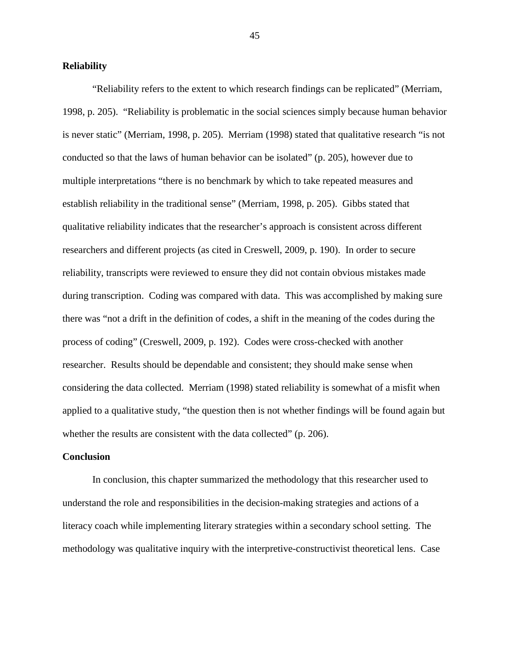# **Reliability**

"Reliability refers to the extent to which research findings can be replicated" (Merriam, 1998, p. 205). "Reliability is problematic in the social sciences simply because human behavior is never static" (Merriam, 1998, p. 205). Merriam (1998) stated that qualitative research "is not conducted so that the laws of human behavior can be isolated" (p. 205), however due to multiple interpretations "there is no benchmark by which to take repeated measures and establish reliability in the traditional sense" (Merriam, 1998, p. 205). Gibbs stated that qualitative reliability indicates that the researcher's approach is consistent across different researchers and different projects (as cited in Creswell, 2009, p. 190). In order to secure reliability, transcripts were reviewed to ensure they did not contain obvious mistakes made during transcription. Coding was compared with data. This was accomplished by making sure there was "not a drift in the definition of codes, a shift in the meaning of the codes during the process of coding" (Creswell, 2009, p. 192). Codes were cross-checked with another researcher. Results should be dependable and consistent; they should make sense when considering the data collected. Merriam (1998) stated reliability is somewhat of a misfit when applied to a qualitative study, "the question then is not whether findings will be found again but whether the results are consistent with the data collected" (p. 206).

#### **Conclusion**

In conclusion, this chapter summarized the methodology that this researcher used to understand the role and responsibilities in the decision-making strategies and actions of a literacy coach while implementing literary strategies within a secondary school setting. The methodology was qualitative inquiry with the interpretive-constructivist theoretical lens. Case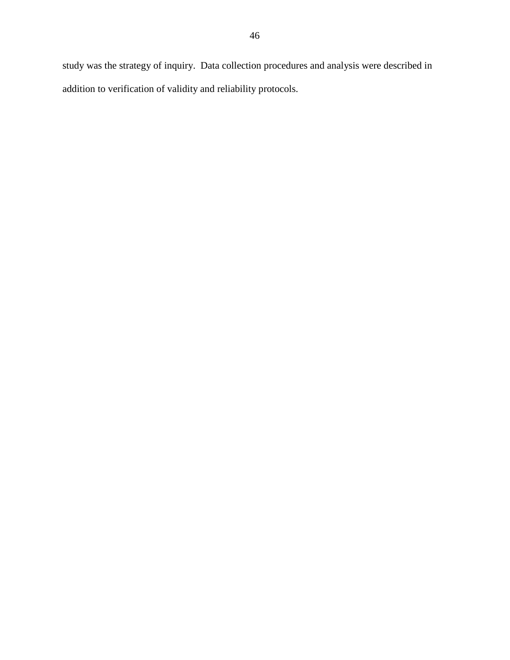study was the strategy of inquiry. Data collection procedures and analysis were described in addition to verification of validity and reliability protocols.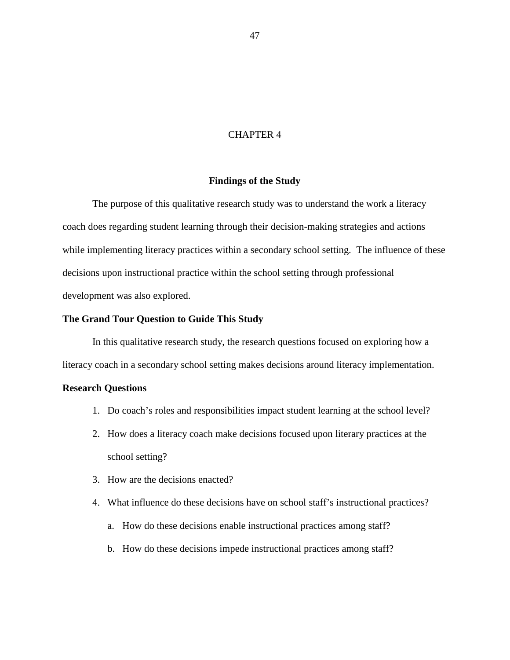# CHAPTER 4

## **Findings of the Study**

The purpose of this qualitative research study was to understand the work a literacy coach does regarding student learning through their decision-making strategies and actions while implementing literacy practices within a secondary school setting. The influence of these decisions upon instructional practice within the school setting through professional development was also explored.

# **The Grand Tour Question to Guide This Study**

In this qualitative research study, the research questions focused on exploring how a literacy coach in a secondary school setting makes decisions around literacy implementation.

## **Research Questions**

- 1. Do coach's roles and responsibilities impact student learning at the school level?
- 2. How does a literacy coach make decisions focused upon literary practices at the school setting?
- 3. How are the decisions enacted?
- 4. What influence do these decisions have on school staff's instructional practices?
	- a. How do these decisions enable instructional practices among staff?
	- b. How do these decisions impede instructional practices among staff?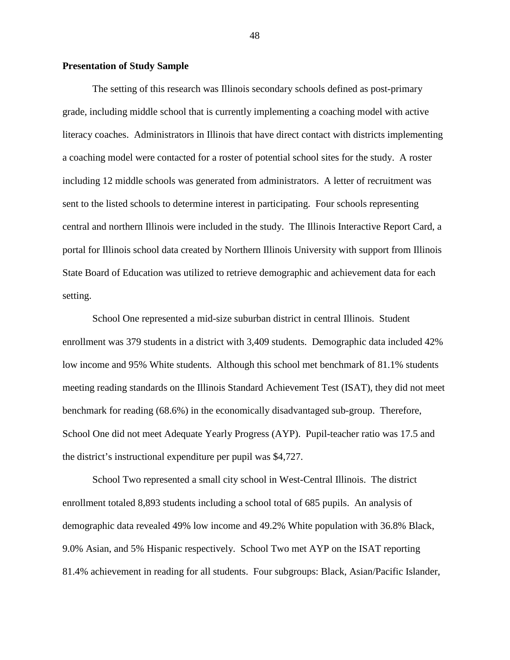# **Presentation of Study Sample**

The setting of this research was Illinois secondary schools defined as post-primary grade, including middle school that is currently implementing a coaching model with active literacy coaches. Administrators in Illinois that have direct contact with districts implementing a coaching model were contacted for a roster of potential school sites for the study. A roster including 12 middle schools was generated from administrators. A letter of recruitment was sent to the listed schools to determine interest in participating. Four schools representing central and northern Illinois were included in the study. The Illinois Interactive Report Card, a portal for Illinois school data created by Northern Illinois University with support from Illinois State Board of Education was utilized to retrieve demographic and achievement data for each setting.

School One represented a mid-size suburban district in central Illinois. Student enrollment was 379 students in a district with 3,409 students. Demographic data included 42% low income and 95% White students. Although this school met benchmark of 81.1% students meeting reading standards on the Illinois Standard Achievement Test (ISAT), they did not meet benchmark for reading (68.6%) in the economically disadvantaged sub-group. Therefore, School One did not meet Adequate Yearly Progress (AYP). Pupil-teacher ratio was 17.5 and the district's instructional expenditure per pupil was \$4,727.

School Two represented a small city school in West-Central Illinois. The district enrollment totaled 8,893 students including a school total of 685 pupils. An analysis of demographic data revealed 49% low income and 49.2% White population with 36.8% Black, 9.0% Asian, and 5% Hispanic respectively. School Two met AYP on the ISAT reporting 81.4% achievement in reading for all students. Four subgroups: Black, Asian/Pacific Islander,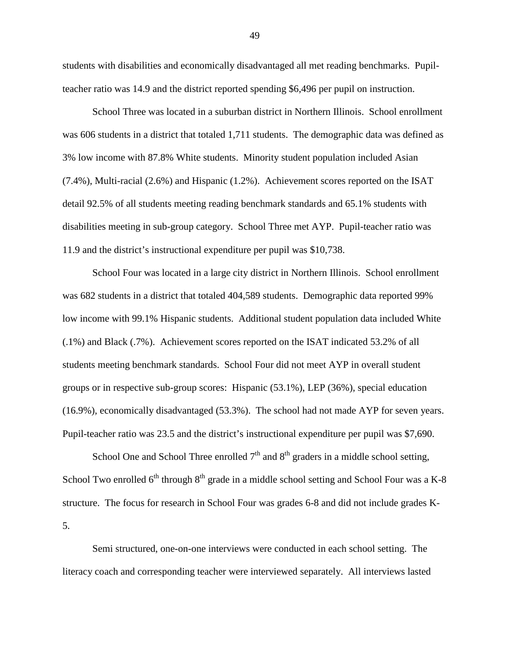students with disabilities and economically disadvantaged all met reading benchmarks. Pupilteacher ratio was 14.9 and the district reported spending \$6,496 per pupil on instruction.

School Three was located in a suburban district in Northern Illinois. School enrollment was 606 students in a district that totaled 1,711 students. The demographic data was defined as 3% low income with 87.8% White students. Minority student population included Asian (7.4%), Multi-racial (2.6%) and Hispanic (1.2%). Achievement scores reported on the ISAT detail 92.5% of all students meeting reading benchmark standards and 65.1% students with disabilities meeting in sub-group category. School Three met AYP. Pupil-teacher ratio was 11.9 and the district's instructional expenditure per pupil was \$10,738.

School Four was located in a large city district in Northern Illinois. School enrollment was 682 students in a district that totaled 404,589 students. Demographic data reported 99% low income with 99.1% Hispanic students. Additional student population data included White (.1%) and Black (.7%). Achievement scores reported on the ISAT indicated 53.2% of all students meeting benchmark standards. School Four did not meet AYP in overall student groups or in respective sub-group scores: Hispanic (53.1%), LEP (36%), special education (16.9%), economically disadvantaged (53.3%). The school had not made AYP for seven years. Pupil-teacher ratio was 23.5 and the district's instructional expenditure per pupil was \$7,690.

School One and School Three enrolled  $7<sup>th</sup>$  and  $8<sup>th</sup>$  graders in a middle school setting, School Two enrolled  $6<sup>th</sup>$  through  $8<sup>th</sup>$  grade in a middle school setting and School Four was a K-8 structure. The focus for research in School Four was grades 6-8 and did not include grades K-5.

Semi structured, one-on-one interviews were conducted in each school setting. The literacy coach and corresponding teacher were interviewed separately. All interviews lasted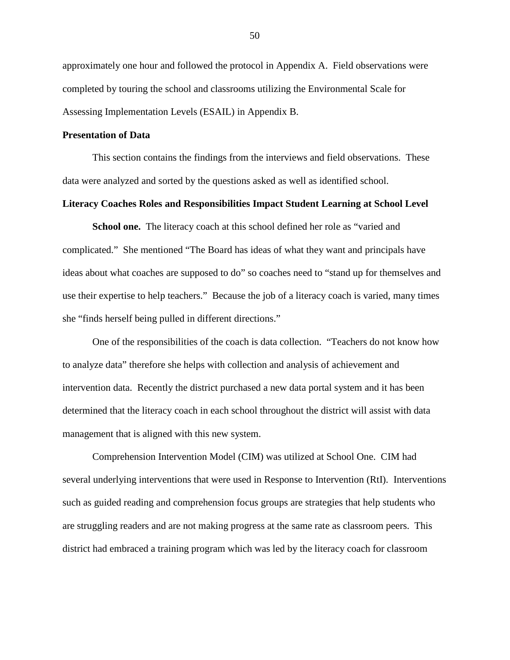approximately one hour and followed the protocol in Appendix A. Field observations were completed by touring the school and classrooms utilizing the Environmental Scale for Assessing Implementation Levels (ESAIL) in Appendix B.

# **Presentation of Data**

This section contains the findings from the interviews and field observations. These data were analyzed and sorted by the questions asked as well as identified school.

# **Literacy Coaches Roles and Responsibilities Impact Student Learning at School Level**

**School one.** The literacy coach at this school defined her role as "varied and complicated." She mentioned "The Board has ideas of what they want and principals have ideas about what coaches are supposed to do" so coaches need to "stand up for themselves and use their expertise to help teachers." Because the job of a literacy coach is varied, many times she "finds herself being pulled in different directions."

One of the responsibilities of the coach is data collection. "Teachers do not know how to analyze data" therefore she helps with collection and analysis of achievement and intervention data. Recently the district purchased a new data portal system and it has been determined that the literacy coach in each school throughout the district will assist with data management that is aligned with this new system.

Comprehension Intervention Model (CIM) was utilized at School One. CIM had several underlying interventions that were used in Response to Intervention (RtI). Interventions such as guided reading and comprehension focus groups are strategies that help students who are struggling readers and are not making progress at the same rate as classroom peers. This district had embraced a training program which was led by the literacy coach for classroom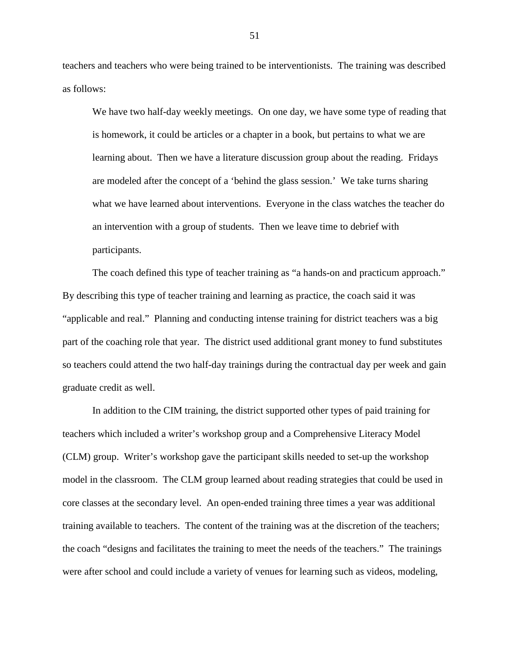teachers and teachers who were being trained to be interventionists. The training was described as follows:

We have two half-day weekly meetings. On one day, we have some type of reading that is homework, it could be articles or a chapter in a book, but pertains to what we are learning about. Then we have a literature discussion group about the reading. Fridays are modeled after the concept of a 'behind the glass session.' We take turns sharing what we have learned about interventions. Everyone in the class watches the teacher do an intervention with a group of students. Then we leave time to debrief with participants.

The coach defined this type of teacher training as "a hands-on and practicum approach." By describing this type of teacher training and learning as practice, the coach said it was "applicable and real." Planning and conducting intense training for district teachers was a big part of the coaching role that year. The district used additional grant money to fund substitutes so teachers could attend the two half-day trainings during the contractual day per week and gain graduate credit as well.

In addition to the CIM training, the district supported other types of paid training for teachers which included a writer's workshop group and a Comprehensive Literacy Model (CLM) group. Writer's workshop gave the participant skills needed to set-up the workshop model in the classroom. The CLM group learned about reading strategies that could be used in core classes at the secondary level. An open-ended training three times a year was additional training available to teachers. The content of the training was at the discretion of the teachers; the coach "designs and facilitates the training to meet the needs of the teachers." The trainings were after school and could include a variety of venues for learning such as videos, modeling,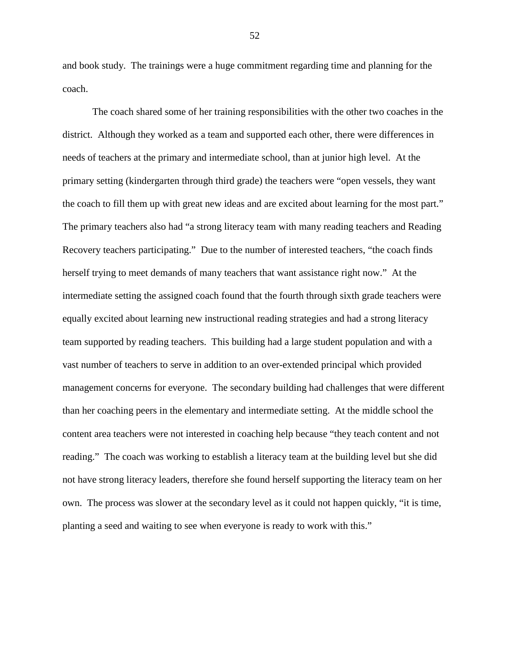and book study. The trainings were a huge commitment regarding time and planning for the coach.

The coach shared some of her training responsibilities with the other two coaches in the district. Although they worked as a team and supported each other, there were differences in needs of teachers at the primary and intermediate school, than at junior high level. At the primary setting (kindergarten through third grade) the teachers were "open vessels, they want the coach to fill them up with great new ideas and are excited about learning for the most part." The primary teachers also had "a strong literacy team with many reading teachers and Reading Recovery teachers participating." Due to the number of interested teachers, "the coach finds herself trying to meet demands of many teachers that want assistance right now." At the intermediate setting the assigned coach found that the fourth through sixth grade teachers were equally excited about learning new instructional reading strategies and had a strong literacy team supported by reading teachers. This building had a large student population and with a vast number of teachers to serve in addition to an over-extended principal which provided management concerns for everyone. The secondary building had challenges that were different than her coaching peers in the elementary and intermediate setting. At the middle school the content area teachers were not interested in coaching help because "they teach content and not reading." The coach was working to establish a literacy team at the building level but she did not have strong literacy leaders, therefore she found herself supporting the literacy team on her own. The process was slower at the secondary level as it could not happen quickly, "it is time, planting a seed and waiting to see when everyone is ready to work with this."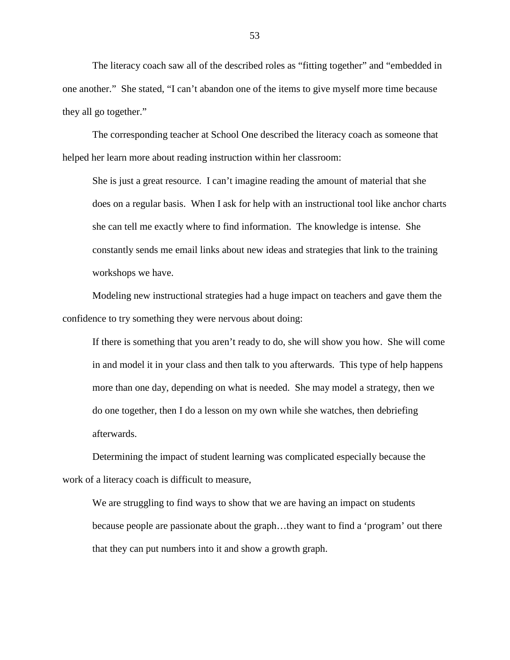The literacy coach saw all of the described roles as "fitting together" and "embedded in one another." She stated, "I can't abandon one of the items to give myself more time because they all go together."

The corresponding teacher at School One described the literacy coach as someone that helped her learn more about reading instruction within her classroom:

She is just a great resource. I can't imagine reading the amount of material that she does on a regular basis. When I ask for help with an instructional tool like anchor charts she can tell me exactly where to find information. The knowledge is intense. She constantly sends me email links about new ideas and strategies that link to the training workshops we have.

Modeling new instructional strategies had a huge impact on teachers and gave them the confidence to try something they were nervous about doing:

If there is something that you aren't ready to do, she will show you how. She will come in and model it in your class and then talk to you afterwards. This type of help happens more than one day, depending on what is needed. She may model a strategy, then we do one together, then I do a lesson on my own while she watches, then debriefing afterwards.

Determining the impact of student learning was complicated especially because the work of a literacy coach is difficult to measure,

We are struggling to find ways to show that we are having an impact on students because people are passionate about the graph…they want to find a 'program' out there that they can put numbers into it and show a growth graph.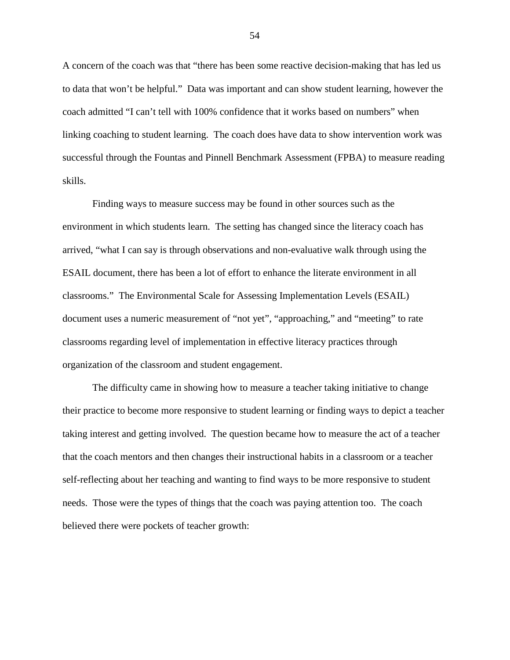A concern of the coach was that "there has been some reactive decision-making that has led us to data that won't be helpful." Data was important and can show student learning, however the coach admitted "I can't tell with 100% confidence that it works based on numbers" when linking coaching to student learning. The coach does have data to show intervention work was successful through the Fountas and Pinnell Benchmark Assessment (FPBA) to measure reading skills.

Finding ways to measure success may be found in other sources such as the environment in which students learn. The setting has changed since the literacy coach has arrived, "what I can say is through observations and non-evaluative walk through using the ESAIL document, there has been a lot of effort to enhance the literate environment in all classrooms." The Environmental Scale for Assessing Implementation Levels (ESAIL) document uses a numeric measurement of "not yet", "approaching," and "meeting" to rate classrooms regarding level of implementation in effective literacy practices through organization of the classroom and student engagement.

The difficulty came in showing how to measure a teacher taking initiative to change their practice to become more responsive to student learning or finding ways to depict a teacher taking interest and getting involved. The question became how to measure the act of a teacher that the coach mentors and then changes their instructional habits in a classroom or a teacher self-reflecting about her teaching and wanting to find ways to be more responsive to student needs. Those were the types of things that the coach was paying attention too. The coach believed there were pockets of teacher growth: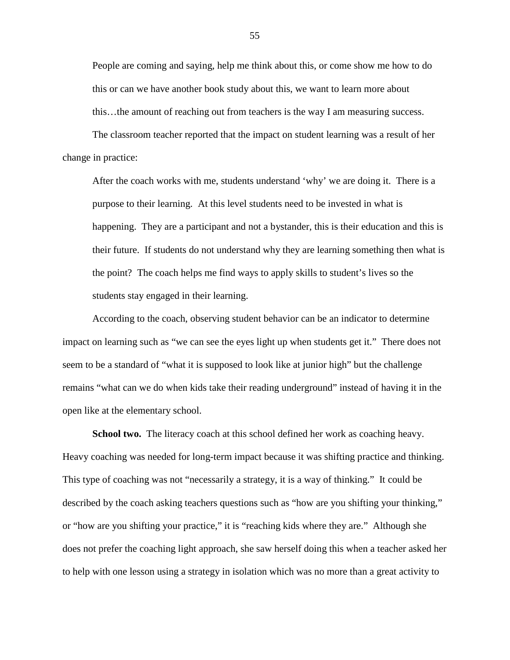People are coming and saying, help me think about this, or come show me how to do this or can we have another book study about this, we want to learn more about this…the amount of reaching out from teachers is the way I am measuring success.

The classroom teacher reported that the impact on student learning was a result of her change in practice:

After the coach works with me, students understand 'why' we are doing it. There is a purpose to their learning. At this level students need to be invested in what is happening. They are a participant and not a bystander, this is their education and this is their future. If students do not understand why they are learning something then what is the point? The coach helps me find ways to apply skills to student's lives so the students stay engaged in their learning.

According to the coach, observing student behavior can be an indicator to determine impact on learning such as "we can see the eyes light up when students get it." There does not seem to be a standard of "what it is supposed to look like at junior high" but the challenge remains "what can we do when kids take their reading underground" instead of having it in the open like at the elementary school.

**School two.** The literacy coach at this school defined her work as coaching heavy. Heavy coaching was needed for long-term impact because it was shifting practice and thinking. This type of coaching was not "necessarily a strategy, it is a way of thinking." It could be described by the coach asking teachers questions such as "how are you shifting your thinking," or "how are you shifting your practice," it is "reaching kids where they are." Although she does not prefer the coaching light approach, she saw herself doing this when a teacher asked her to help with one lesson using a strategy in isolation which was no more than a great activity to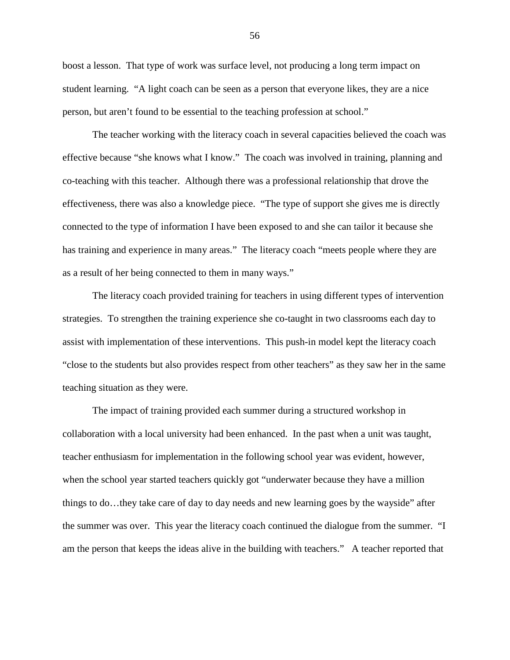boost a lesson. That type of work was surface level, not producing a long term impact on student learning. "A light coach can be seen as a person that everyone likes, they are a nice person, but aren't found to be essential to the teaching profession at school."

The teacher working with the literacy coach in several capacities believed the coach was effective because "she knows what I know." The coach was involved in training, planning and co-teaching with this teacher. Although there was a professional relationship that drove the effectiveness, there was also a knowledge piece. "The type of support she gives me is directly connected to the type of information I have been exposed to and she can tailor it because she has training and experience in many areas." The literacy coach "meets people where they are as a result of her being connected to them in many ways."

The literacy coach provided training for teachers in using different types of intervention strategies. To strengthen the training experience she co-taught in two classrooms each day to assist with implementation of these interventions. This push-in model kept the literacy coach "close to the students but also provides respect from other teachers" as they saw her in the same teaching situation as they were.

The impact of training provided each summer during a structured workshop in collaboration with a local university had been enhanced. In the past when a unit was taught, teacher enthusiasm for implementation in the following school year was evident, however, when the school year started teachers quickly got "underwater because they have a million things to do…they take care of day to day needs and new learning goes by the wayside" after the summer was over. This year the literacy coach continued the dialogue from the summer. "I am the person that keeps the ideas alive in the building with teachers." A teacher reported that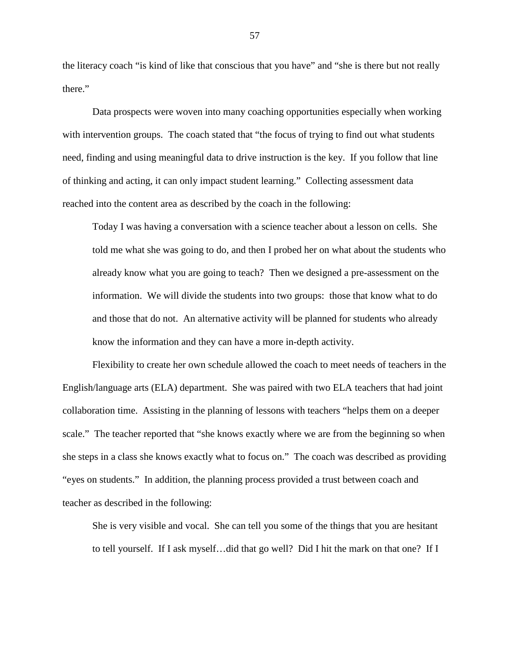the literacy coach "is kind of like that conscious that you have" and "she is there but not really there."

Data prospects were woven into many coaching opportunities especially when working with intervention groups. The coach stated that "the focus of trying to find out what students need, finding and using meaningful data to drive instruction is the key. If you follow that line of thinking and acting, it can only impact student learning." Collecting assessment data reached into the content area as described by the coach in the following:

Today I was having a conversation with a science teacher about a lesson on cells. She told me what she was going to do, and then I probed her on what about the students who already know what you are going to teach? Then we designed a pre-assessment on the information. We will divide the students into two groups: those that know what to do and those that do not. An alternative activity will be planned for students who already know the information and they can have a more in-depth activity.

Flexibility to create her own schedule allowed the coach to meet needs of teachers in the English/language arts (ELA) department. She was paired with two ELA teachers that had joint collaboration time. Assisting in the planning of lessons with teachers "helps them on a deeper scale." The teacher reported that "she knows exactly where we are from the beginning so when she steps in a class she knows exactly what to focus on." The coach was described as providing "eyes on students." In addition, the planning process provided a trust between coach and teacher as described in the following:

She is very visible and vocal. She can tell you some of the things that you are hesitant to tell yourself. If I ask myself…did that go well? Did I hit the mark on that one? If I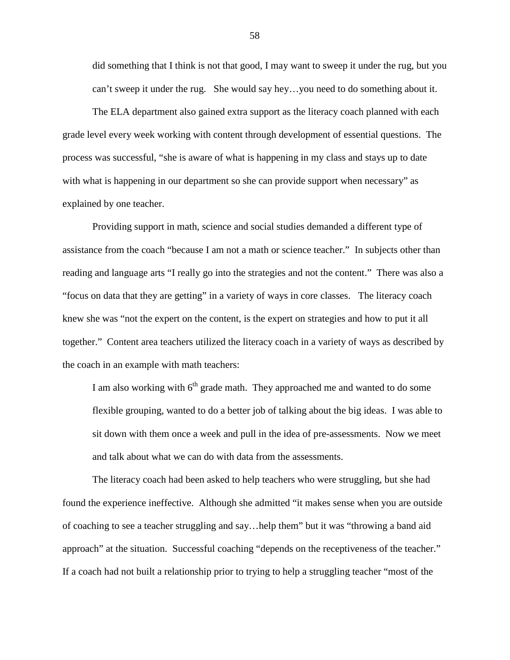did something that I think is not that good, I may want to sweep it under the rug, but you can't sweep it under the rug. She would say hey…you need to do something about it.

The ELA department also gained extra support as the literacy coach planned with each grade level every week working with content through development of essential questions. The process was successful, "she is aware of what is happening in my class and stays up to date with what is happening in our department so she can provide support when necessary" as explained by one teacher.

Providing support in math, science and social studies demanded a different type of assistance from the coach "because I am not a math or science teacher." In subjects other than reading and language arts "I really go into the strategies and not the content." There was also a "focus on data that they are getting" in a variety of ways in core classes. The literacy coach knew she was "not the expert on the content, is the expert on strategies and how to put it all together." Content area teachers utilized the literacy coach in a variety of ways as described by the coach in an example with math teachers:

I am also working with  $6<sup>th</sup>$  grade math. They approached me and wanted to do some flexible grouping, wanted to do a better job of talking about the big ideas. I was able to sit down with them once a week and pull in the idea of pre-assessments. Now we meet and talk about what we can do with data from the assessments.

The literacy coach had been asked to help teachers who were struggling, but she had found the experience ineffective. Although she admitted "it makes sense when you are outside of coaching to see a teacher struggling and say…help them" but it was "throwing a band aid approach" at the situation. Successful coaching "depends on the receptiveness of the teacher." If a coach had not built a relationship prior to trying to help a struggling teacher "most of the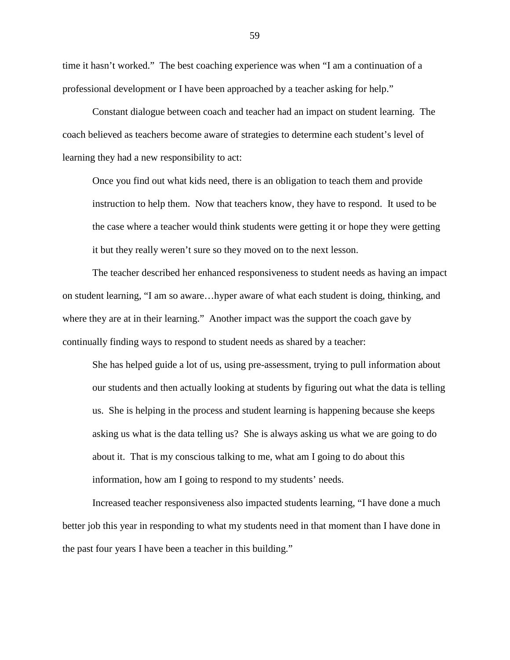time it hasn't worked." The best coaching experience was when "I am a continuation of a professional development or I have been approached by a teacher asking for help."

Constant dialogue between coach and teacher had an impact on student learning. The coach believed as teachers become aware of strategies to determine each student's level of learning they had a new responsibility to act:

Once you find out what kids need, there is an obligation to teach them and provide instruction to help them. Now that teachers know, they have to respond. It used to be the case where a teacher would think students were getting it or hope they were getting it but they really weren't sure so they moved on to the next lesson.

The teacher described her enhanced responsiveness to student needs as having an impact on student learning, "I am so aware…hyper aware of what each student is doing, thinking, and where they are at in their learning." Another impact was the support the coach gave by continually finding ways to respond to student needs as shared by a teacher:

She has helped guide a lot of us, using pre-assessment, trying to pull information about our students and then actually looking at students by figuring out what the data is telling us. She is helping in the process and student learning is happening because she keeps asking us what is the data telling us? She is always asking us what we are going to do about it. That is my conscious talking to me, what am I going to do about this information, how am I going to respond to my students' needs.

Increased teacher responsiveness also impacted students learning, "I have done a much better job this year in responding to what my students need in that moment than I have done in the past four years I have been a teacher in this building."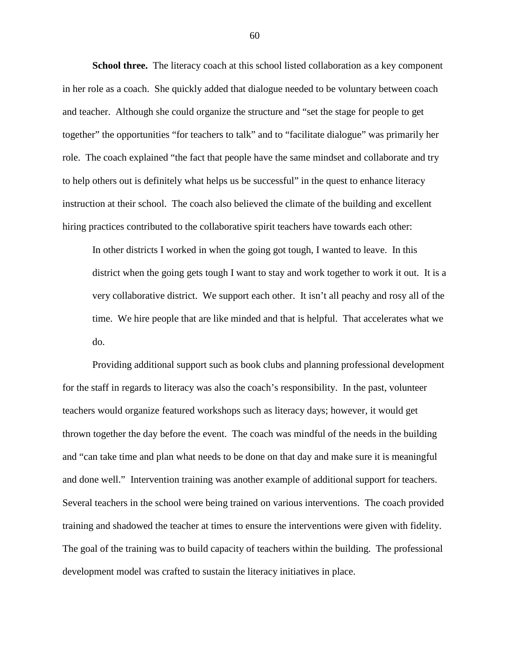**School three.** The literacy coach at this school listed collaboration as a key component in her role as a coach. She quickly added that dialogue needed to be voluntary between coach and teacher. Although she could organize the structure and "set the stage for people to get together" the opportunities "for teachers to talk" and to "facilitate dialogue" was primarily her role. The coach explained "the fact that people have the same mindset and collaborate and try to help others out is definitely what helps us be successful" in the quest to enhance literacy instruction at their school. The coach also believed the climate of the building and excellent hiring practices contributed to the collaborative spirit teachers have towards each other:

In other districts I worked in when the going got tough, I wanted to leave. In this district when the going gets tough I want to stay and work together to work it out. It is a very collaborative district. We support each other. It isn't all peachy and rosy all of the time. We hire people that are like minded and that is helpful. That accelerates what we do.

Providing additional support such as book clubs and planning professional development for the staff in regards to literacy was also the coach's responsibility. In the past, volunteer teachers would organize featured workshops such as literacy days; however, it would get thrown together the day before the event. The coach was mindful of the needs in the building and "can take time and plan what needs to be done on that day and make sure it is meaningful and done well." Intervention training was another example of additional support for teachers. Several teachers in the school were being trained on various interventions. The coach provided training and shadowed the teacher at times to ensure the interventions were given with fidelity. The goal of the training was to build capacity of teachers within the building. The professional development model was crafted to sustain the literacy initiatives in place.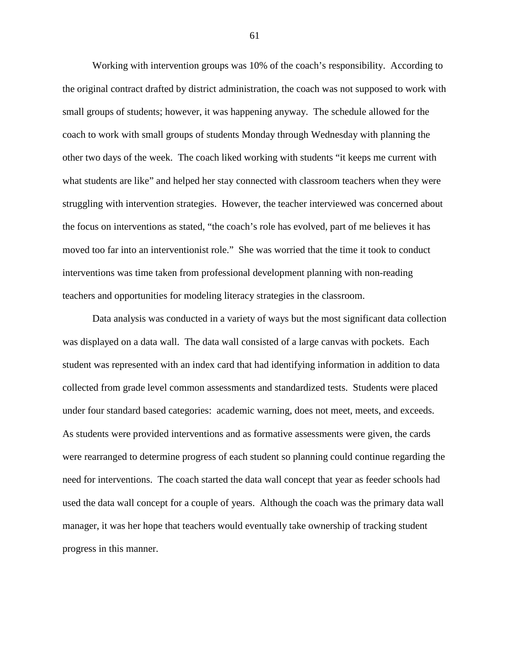Working with intervention groups was 10% of the coach's responsibility. According to the original contract drafted by district administration, the coach was not supposed to work with small groups of students; however, it was happening anyway. The schedule allowed for the coach to work with small groups of students Monday through Wednesday with planning the other two days of the week. The coach liked working with students "it keeps me current with what students are like" and helped her stay connected with classroom teachers when they were struggling with intervention strategies. However, the teacher interviewed was concerned about the focus on interventions as stated, "the coach's role has evolved, part of me believes it has moved too far into an interventionist role." She was worried that the time it took to conduct interventions was time taken from professional development planning with non-reading teachers and opportunities for modeling literacy strategies in the classroom.

Data analysis was conducted in a variety of ways but the most significant data collection was displayed on a data wall. The data wall consisted of a large canvas with pockets. Each student was represented with an index card that had identifying information in addition to data collected from grade level common assessments and standardized tests. Students were placed under four standard based categories: academic warning, does not meet, meets, and exceeds. As students were provided interventions and as formative assessments were given, the cards were rearranged to determine progress of each student so planning could continue regarding the need for interventions. The coach started the data wall concept that year as feeder schools had used the data wall concept for a couple of years. Although the coach was the primary data wall manager, it was her hope that teachers would eventually take ownership of tracking student progress in this manner.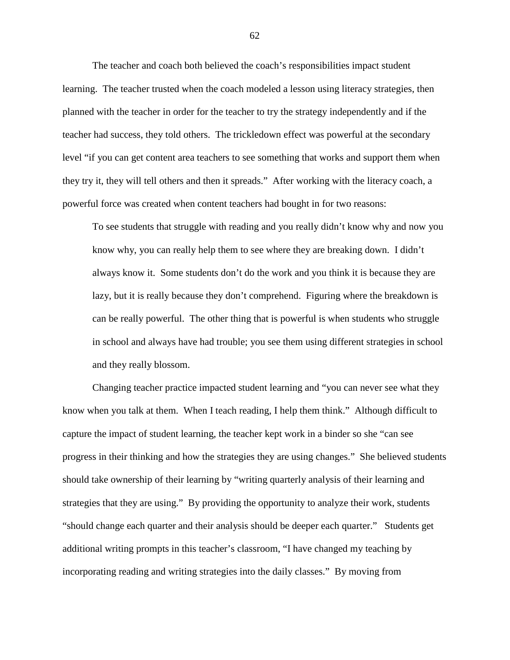The teacher and coach both believed the coach's responsibilities impact student learning. The teacher trusted when the coach modeled a lesson using literacy strategies, then planned with the teacher in order for the teacher to try the strategy independently and if the teacher had success, they told others. The trickledown effect was powerful at the secondary level "if you can get content area teachers to see something that works and support them when they try it, they will tell others and then it spreads." After working with the literacy coach, a powerful force was created when content teachers had bought in for two reasons:

To see students that struggle with reading and you really didn't know why and now you know why, you can really help them to see where they are breaking down. I didn't always know it. Some students don't do the work and you think it is because they are lazy, but it is really because they don't comprehend. Figuring where the breakdown is can be really powerful. The other thing that is powerful is when students who struggle in school and always have had trouble; you see them using different strategies in school and they really blossom.

Changing teacher practice impacted student learning and "you can never see what they know when you talk at them. When I teach reading, I help them think." Although difficult to capture the impact of student learning, the teacher kept work in a binder so she "can see progress in their thinking and how the strategies they are using changes." She believed students should take ownership of their learning by "writing quarterly analysis of their learning and strategies that they are using." By providing the opportunity to analyze their work, students "should change each quarter and their analysis should be deeper each quarter." Students get additional writing prompts in this teacher's classroom, "I have changed my teaching by incorporating reading and writing strategies into the daily classes." By moving from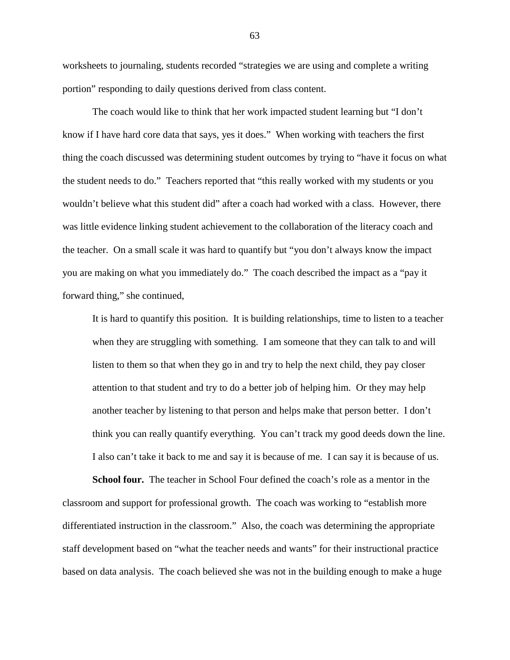worksheets to journaling, students recorded "strategies we are using and complete a writing portion" responding to daily questions derived from class content.

The coach would like to think that her work impacted student learning but "I don't know if I have hard core data that says, yes it does." When working with teachers the first thing the coach discussed was determining student outcomes by trying to "have it focus on what the student needs to do." Teachers reported that "this really worked with my students or you wouldn't believe what this student did" after a coach had worked with a class. However, there was little evidence linking student achievement to the collaboration of the literacy coach and the teacher. On a small scale it was hard to quantify but "you don't always know the impact you are making on what you immediately do." The coach described the impact as a "pay it forward thing," she continued,

It is hard to quantify this position. It is building relationships, time to listen to a teacher when they are struggling with something. I am someone that they can talk to and will listen to them so that when they go in and try to help the next child, they pay closer attention to that student and try to do a better job of helping him. Or they may help another teacher by listening to that person and helps make that person better. I don't think you can really quantify everything. You can't track my good deeds down the line. I also can't take it back to me and say it is because of me. I can say it is because of us.

**School four.** The teacher in School Four defined the coach's role as a mentor in the classroom and support for professional growth. The coach was working to "establish more differentiated instruction in the classroom." Also, the coach was determining the appropriate staff development based on "what the teacher needs and wants" for their instructional practice based on data analysis. The coach believed she was not in the building enough to make a huge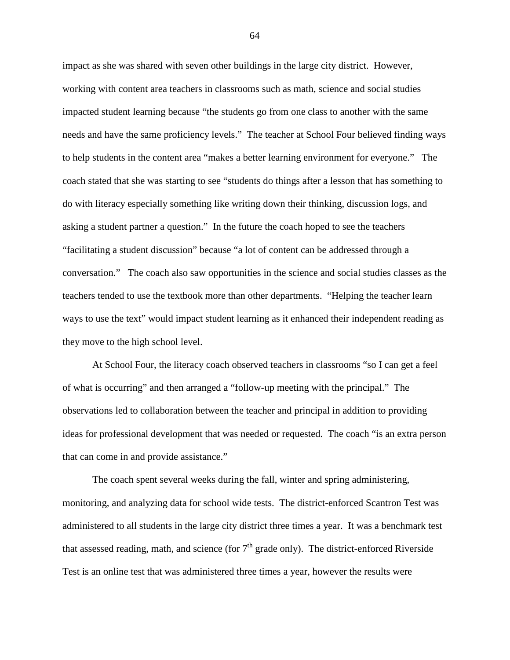impact as she was shared with seven other buildings in the large city district. However, working with content area teachers in classrooms such as math, science and social studies impacted student learning because "the students go from one class to another with the same needs and have the same proficiency levels." The teacher at School Four believed finding ways to help students in the content area "makes a better learning environment for everyone." The coach stated that she was starting to see "students do things after a lesson that has something to do with literacy especially something like writing down their thinking, discussion logs, and asking a student partner a question." In the future the coach hoped to see the teachers "facilitating a student discussion" because "a lot of content can be addressed through a conversation." The coach also saw opportunities in the science and social studies classes as the teachers tended to use the textbook more than other departments. "Helping the teacher learn ways to use the text" would impact student learning as it enhanced their independent reading as they move to the high school level.

At School Four, the literacy coach observed teachers in classrooms "so I can get a feel of what is occurring" and then arranged a "follow-up meeting with the principal." The observations led to collaboration between the teacher and principal in addition to providing ideas for professional development that was needed or requested. The coach "is an extra person that can come in and provide assistance."

The coach spent several weeks during the fall, winter and spring administering, monitoring, and analyzing data for school wide tests. The district-enforced Scantron Test was administered to all students in the large city district three times a year. It was a benchmark test that assessed reading, math, and science (for  $7<sup>th</sup>$  grade only). The district-enforced Riverside Test is an online test that was administered three times a year, however the results were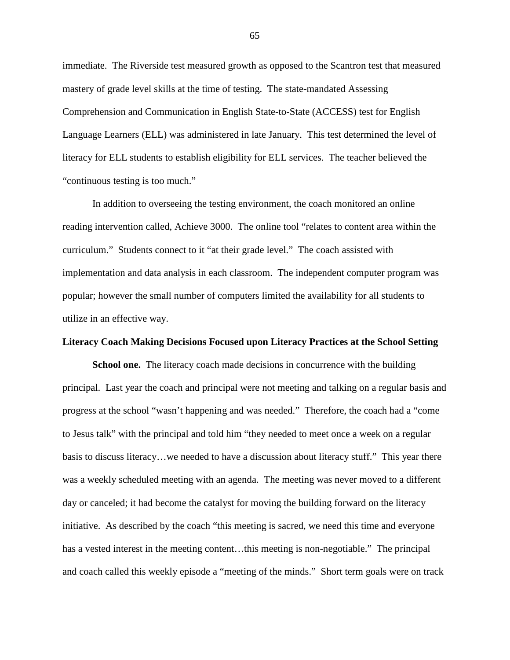immediate. The Riverside test measured growth as opposed to the Scantron test that measured mastery of grade level skills at the time of testing. The state-mandated Assessing Comprehension and Communication in English State-to-State (ACCESS) test for English Language Learners (ELL) was administered in late January. This test determined the level of literacy for ELL students to establish eligibility for ELL services. The teacher believed the "continuous testing is too much."

In addition to overseeing the testing environment, the coach monitored an online reading intervention called, Achieve 3000. The online tool "relates to content area within the curriculum." Students connect to it "at their grade level." The coach assisted with implementation and data analysis in each classroom. The independent computer program was popular; however the small number of computers limited the availability for all students to utilize in an effective way.

### **Literacy Coach Making Decisions Focused upon Literacy Practices at the School Setting**

**School one.** The literacy coach made decisions in concurrence with the building principal. Last year the coach and principal were not meeting and talking on a regular basis and progress at the school "wasn't happening and was needed." Therefore, the coach had a "come to Jesus talk" with the principal and told him "they needed to meet once a week on a regular basis to discuss literacy…we needed to have a discussion about literacy stuff." This year there was a weekly scheduled meeting with an agenda. The meeting was never moved to a different day or canceled; it had become the catalyst for moving the building forward on the literacy initiative. As described by the coach "this meeting is sacred, we need this time and everyone has a vested interest in the meeting content...this meeting is non-negotiable." The principal and coach called this weekly episode a "meeting of the minds." Short term goals were on track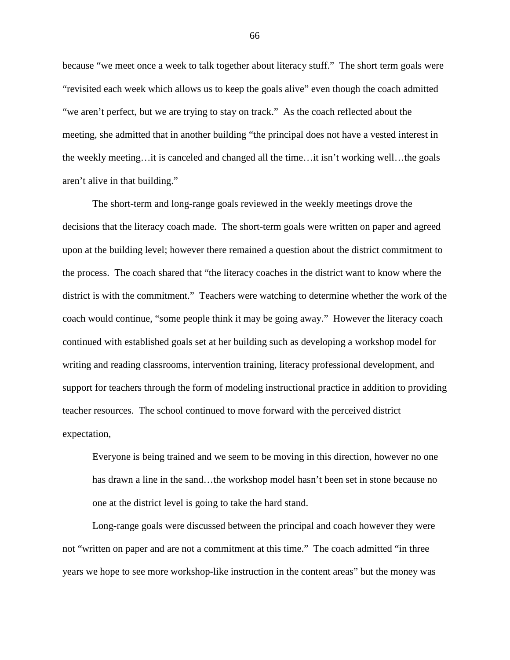because "we meet once a week to talk together about literacy stuff." The short term goals were "revisited each week which allows us to keep the goals alive" even though the coach admitted "we aren't perfect, but we are trying to stay on track." As the coach reflected about the meeting, she admitted that in another building "the principal does not have a vested interest in the weekly meeting…it is canceled and changed all the time…it isn't working well…the goals aren't alive in that building."

The short-term and long-range goals reviewed in the weekly meetings drove the decisions that the literacy coach made. The short-term goals were written on paper and agreed upon at the building level; however there remained a question about the district commitment to the process. The coach shared that "the literacy coaches in the district want to know where the district is with the commitment." Teachers were watching to determine whether the work of the coach would continue, "some people think it may be going away." However the literacy coach continued with established goals set at her building such as developing a workshop model for writing and reading classrooms, intervention training, literacy professional development, and support for teachers through the form of modeling instructional practice in addition to providing teacher resources. The school continued to move forward with the perceived district expectation,

Everyone is being trained and we seem to be moving in this direction, however no one has drawn a line in the sand...the workshop model hasn't been set in stone because no one at the district level is going to take the hard stand.

Long-range goals were discussed between the principal and coach however they were not "written on paper and are not a commitment at this time." The coach admitted "in three years we hope to see more workshop-like instruction in the content areas" but the money was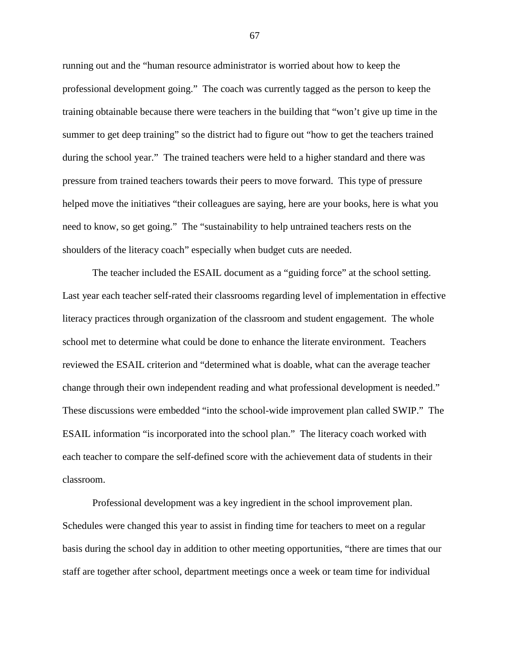running out and the "human resource administrator is worried about how to keep the professional development going." The coach was currently tagged as the person to keep the training obtainable because there were teachers in the building that "won't give up time in the summer to get deep training" so the district had to figure out "how to get the teachers trained during the school year." The trained teachers were held to a higher standard and there was pressure from trained teachers towards their peers to move forward. This type of pressure helped move the initiatives "their colleagues are saying, here are your books, here is what you need to know, so get going." The "sustainability to help untrained teachers rests on the shoulders of the literacy coach" especially when budget cuts are needed.

The teacher included the ESAIL document as a "guiding force" at the school setting. Last year each teacher self-rated their classrooms regarding level of implementation in effective literacy practices through organization of the classroom and student engagement. The whole school met to determine what could be done to enhance the literate environment. Teachers reviewed the ESAIL criterion and "determined what is doable, what can the average teacher change through their own independent reading and what professional development is needed." These discussions were embedded "into the school-wide improvement plan called SWIP." The ESAIL information "is incorporated into the school plan." The literacy coach worked with each teacher to compare the self-defined score with the achievement data of students in their classroom.

Professional development was a key ingredient in the school improvement plan. Schedules were changed this year to assist in finding time for teachers to meet on a regular basis during the school day in addition to other meeting opportunities, "there are times that our staff are together after school, department meetings once a week or team time for individual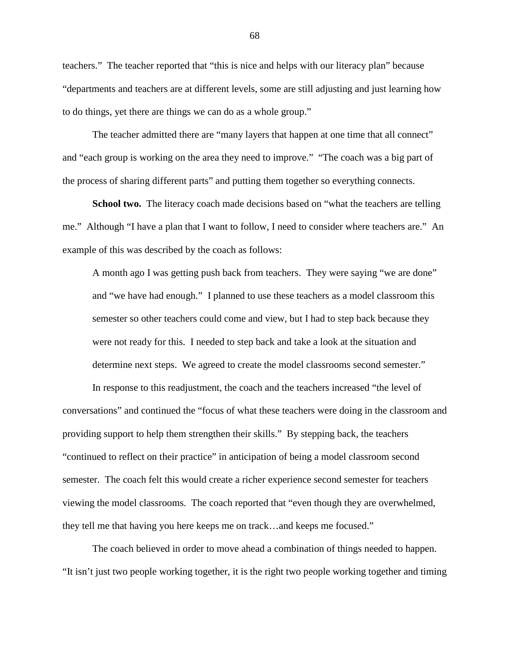teachers." The teacher reported that "this is nice and helps with our literacy plan" because "departments and teachers are at different levels, some are still adjusting and just learning how to do things, yet there are things we can do as a whole group."

The teacher admitted there are "many layers that happen at one time that all connect" and "each group is working on the area they need to improve." "The coach was a big part of the process of sharing different parts" and putting them together so everything connects.

**School two.** The literacy coach made decisions based on "what the teachers are telling me." Although "I have a plan that I want to follow, I need to consider where teachers are." An example of this was described by the coach as follows:

A month ago I was getting push back from teachers. They were saying "we are done" and "we have had enough." I planned to use these teachers as a model classroom this semester so other teachers could come and view, but I had to step back because they were not ready for this. I needed to step back and take a look at the situation and determine next steps. We agreed to create the model classrooms second semester."

In response to this readjustment, the coach and the teachers increased "the level of conversations" and continued the "focus of what these teachers were doing in the classroom and providing support to help them strengthen their skills." By stepping back, the teachers "continued to reflect on their practice" in anticipation of being a model classroom second semester. The coach felt this would create a richer experience second semester for teachers viewing the model classrooms. The coach reported that "even though they are overwhelmed, they tell me that having you here keeps me on track…and keeps me focused."

The coach believed in order to move ahead a combination of things needed to happen. "It isn't just two people working together, it is the right two people working together and timing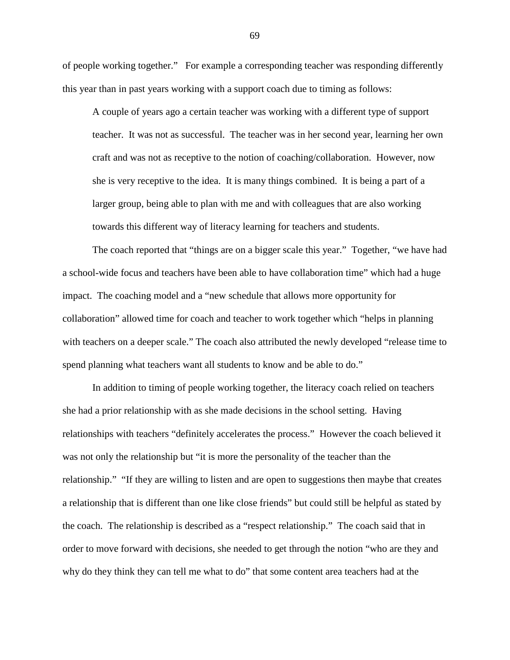of people working together." For example a corresponding teacher was responding differently this year than in past years working with a support coach due to timing as follows:

A couple of years ago a certain teacher was working with a different type of support teacher. It was not as successful. The teacher was in her second year, learning her own craft and was not as receptive to the notion of coaching/collaboration. However, now she is very receptive to the idea. It is many things combined. It is being a part of a larger group, being able to plan with me and with colleagues that are also working towards this different way of literacy learning for teachers and students.

The coach reported that "things are on a bigger scale this year." Together, "we have had a school-wide focus and teachers have been able to have collaboration time" which had a huge impact. The coaching model and a "new schedule that allows more opportunity for collaboration" allowed time for coach and teacher to work together which "helps in planning with teachers on a deeper scale." The coach also attributed the newly developed "release time to spend planning what teachers want all students to know and be able to do."

In addition to timing of people working together, the literacy coach relied on teachers she had a prior relationship with as she made decisions in the school setting. Having relationships with teachers "definitely accelerates the process." However the coach believed it was not only the relationship but "it is more the personality of the teacher than the relationship." "If they are willing to listen and are open to suggestions then maybe that creates a relationship that is different than one like close friends" but could still be helpful as stated by the coach. The relationship is described as a "respect relationship." The coach said that in order to move forward with decisions, she needed to get through the notion "who are they and why do they think they can tell me what to do" that some content area teachers had at the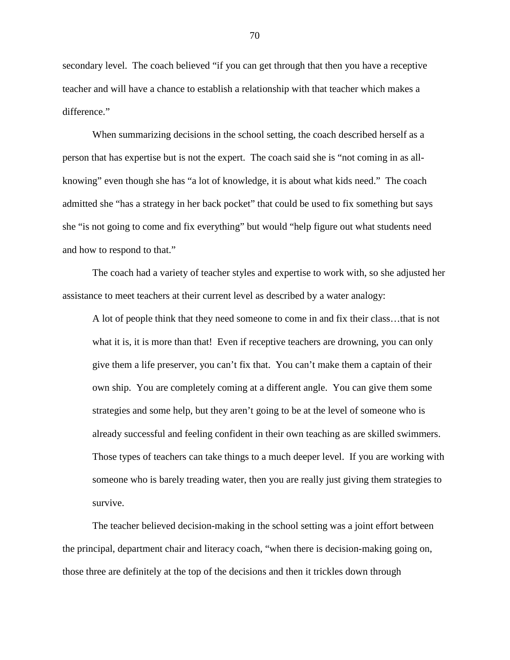secondary level. The coach believed "if you can get through that then you have a receptive teacher and will have a chance to establish a relationship with that teacher which makes a difference."

When summarizing decisions in the school setting, the coach described herself as a person that has expertise but is not the expert. The coach said she is "not coming in as allknowing" even though she has "a lot of knowledge, it is about what kids need." The coach admitted she "has a strategy in her back pocket" that could be used to fix something but says she "is not going to come and fix everything" but would "help figure out what students need and how to respond to that."

The coach had a variety of teacher styles and expertise to work with, so she adjusted her assistance to meet teachers at their current level as described by a water analogy:

A lot of people think that they need someone to come in and fix their class…that is not what it is, it is more than that! Even if receptive teachers are drowning, you can only give them a life preserver, you can't fix that. You can't make them a captain of their own ship. You are completely coming at a different angle. You can give them some strategies and some help, but they aren't going to be at the level of someone who is already successful and feeling confident in their own teaching as are skilled swimmers. Those types of teachers can take things to a much deeper level. If you are working with someone who is barely treading water, then you are really just giving them strategies to survive.

The teacher believed decision-making in the school setting was a joint effort between the principal, department chair and literacy coach, "when there is decision-making going on, those three are definitely at the top of the decisions and then it trickles down through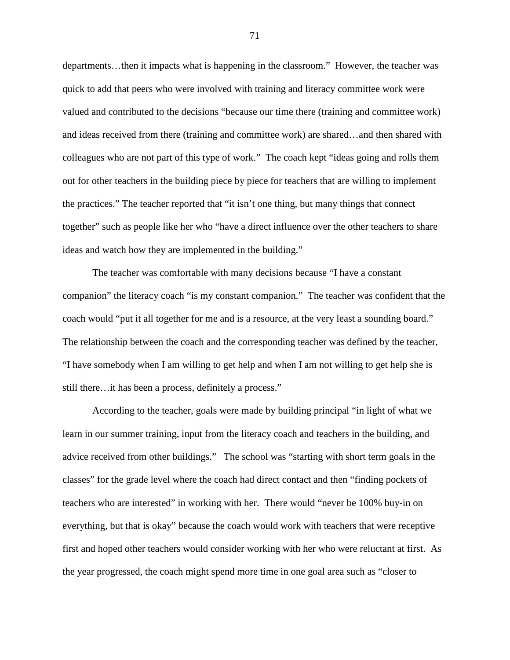departments…then it impacts what is happening in the classroom." However, the teacher was quick to add that peers who were involved with training and literacy committee work were valued and contributed to the decisions "because our time there (training and committee work) and ideas received from there (training and committee work) are shared…and then shared with colleagues who are not part of this type of work." The coach kept "ideas going and rolls them out for other teachers in the building piece by piece for teachers that are willing to implement the practices." The teacher reported that "it isn't one thing, but many things that connect together" such as people like her who "have a direct influence over the other teachers to share ideas and watch how they are implemented in the building."

The teacher was comfortable with many decisions because "I have a constant companion" the literacy coach "is my constant companion." The teacher was confident that the coach would "put it all together for me and is a resource, at the very least a sounding board." The relationship between the coach and the corresponding teacher was defined by the teacher, "I have somebody when I am willing to get help and when I am not willing to get help she is still there…it has been a process, definitely a process."

According to the teacher, goals were made by building principal "in light of what we learn in our summer training, input from the literacy coach and teachers in the building, and advice received from other buildings." The school was "starting with short term goals in the classes" for the grade level where the coach had direct contact and then "finding pockets of teachers who are interested" in working with her. There would "never be 100% buy-in on everything, but that is okay" because the coach would work with teachers that were receptive first and hoped other teachers would consider working with her who were reluctant at first. As the year progressed, the coach might spend more time in one goal area such as "closer to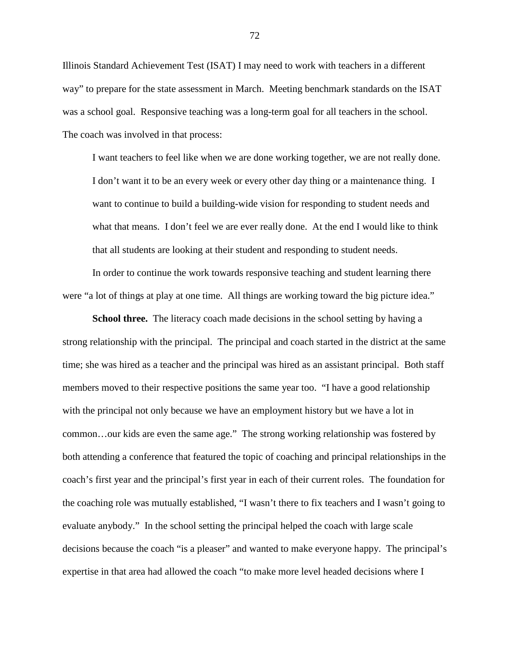Illinois Standard Achievement Test (ISAT) I may need to work with teachers in a different way" to prepare for the state assessment in March. Meeting benchmark standards on the ISAT was a school goal. Responsive teaching was a long-term goal for all teachers in the school. The coach was involved in that process:

I want teachers to feel like when we are done working together, we are not really done. I don't want it to be an every week or every other day thing or a maintenance thing. I want to continue to build a building-wide vision for responding to student needs and what that means. I don't feel we are ever really done. At the end I would like to think that all students are looking at their student and responding to student needs.

In order to continue the work towards responsive teaching and student learning there were "a lot of things at play at one time. All things are working toward the big picture idea."

**School three.** The literacy coach made decisions in the school setting by having a strong relationship with the principal. The principal and coach started in the district at the same time; she was hired as a teacher and the principal was hired as an assistant principal. Both staff members moved to their respective positions the same year too. "I have a good relationship with the principal not only because we have an employment history but we have a lot in common…our kids are even the same age." The strong working relationship was fostered by both attending a conference that featured the topic of coaching and principal relationships in the coach's first year and the principal's first year in each of their current roles. The foundation for the coaching role was mutually established, "I wasn't there to fix teachers and I wasn't going to evaluate anybody." In the school setting the principal helped the coach with large scale decisions because the coach "is a pleaser" and wanted to make everyone happy. The principal's expertise in that area had allowed the coach "to make more level headed decisions where I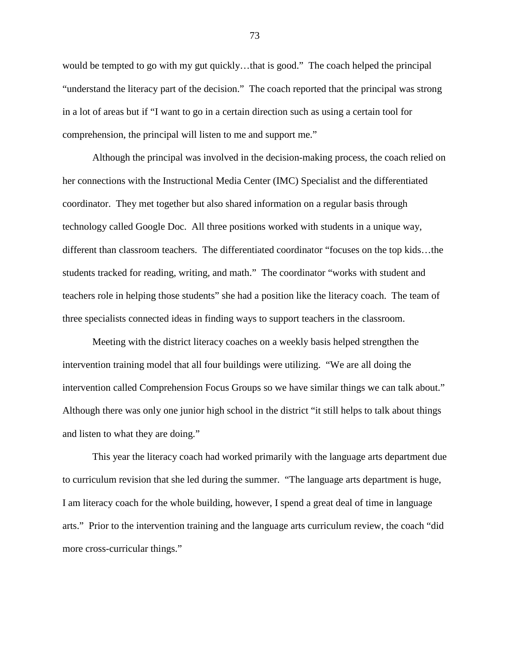would be tempted to go with my gut quickly…that is good." The coach helped the principal "understand the literacy part of the decision." The coach reported that the principal was strong in a lot of areas but if "I want to go in a certain direction such as using a certain tool for comprehension, the principal will listen to me and support me."

Although the principal was involved in the decision-making process, the coach relied on her connections with the Instructional Media Center (IMC) Specialist and the differentiated coordinator. They met together but also shared information on a regular basis through technology called Google Doc. All three positions worked with students in a unique way, different than classroom teachers. The differentiated coordinator "focuses on the top kids…the students tracked for reading, writing, and math." The coordinator "works with student and teachers role in helping those students" she had a position like the literacy coach. The team of three specialists connected ideas in finding ways to support teachers in the classroom.

Meeting with the district literacy coaches on a weekly basis helped strengthen the intervention training model that all four buildings were utilizing. "We are all doing the intervention called Comprehension Focus Groups so we have similar things we can talk about." Although there was only one junior high school in the district "it still helps to talk about things and listen to what they are doing."

This year the literacy coach had worked primarily with the language arts department due to curriculum revision that she led during the summer. "The language arts department is huge, I am literacy coach for the whole building, however, I spend a great deal of time in language arts." Prior to the intervention training and the language arts curriculum review, the coach "did more cross-curricular things."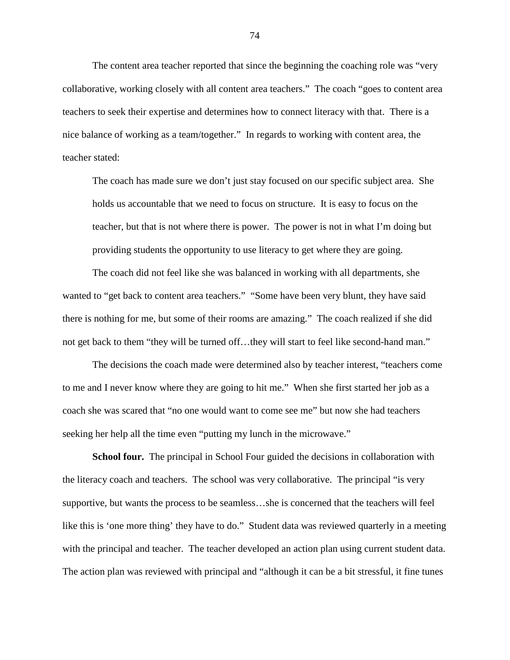The content area teacher reported that since the beginning the coaching role was "very collaborative, working closely with all content area teachers." The coach "goes to content area teachers to seek their expertise and determines how to connect literacy with that. There is a nice balance of working as a team/together." In regards to working with content area, the teacher stated:

The coach has made sure we don't just stay focused on our specific subject area. She holds us accountable that we need to focus on structure. It is easy to focus on the teacher, but that is not where there is power. The power is not in what I'm doing but providing students the opportunity to use literacy to get where they are going.

The coach did not feel like she was balanced in working with all departments, she wanted to "get back to content area teachers." "Some have been very blunt, they have said there is nothing for me, but some of their rooms are amazing." The coach realized if she did not get back to them "they will be turned off...they will start to feel like second-hand man."

The decisions the coach made were determined also by teacher interest, "teachers come to me and I never know where they are going to hit me." When she first started her job as a coach she was scared that "no one would want to come see me" but now she had teachers seeking her help all the time even "putting my lunch in the microwave."

**School four.** The principal in School Four guided the decisions in collaboration with the literacy coach and teachers. The school was very collaborative. The principal "is very supportive, but wants the process to be seamless…she is concerned that the teachers will feel like this is 'one more thing' they have to do." Student data was reviewed quarterly in a meeting with the principal and teacher. The teacher developed an action plan using current student data. The action plan was reviewed with principal and "although it can be a bit stressful, it fine tunes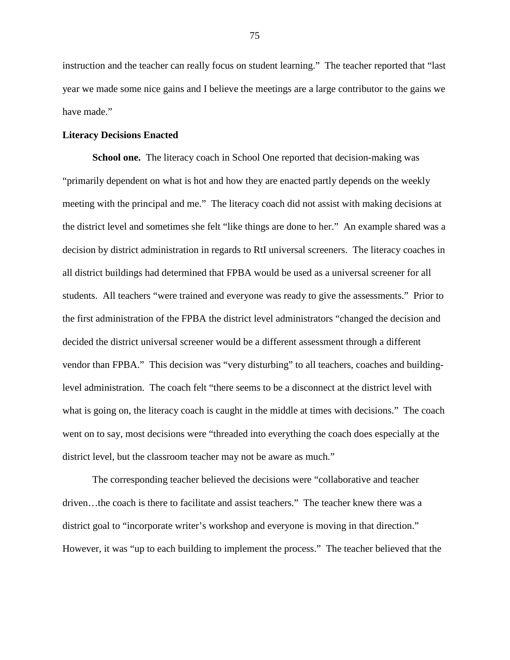instruction and the teacher can really focus on student learning." The teacher reported that "last year we made some nice gains and I believe the meetings are a large contributor to the gains we have made."

# **Literacy Decisions Enacted**

**School one.** The literacy coach in School One reported that decision-making was "primarily dependent on what is hot and how they are enacted partly depends on the weekly meeting with the principal and me." The literacy coach did not assist with making decisions at the district level and sometimes she felt "like things are done to her." An example shared was a decision by district administration in regards to RtI universal screeners. The literacy coaches in all district buildings had determined that FPBA would be used as a universal screener for all students. All teachers "were trained and everyone was ready to give the assessments." Prior to the first administration of the FPBA the district level administrators "changed the decision and decided the district universal screener would be a different assessment through a different vendor than FPBA." This decision was "very disturbing" to all teachers, coaches and buildinglevel administration. The coach felt "there seems to be a disconnect at the district level with what is going on, the literacy coach is caught in the middle at times with decisions." The coach went on to say, most decisions were "threaded into everything the coach does especially at the district level, but the classroom teacher may not be aware as much."

The corresponding teacher believed the decisions were "collaborative and teacher driven…the coach is there to facilitate and assist teachers." The teacher knew there was a district goal to "incorporate writer's workshop and everyone is moving in that direction." However, it was "up to each building to implement the process." The teacher believed that the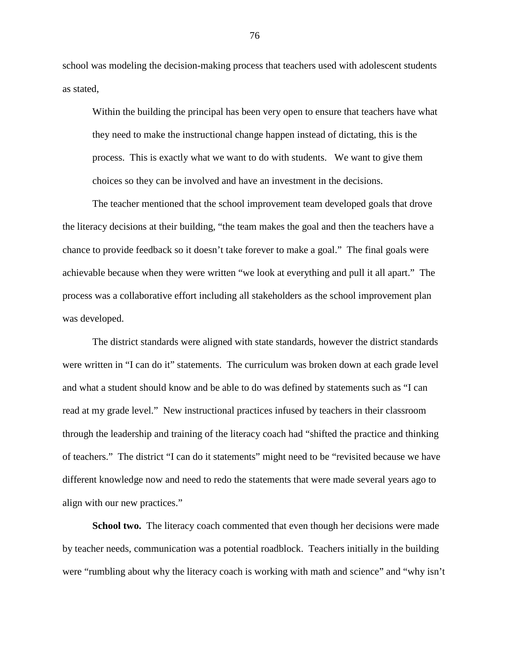school was modeling the decision-making process that teachers used with adolescent students as stated,

Within the building the principal has been very open to ensure that teachers have what they need to make the instructional change happen instead of dictating, this is the process. This is exactly what we want to do with students. We want to give them choices so they can be involved and have an investment in the decisions.

The teacher mentioned that the school improvement team developed goals that drove the literacy decisions at their building, "the team makes the goal and then the teachers have a chance to provide feedback so it doesn't take forever to make a goal." The final goals were achievable because when they were written "we look at everything and pull it all apart." The process was a collaborative effort including all stakeholders as the school improvement plan was developed.

The district standards were aligned with state standards, however the district standards were written in "I can do it" statements. The curriculum was broken down at each grade level and what a student should know and be able to do was defined by statements such as "I can read at my grade level." New instructional practices infused by teachers in their classroom through the leadership and training of the literacy coach had "shifted the practice and thinking of teachers." The district "I can do it statements" might need to be "revisited because we have different knowledge now and need to redo the statements that were made several years ago to align with our new practices."

**School two.** The literacy coach commented that even though her decisions were made by teacher needs, communication was a potential roadblock. Teachers initially in the building were "rumbling about why the literacy coach is working with math and science" and "why isn't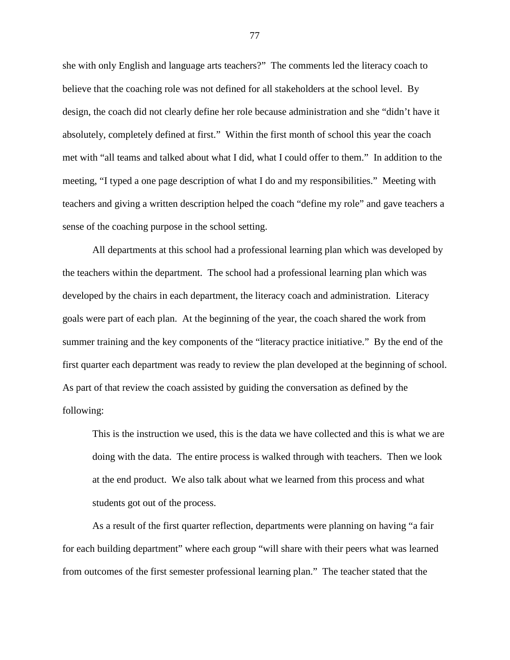she with only English and language arts teachers?" The comments led the literacy coach to believe that the coaching role was not defined for all stakeholders at the school level. By design, the coach did not clearly define her role because administration and she "didn't have it absolutely, completely defined at first." Within the first month of school this year the coach met with "all teams and talked about what I did, what I could offer to them." In addition to the meeting, "I typed a one page description of what I do and my responsibilities." Meeting with teachers and giving a written description helped the coach "define my role" and gave teachers a sense of the coaching purpose in the school setting.

All departments at this school had a professional learning plan which was developed by the teachers within the department. The school had a professional learning plan which was developed by the chairs in each department, the literacy coach and administration. Literacy goals were part of each plan. At the beginning of the year, the coach shared the work from summer training and the key components of the "literacy practice initiative." By the end of the first quarter each department was ready to review the plan developed at the beginning of school. As part of that review the coach assisted by guiding the conversation as defined by the following:

This is the instruction we used, this is the data we have collected and this is what we are doing with the data. The entire process is walked through with teachers. Then we look at the end product. We also talk about what we learned from this process and what students got out of the process.

As a result of the first quarter reflection, departments were planning on having "a fair for each building department" where each group "will share with their peers what was learned from outcomes of the first semester professional learning plan." The teacher stated that the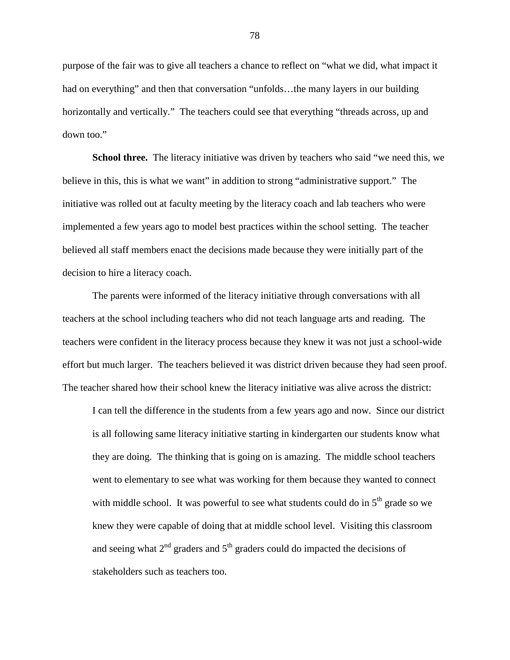purpose of the fair was to give all teachers a chance to reflect on "what we did, what impact it had on everything" and then that conversation "unfolds...the many layers in our building horizontally and vertically." The teachers could see that everything "threads across, up and down too."

**School three.** The literacy initiative was driven by teachers who said "we need this, we believe in this, this is what we want" in addition to strong "administrative support." The initiative was rolled out at faculty meeting by the literacy coach and lab teachers who were implemented a few years ago to model best practices within the school setting. The teacher believed all staff members enact the decisions made because they were initially part of the decision to hire a literacy coach.

The parents were informed of the literacy initiative through conversations with all teachers at the school including teachers who did not teach language arts and reading. The teachers were confident in the literacy process because they knew it was not just a school-wide effort but much larger. The teachers believed it was district driven because they had seen proof. The teacher shared how their school knew the literacy initiative was alive across the district:

I can tell the difference in the students from a few years ago and now. Since our district is all following same literacy initiative starting in kindergarten our students know what they are doing. The thinking that is going on is amazing. The middle school teachers went to elementary to see what was working for them because they wanted to connect with middle school. It was powerful to see what students could do in  $5<sup>th</sup>$  grade so we knew they were capable of doing that at middle school level. Visiting this classroom and seeing what  $2<sup>nd</sup>$  graders and  $5<sup>th</sup>$  graders could do impacted the decisions of stakeholders such as teachers too.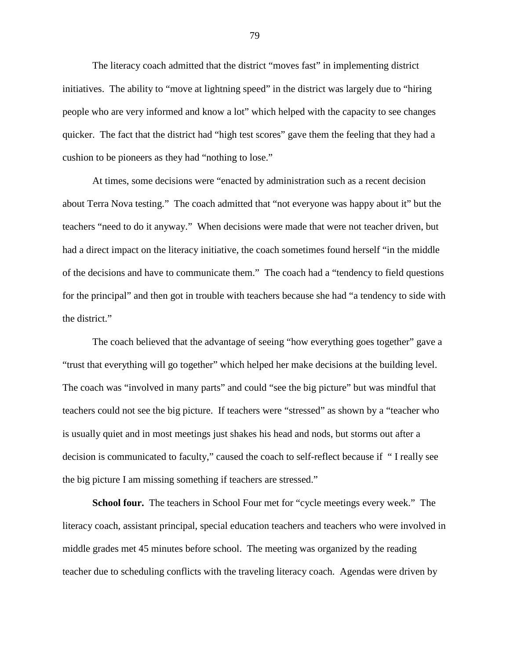The literacy coach admitted that the district "moves fast" in implementing district initiatives. The ability to "move at lightning speed" in the district was largely due to "hiring people who are very informed and know a lot" which helped with the capacity to see changes quicker. The fact that the district had "high test scores" gave them the feeling that they had a cushion to be pioneers as they had "nothing to lose."

At times, some decisions were "enacted by administration such as a recent decision about Terra Nova testing." The coach admitted that "not everyone was happy about it" but the teachers "need to do it anyway." When decisions were made that were not teacher driven, but had a direct impact on the literacy initiative, the coach sometimes found herself "in the middle" of the decisions and have to communicate them." The coach had a "tendency to field questions for the principal" and then got in trouble with teachers because she had "a tendency to side with the district."

The coach believed that the advantage of seeing "how everything goes together" gave a "trust that everything will go together" which helped her make decisions at the building level. The coach was "involved in many parts" and could "see the big picture" but was mindful that teachers could not see the big picture. If teachers were "stressed" as shown by a "teacher who is usually quiet and in most meetings just shakes his head and nods, but storms out after a decision is communicated to faculty," caused the coach to self-reflect because if " I really see the big picture I am missing something if teachers are stressed."

**School four.** The teachers in School Four met for "cycle meetings every week." The literacy coach, assistant principal, special education teachers and teachers who were involved in middle grades met 45 minutes before school. The meeting was organized by the reading teacher due to scheduling conflicts with the traveling literacy coach. Agendas were driven by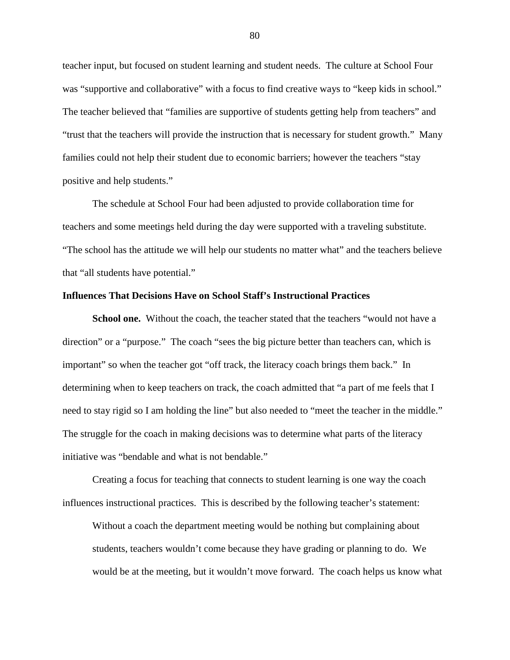teacher input, but focused on student learning and student needs. The culture at School Four was "supportive and collaborative" with a focus to find creative ways to "keep kids in school." The teacher believed that "families are supportive of students getting help from teachers" and "trust that the teachers will provide the instruction that is necessary for student growth." Many families could not help their student due to economic barriers; however the teachers "stay positive and help students."

The schedule at School Four had been adjusted to provide collaboration time for teachers and some meetings held during the day were supported with a traveling substitute. "The school has the attitude we will help our students no matter what" and the teachers believe that "all students have potential."

### **Influences That Decisions Have on School Staff's Instructional Practices**

**School one.** Without the coach, the teacher stated that the teachers "would not have a direction" or a "purpose." The coach "sees the big picture better than teachers can, which is important" so when the teacher got "off track, the literacy coach brings them back." In determining when to keep teachers on track, the coach admitted that "a part of me feels that I need to stay rigid so I am holding the line" but also needed to "meet the teacher in the middle." The struggle for the coach in making decisions was to determine what parts of the literacy initiative was "bendable and what is not bendable."

Creating a focus for teaching that connects to student learning is one way the coach influences instructional practices. This is described by the following teacher's statement:

Without a coach the department meeting would be nothing but complaining about students, teachers wouldn't come because they have grading or planning to do. We would be at the meeting, but it wouldn't move forward. The coach helps us know what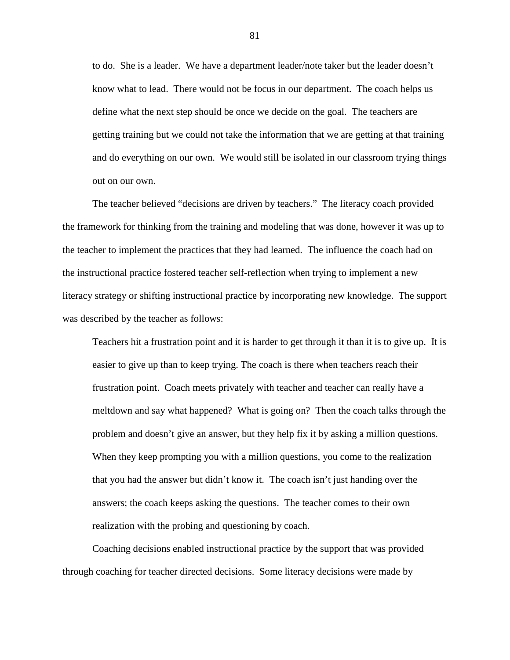to do. She is a leader. We have a department leader/note taker but the leader doesn't know what to lead. There would not be focus in our department. The coach helps us define what the next step should be once we decide on the goal. The teachers are getting training but we could not take the information that we are getting at that training and do everything on our own. We would still be isolated in our classroom trying things out on our own.

The teacher believed "decisions are driven by teachers." The literacy coach provided the framework for thinking from the training and modeling that was done, however it was up to the teacher to implement the practices that they had learned. The influence the coach had on the instructional practice fostered teacher self-reflection when trying to implement a new literacy strategy or shifting instructional practice by incorporating new knowledge. The support was described by the teacher as follows:

Teachers hit a frustration point and it is harder to get through it than it is to give up. It is easier to give up than to keep trying. The coach is there when teachers reach their frustration point. Coach meets privately with teacher and teacher can really have a meltdown and say what happened? What is going on? Then the coach talks through the problem and doesn't give an answer, but they help fix it by asking a million questions. When they keep prompting you with a million questions, you come to the realization that you had the answer but didn't know it. The coach isn't just handing over the answers; the coach keeps asking the questions. The teacher comes to their own realization with the probing and questioning by coach.

Coaching decisions enabled instructional practice by the support that was provided through coaching for teacher directed decisions. Some literacy decisions were made by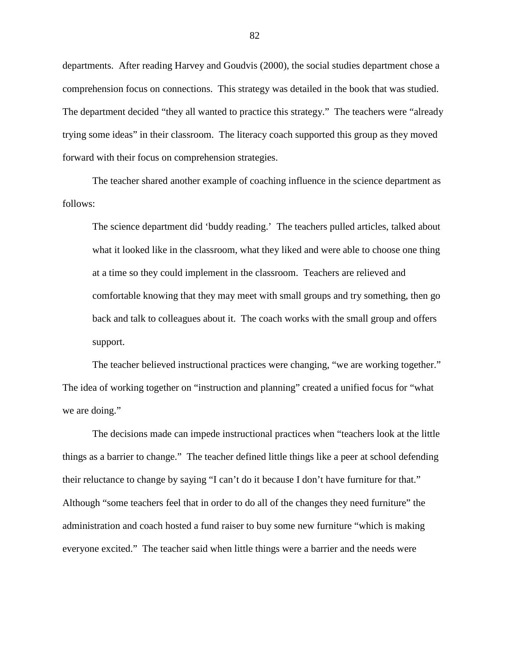departments. After reading Harvey and Goudvis (2000), the social studies department chose a comprehension focus on connections. This strategy was detailed in the book that was studied. The department decided "they all wanted to practice this strategy." The teachers were "already trying some ideas" in their classroom. The literacy coach supported this group as they moved forward with their focus on comprehension strategies.

The teacher shared another example of coaching influence in the science department as follows:

The science department did 'buddy reading.' The teachers pulled articles, talked about what it looked like in the classroom, what they liked and were able to choose one thing at a time so they could implement in the classroom. Teachers are relieved and comfortable knowing that they may meet with small groups and try something, then go back and talk to colleagues about it. The coach works with the small group and offers support.

The teacher believed instructional practices were changing, "we are working together." The idea of working together on "instruction and planning" created a unified focus for "what we are doing."

The decisions made can impede instructional practices when "teachers look at the little things as a barrier to change." The teacher defined little things like a peer at school defending their reluctance to change by saying "I can't do it because I don't have furniture for that." Although "some teachers feel that in order to do all of the changes they need furniture" the administration and coach hosted a fund raiser to buy some new furniture "which is making everyone excited." The teacher said when little things were a barrier and the needs were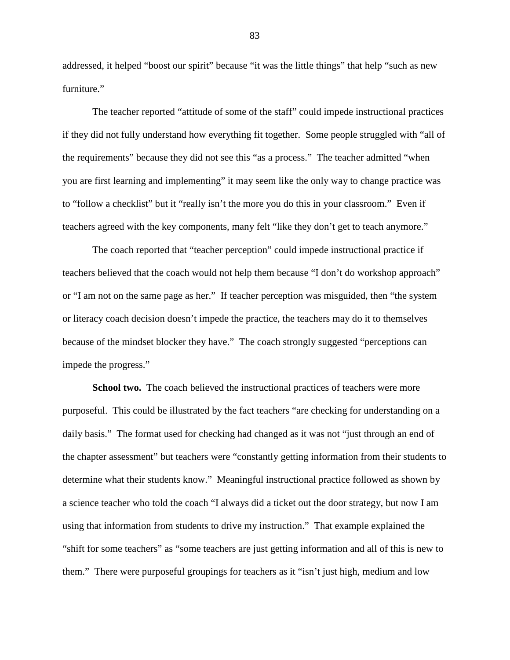addressed, it helped "boost our spirit" because "it was the little things" that help "such as new furniture."

The teacher reported "attitude of some of the staff" could impede instructional practices if they did not fully understand how everything fit together. Some people struggled with "all of the requirements" because they did not see this "as a process." The teacher admitted "when you are first learning and implementing" it may seem like the only way to change practice was to "follow a checklist" but it "really isn't the more you do this in your classroom." Even if teachers agreed with the key components, many felt "like they don't get to teach anymore."

The coach reported that "teacher perception" could impede instructional practice if teachers believed that the coach would not help them because "I don't do workshop approach" or "I am not on the same page as her." If teacher perception was misguided, then "the system or literacy coach decision doesn't impede the practice, the teachers may do it to themselves because of the mindset blocker they have." The coach strongly suggested "perceptions can impede the progress."

**School two.** The coach believed the instructional practices of teachers were more purposeful. This could be illustrated by the fact teachers "are checking for understanding on a daily basis." The format used for checking had changed as it was not "just through an end of the chapter assessment" but teachers were "constantly getting information from their students to determine what their students know." Meaningful instructional practice followed as shown by a science teacher who told the coach "I always did a ticket out the door strategy, but now I am using that information from students to drive my instruction." That example explained the "shift for some teachers" as "some teachers are just getting information and all of this is new to them." There were purposeful groupings for teachers as it "isn't just high, medium and low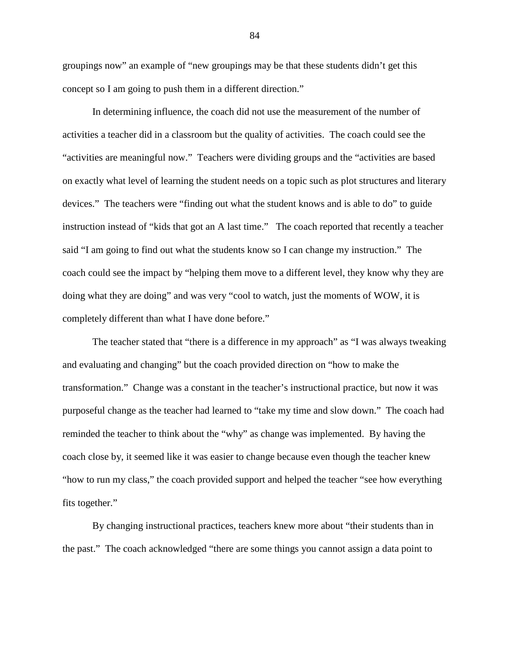groupings now" an example of "new groupings may be that these students didn't get this concept so I am going to push them in a different direction."

In determining influence, the coach did not use the measurement of the number of activities a teacher did in a classroom but the quality of activities. The coach could see the "activities are meaningful now." Teachers were dividing groups and the "activities are based on exactly what level of learning the student needs on a topic such as plot structures and literary devices." The teachers were "finding out what the student knows and is able to do" to guide instruction instead of "kids that got an A last time." The coach reported that recently a teacher said "I am going to find out what the students know so I can change my instruction." The coach could see the impact by "helping them move to a different level, they know why they are doing what they are doing" and was very "cool to watch, just the moments of WOW, it is completely different than what I have done before."

The teacher stated that "there is a difference in my approach" as "I was always tweaking and evaluating and changing" but the coach provided direction on "how to make the transformation." Change was a constant in the teacher's instructional practice, but now it was purposeful change as the teacher had learned to "take my time and slow down." The coach had reminded the teacher to think about the "why" as change was implemented. By having the coach close by, it seemed like it was easier to change because even though the teacher knew "how to run my class," the coach provided support and helped the teacher "see how everything fits together."

By changing instructional practices, teachers knew more about "their students than in the past." The coach acknowledged "there are some things you cannot assign a data point to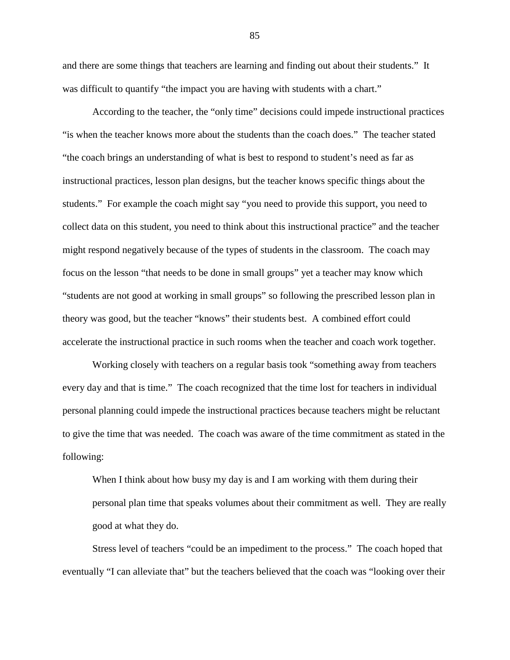and there are some things that teachers are learning and finding out about their students." It was difficult to quantify "the impact you are having with students with a chart."

According to the teacher, the "only time" decisions could impede instructional practices "is when the teacher knows more about the students than the coach does." The teacher stated "the coach brings an understanding of what is best to respond to student's need as far as instructional practices, lesson plan designs, but the teacher knows specific things about the students." For example the coach might say "you need to provide this support, you need to collect data on this student, you need to think about this instructional practice" and the teacher might respond negatively because of the types of students in the classroom. The coach may focus on the lesson "that needs to be done in small groups" yet a teacher may know which "students are not good at working in small groups" so following the prescribed lesson plan in theory was good, but the teacher "knows" their students best. A combined effort could accelerate the instructional practice in such rooms when the teacher and coach work together.

Working closely with teachers on a regular basis took "something away from teachers every day and that is time." The coach recognized that the time lost for teachers in individual personal planning could impede the instructional practices because teachers might be reluctant to give the time that was needed. The coach was aware of the time commitment as stated in the following:

When I think about how busy my day is and I am working with them during their personal plan time that speaks volumes about their commitment as well. They are really good at what they do.

Stress level of teachers "could be an impediment to the process." The coach hoped that eventually "I can alleviate that" but the teachers believed that the coach was "looking over their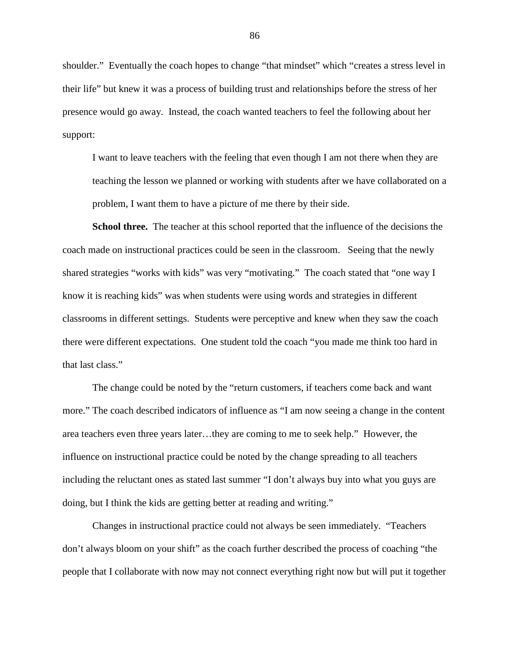shoulder." Eventually the coach hopes to change "that mindset" which "creates a stress level in their life" but knew it was a process of building trust and relationships before the stress of her presence would go away. Instead, the coach wanted teachers to feel the following about her support:

I want to leave teachers with the feeling that even though I am not there when they are teaching the lesson we planned or working with students after we have collaborated on a problem, I want them to have a picture of me there by their side.

**School three.** The teacher at this school reported that the influence of the decisions the coach made on instructional practices could be seen in the classroom. Seeing that the newly shared strategies "works with kids" was very "motivating." The coach stated that "one way I know it is reaching kids" was when students were using words and strategies in different classrooms in different settings. Students were perceptive and knew when they saw the coach there were different expectations. One student told the coach "you made me think too hard in that last class."

The change could be noted by the "return customers, if teachers come back and want more." The coach described indicators of influence as "I am now seeing a change in the content area teachers even three years later…they are coming to me to seek help." However, the influence on instructional practice could be noted by the change spreading to all teachers including the reluctant ones as stated last summer "I don't always buy into what you guys are doing, but I think the kids are getting better at reading and writing."

Changes in instructional practice could not always be seen immediately. "Teachers don't always bloom on your shift" as the coach further described the process of coaching "the people that I collaborate with now may not connect everything right now but will put it together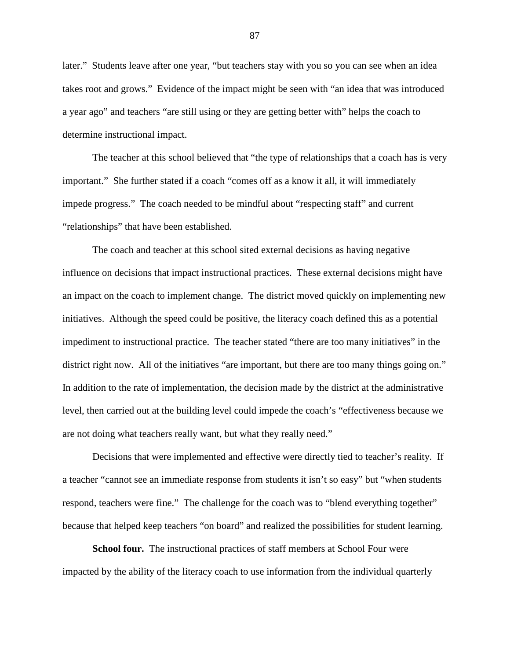later." Students leave after one year, "but teachers stay with you so you can see when an idea takes root and grows." Evidence of the impact might be seen with "an idea that was introduced a year ago" and teachers "are still using or they are getting better with" helps the coach to determine instructional impact.

The teacher at this school believed that "the type of relationships that a coach has is very important." She further stated if a coach "comes off as a know it all, it will immediately impede progress." The coach needed to be mindful about "respecting staff" and current "relationships" that have been established.

The coach and teacher at this school sited external decisions as having negative influence on decisions that impact instructional practices. These external decisions might have an impact on the coach to implement change. The district moved quickly on implementing new initiatives. Although the speed could be positive, the literacy coach defined this as a potential impediment to instructional practice. The teacher stated "there are too many initiatives" in the district right now. All of the initiatives "are important, but there are too many things going on." In addition to the rate of implementation, the decision made by the district at the administrative level, then carried out at the building level could impede the coach's "effectiveness because we are not doing what teachers really want, but what they really need."

Decisions that were implemented and effective were directly tied to teacher's reality. If a teacher "cannot see an immediate response from students it isn't so easy" but "when students respond, teachers were fine." The challenge for the coach was to "blend everything together" because that helped keep teachers "on board" and realized the possibilities for student learning.

**School four.** The instructional practices of staff members at School Four were impacted by the ability of the literacy coach to use information from the individual quarterly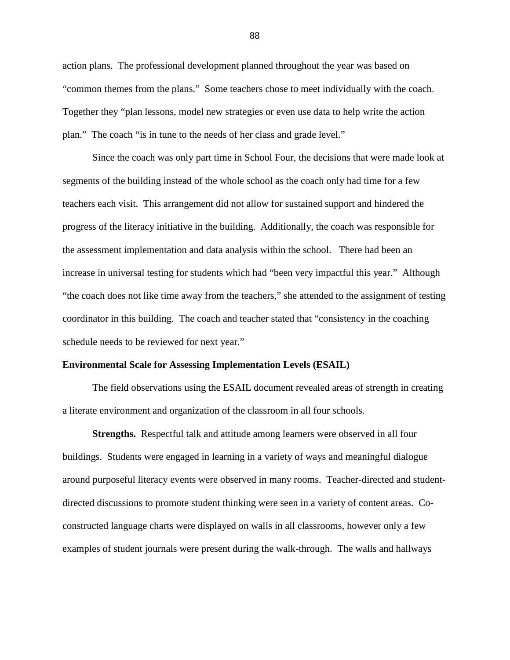action plans. The professional development planned throughout the year was based on "common themes from the plans." Some teachers chose to meet individually with the coach. Together they "plan lessons, model new strategies or even use data to help write the action plan." The coach "is in tune to the needs of her class and grade level."

Since the coach was only part time in School Four, the decisions that were made look at segments of the building instead of the whole school as the coach only had time for a few teachers each visit. This arrangement did not allow for sustained support and hindered the progress of the literacy initiative in the building. Additionally, the coach was responsible for the assessment implementation and data analysis within the school. There had been an increase in universal testing for students which had "been very impactful this year." Although "the coach does not like time away from the teachers," she attended to the assignment of testing coordinator in this building. The coach and teacher stated that "consistency in the coaching schedule needs to be reviewed for next year."

### **Environmental Scale for Assessing Implementation Levels (ESAIL)**

The field observations using the ESAIL document revealed areas of strength in creating a literate environment and organization of the classroom in all four schools.

**Strengths.** Respectful talk and attitude among learners were observed in all four buildings. Students were engaged in learning in a variety of ways and meaningful dialogue around purposeful literacy events were observed in many rooms. Teacher-directed and studentdirected discussions to promote student thinking were seen in a variety of content areas. Coconstructed language charts were displayed on walls in all classrooms, however only a few examples of student journals were present during the walk-through. The walls and hallways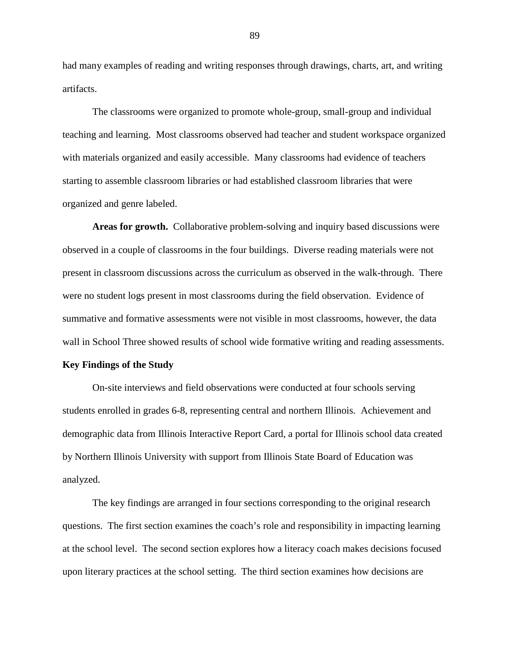had many examples of reading and writing responses through drawings, charts, art, and writing artifacts.

The classrooms were organized to promote whole-group, small-group and individual teaching and learning. Most classrooms observed had teacher and student workspace organized with materials organized and easily accessible. Many classrooms had evidence of teachers starting to assemble classroom libraries or had established classroom libraries that were organized and genre labeled.

**Areas for growth.** Collaborative problem-solving and inquiry based discussions were observed in a couple of classrooms in the four buildings. Diverse reading materials were not present in classroom discussions across the curriculum as observed in the walk-through. There were no student logs present in most classrooms during the field observation. Evidence of summative and formative assessments were not visible in most classrooms, however, the data wall in School Three showed results of school wide formative writing and reading assessments.

### **Key Findings of the Study**

On-site interviews and field observations were conducted at four schools serving students enrolled in grades 6-8, representing central and northern Illinois. Achievement and demographic data from Illinois Interactive Report Card, a portal for Illinois school data created by Northern Illinois University with support from Illinois State Board of Education was analyzed.

The key findings are arranged in four sections corresponding to the original research questions. The first section examines the coach's role and responsibility in impacting learning at the school level. The second section explores how a literacy coach makes decisions focused upon literary practices at the school setting. The third section examines how decisions are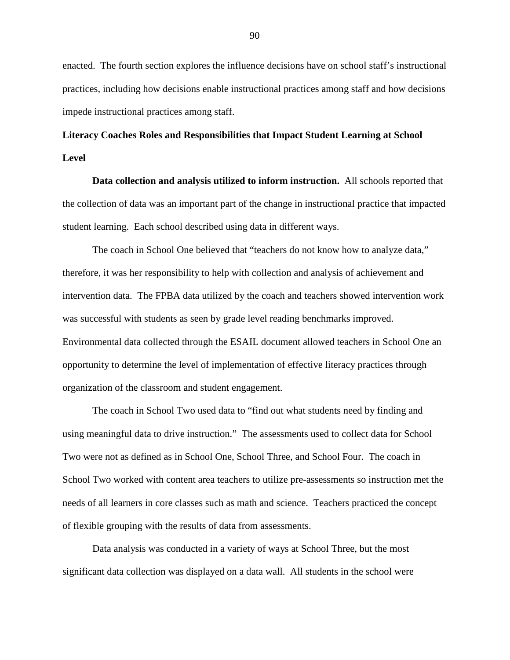enacted. The fourth section explores the influence decisions have on school staff's instructional practices, including how decisions enable instructional practices among staff and how decisions impede instructional practices among staff.

# **Literacy Coaches Roles and Responsibilities that Impact Student Learning at School Level**

**Data collection and analysis utilized to inform instruction.** All schools reported that the collection of data was an important part of the change in instructional practice that impacted student learning. Each school described using data in different ways.

The coach in School One believed that "teachers do not know how to analyze data," therefore, it was her responsibility to help with collection and analysis of achievement and intervention data. The FPBA data utilized by the coach and teachers showed intervention work was successful with students as seen by grade level reading benchmarks improved. Environmental data collected through the ESAIL document allowed teachers in School One an opportunity to determine the level of implementation of effective literacy practices through organization of the classroom and student engagement.

The coach in School Two used data to "find out what students need by finding and using meaningful data to drive instruction." The assessments used to collect data for School Two were not as defined as in School One, School Three, and School Four. The coach in School Two worked with content area teachers to utilize pre-assessments so instruction met the needs of all learners in core classes such as math and science. Teachers practiced the concept of flexible grouping with the results of data from assessments.

Data analysis was conducted in a variety of ways at School Three, but the most significant data collection was displayed on a data wall. All students in the school were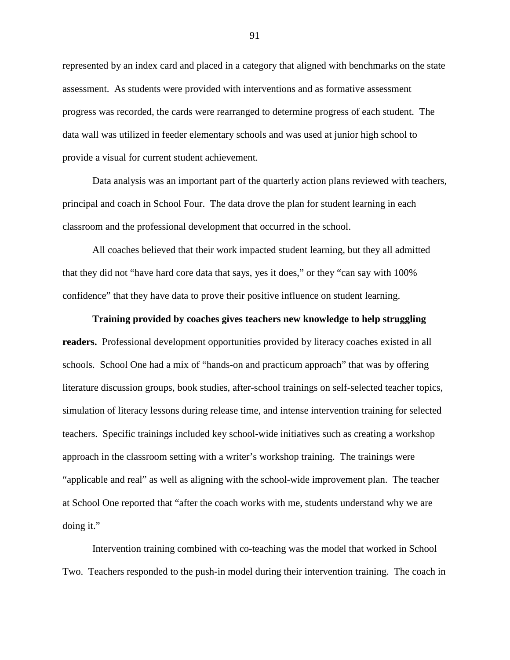represented by an index card and placed in a category that aligned with benchmarks on the state assessment. As students were provided with interventions and as formative assessment progress was recorded, the cards were rearranged to determine progress of each student. The data wall was utilized in feeder elementary schools and was used at junior high school to provide a visual for current student achievement.

Data analysis was an important part of the quarterly action plans reviewed with teachers, principal and coach in School Four. The data drove the plan for student learning in each classroom and the professional development that occurred in the school.

All coaches believed that their work impacted student learning, but they all admitted that they did not "have hard core data that says, yes it does," or they "can say with 100% confidence" that they have data to prove their positive influence on student learning.

# **Training provided by coaches gives teachers new knowledge to help struggling readers.** Professional development opportunities provided by literacy coaches existed in all schools. School One had a mix of "hands-on and practicum approach" that was by offering literature discussion groups, book studies, after-school trainings on self-selected teacher topics, simulation of literacy lessons during release time, and intense intervention training for selected teachers. Specific trainings included key school-wide initiatives such as creating a workshop approach in the classroom setting with a writer's workshop training. The trainings were "applicable and real" as well as aligning with the school-wide improvement plan. The teacher at School One reported that "after the coach works with me, students understand why we are doing it."

Intervention training combined with co-teaching was the model that worked in School Two. Teachers responded to the push-in model during their intervention training. The coach in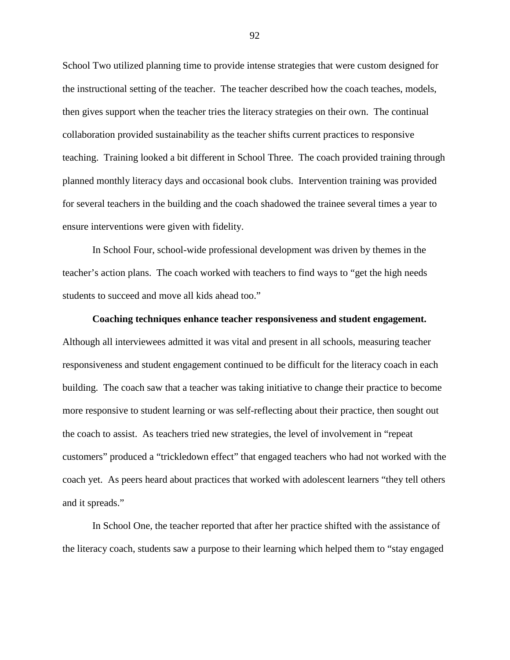School Two utilized planning time to provide intense strategies that were custom designed for the instructional setting of the teacher. The teacher described how the coach teaches, models, then gives support when the teacher tries the literacy strategies on their own. The continual collaboration provided sustainability as the teacher shifts current practices to responsive teaching. Training looked a bit different in School Three. The coach provided training through planned monthly literacy days and occasional book clubs. Intervention training was provided for several teachers in the building and the coach shadowed the trainee several times a year to ensure interventions were given with fidelity.

In School Four, school-wide professional development was driven by themes in the teacher's action plans. The coach worked with teachers to find ways to "get the high needs students to succeed and move all kids ahead too."

#### **Coaching techniques enhance teacher responsiveness and student engagement.**

Although all interviewees admitted it was vital and present in all schools, measuring teacher responsiveness and student engagement continued to be difficult for the literacy coach in each building. The coach saw that a teacher was taking initiative to change their practice to become more responsive to student learning or was self-reflecting about their practice, then sought out the coach to assist. As teachers tried new strategies, the level of involvement in "repeat customers" produced a "trickledown effect" that engaged teachers who had not worked with the coach yet. As peers heard about practices that worked with adolescent learners "they tell others and it spreads."

In School One, the teacher reported that after her practice shifted with the assistance of the literacy coach, students saw a purpose to their learning which helped them to "stay engaged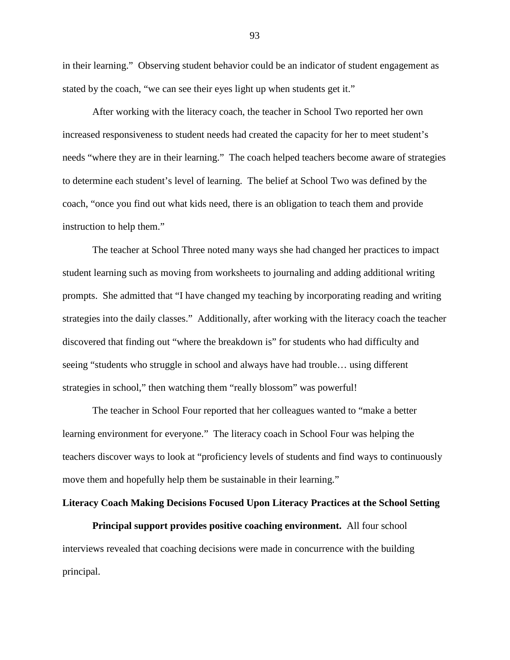in their learning." Observing student behavior could be an indicator of student engagement as stated by the coach, "we can see their eyes light up when students get it."

After working with the literacy coach, the teacher in School Two reported her own increased responsiveness to student needs had created the capacity for her to meet student's needs "where they are in their learning." The coach helped teachers become aware of strategies to determine each student's level of learning. The belief at School Two was defined by the coach, "once you find out what kids need, there is an obligation to teach them and provide instruction to help them."

The teacher at School Three noted many ways she had changed her practices to impact student learning such as moving from worksheets to journaling and adding additional writing prompts. She admitted that "I have changed my teaching by incorporating reading and writing strategies into the daily classes." Additionally, after working with the literacy coach the teacher discovered that finding out "where the breakdown is" for students who had difficulty and seeing "students who struggle in school and always have had trouble… using different strategies in school," then watching them "really blossom" was powerful!

The teacher in School Four reported that her colleagues wanted to "make a better learning environment for everyone." The literacy coach in School Four was helping the teachers discover ways to look at "proficiency levels of students and find ways to continuously move them and hopefully help them be sustainable in their learning."

# **Literacy Coach Making Decisions Focused Upon Literacy Practices at the School Setting**

**Principal support provides positive coaching environment.** All four school interviews revealed that coaching decisions were made in concurrence with the building principal.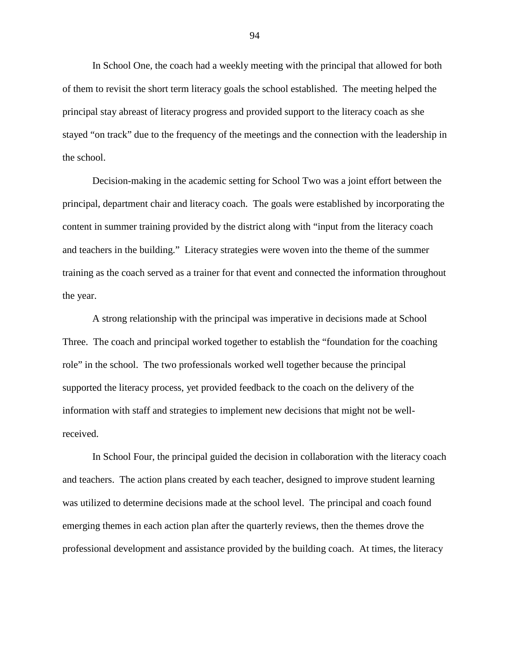In School One, the coach had a weekly meeting with the principal that allowed for both of them to revisit the short term literacy goals the school established. The meeting helped the principal stay abreast of literacy progress and provided support to the literacy coach as she stayed "on track" due to the frequency of the meetings and the connection with the leadership in the school.

Decision-making in the academic setting for School Two was a joint effort between the principal, department chair and literacy coach. The goals were established by incorporating the content in summer training provided by the district along with "input from the literacy coach and teachers in the building." Literacy strategies were woven into the theme of the summer training as the coach served as a trainer for that event and connected the information throughout the year.

A strong relationship with the principal was imperative in decisions made at School Three. The coach and principal worked together to establish the "foundation for the coaching role" in the school. The two professionals worked well together because the principal supported the literacy process, yet provided feedback to the coach on the delivery of the information with staff and strategies to implement new decisions that might not be wellreceived.

In School Four, the principal guided the decision in collaboration with the literacy coach and teachers. The action plans created by each teacher, designed to improve student learning was utilized to determine decisions made at the school level. The principal and coach found emerging themes in each action plan after the quarterly reviews, then the themes drove the professional development and assistance provided by the building coach. At times, the literacy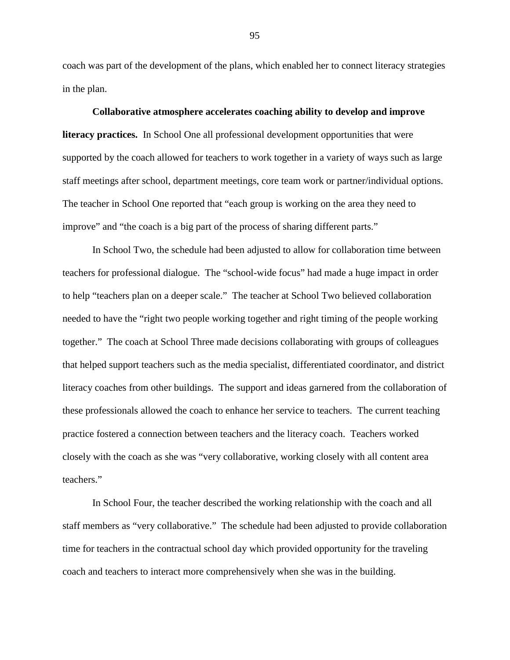coach was part of the development of the plans, which enabled her to connect literacy strategies in the plan.

**Collaborative atmosphere accelerates coaching ability to develop and improve literacy practices.** In School One all professional development opportunities that were supported by the coach allowed for teachers to work together in a variety of ways such as large staff meetings after school, department meetings, core team work or partner/individual options. The teacher in School One reported that "each group is working on the area they need to improve" and "the coach is a big part of the process of sharing different parts."

In School Two, the schedule had been adjusted to allow for collaboration time between teachers for professional dialogue. The "school-wide focus" had made a huge impact in order to help "teachers plan on a deeper scale." The teacher at School Two believed collaboration needed to have the "right two people working together and right timing of the people working together." The coach at School Three made decisions collaborating with groups of colleagues that helped support teachers such as the media specialist, differentiated coordinator, and district literacy coaches from other buildings. The support and ideas garnered from the collaboration of these professionals allowed the coach to enhance her service to teachers. The current teaching practice fostered a connection between teachers and the literacy coach. Teachers worked closely with the coach as she was "very collaborative, working closely with all content area teachers."

In School Four, the teacher described the working relationship with the coach and all staff members as "very collaborative." The schedule had been adjusted to provide collaboration time for teachers in the contractual school day which provided opportunity for the traveling coach and teachers to interact more comprehensively when she was in the building.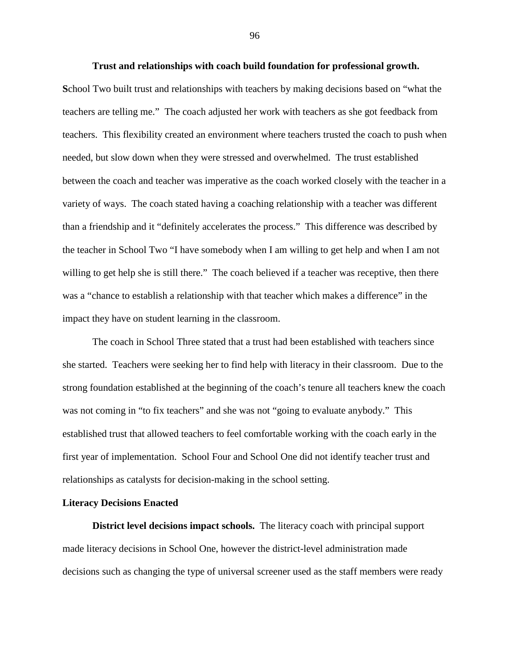**Trust and relationships with coach build foundation for professional growth. S**chool Two built trust and relationships with teachers by making decisions based on "what the teachers are telling me." The coach adjusted her work with teachers as she got feedback from teachers. This flexibility created an environment where teachers trusted the coach to push when needed, but slow down when they were stressed and overwhelmed. The trust established between the coach and teacher was imperative as the coach worked closely with the teacher in a variety of ways. The coach stated having a coaching relationship with a teacher was different than a friendship and it "definitely accelerates the process." This difference was described by the teacher in School Two "I have somebody when I am willing to get help and when I am not willing to get help she is still there." The coach believed if a teacher was receptive, then there was a "chance to establish a relationship with that teacher which makes a difference" in the impact they have on student learning in the classroom.

The coach in School Three stated that a trust had been established with teachers since she started. Teachers were seeking her to find help with literacy in their classroom. Due to the strong foundation established at the beginning of the coach's tenure all teachers knew the coach was not coming in "to fix teachers" and she was not "going to evaluate anybody." This established trust that allowed teachers to feel comfortable working with the coach early in the first year of implementation. School Four and School One did not identify teacher trust and relationships as catalysts for decision-making in the school setting.

### **Literacy Decisions Enacted**

**District level decisions impact schools.** The literacy coach with principal support made literacy decisions in School One, however the district-level administration made decisions such as changing the type of universal screener used as the staff members were ready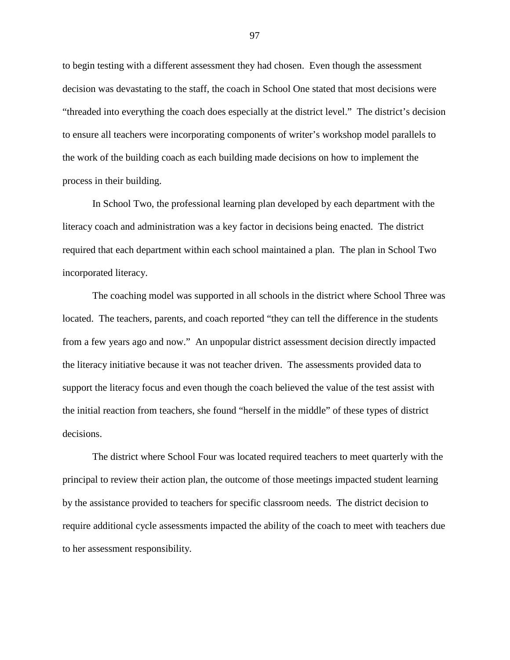to begin testing with a different assessment they had chosen. Even though the assessment decision was devastating to the staff, the coach in School One stated that most decisions were "threaded into everything the coach does especially at the district level." The district's decision to ensure all teachers were incorporating components of writer's workshop model parallels to the work of the building coach as each building made decisions on how to implement the process in their building.

In School Two, the professional learning plan developed by each department with the literacy coach and administration was a key factor in decisions being enacted. The district required that each department within each school maintained a plan. The plan in School Two incorporated literacy.

The coaching model was supported in all schools in the district where School Three was located. The teachers, parents, and coach reported "they can tell the difference in the students from a few years ago and now." An unpopular district assessment decision directly impacted the literacy initiative because it was not teacher driven. The assessments provided data to support the literacy focus and even though the coach believed the value of the test assist with the initial reaction from teachers, she found "herself in the middle" of these types of district decisions.

The district where School Four was located required teachers to meet quarterly with the principal to review their action plan, the outcome of those meetings impacted student learning by the assistance provided to teachers for specific classroom needs. The district decision to require additional cycle assessments impacted the ability of the coach to meet with teachers due to her assessment responsibility.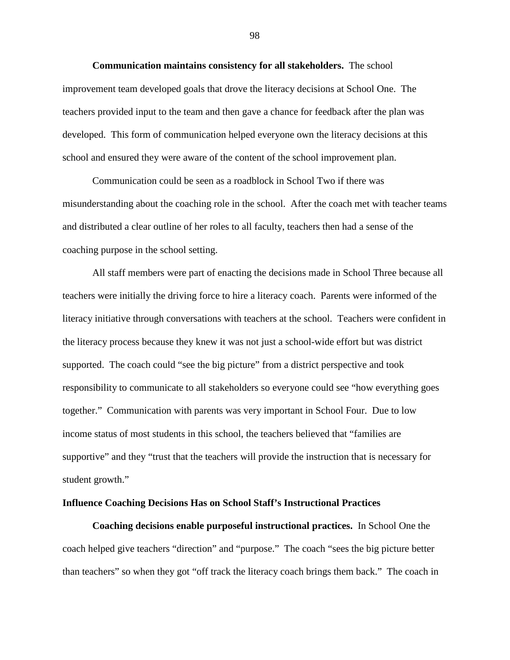**Communication maintains consistency for all stakeholders.** The school improvement team developed goals that drove the literacy decisions at School One. The teachers provided input to the team and then gave a chance for feedback after the plan was developed. This form of communication helped everyone own the literacy decisions at this school and ensured they were aware of the content of the school improvement plan.

Communication could be seen as a roadblock in School Two if there was misunderstanding about the coaching role in the school. After the coach met with teacher teams and distributed a clear outline of her roles to all faculty, teachers then had a sense of the coaching purpose in the school setting.

All staff members were part of enacting the decisions made in School Three because all teachers were initially the driving force to hire a literacy coach. Parents were informed of the literacy initiative through conversations with teachers at the school. Teachers were confident in the literacy process because they knew it was not just a school-wide effort but was district supported. The coach could "see the big picture" from a district perspective and took responsibility to communicate to all stakeholders so everyone could see "how everything goes together." Communication with parents was very important in School Four. Due to low income status of most students in this school, the teachers believed that "families are supportive" and they "trust that the teachers will provide the instruction that is necessary for student growth."

## **Influence Coaching Decisions Has on School Staff's Instructional Practices**

**Coaching decisions enable purposeful instructional practices.** In School One the coach helped give teachers "direction" and "purpose." The coach "sees the big picture better than teachers" so when they got "off track the literacy coach brings them back." The coach in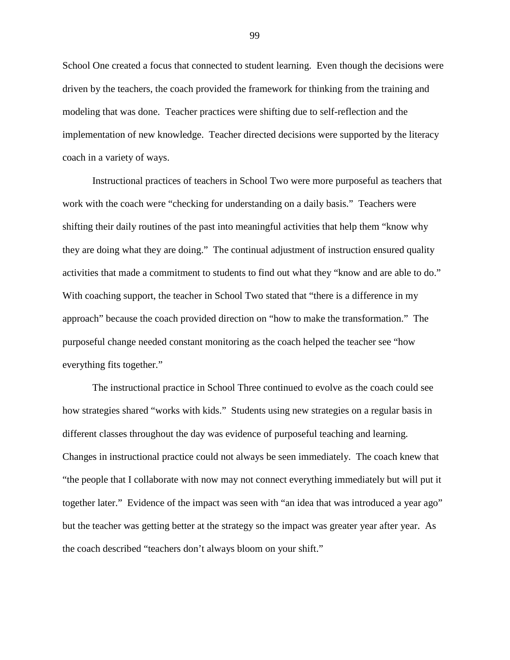School One created a focus that connected to student learning. Even though the decisions were driven by the teachers, the coach provided the framework for thinking from the training and modeling that was done. Teacher practices were shifting due to self-reflection and the implementation of new knowledge. Teacher directed decisions were supported by the literacy coach in a variety of ways.

Instructional practices of teachers in School Two were more purposeful as teachers that work with the coach were "checking for understanding on a daily basis." Teachers were shifting their daily routines of the past into meaningful activities that help them "know why they are doing what they are doing." The continual adjustment of instruction ensured quality activities that made a commitment to students to find out what they "know and are able to do." With coaching support, the teacher in School Two stated that "there is a difference in my approach" because the coach provided direction on "how to make the transformation." The purposeful change needed constant monitoring as the coach helped the teacher see "how everything fits together."

The instructional practice in School Three continued to evolve as the coach could see how strategies shared "works with kids." Students using new strategies on a regular basis in different classes throughout the day was evidence of purposeful teaching and learning. Changes in instructional practice could not always be seen immediately. The coach knew that "the people that I collaborate with now may not connect everything immediately but will put it together later." Evidence of the impact was seen with "an idea that was introduced a year ago" but the teacher was getting better at the strategy so the impact was greater year after year. As the coach described "teachers don't always bloom on your shift."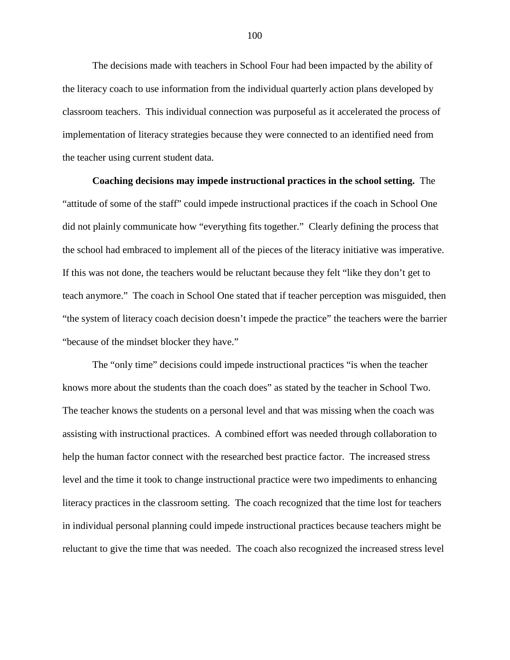The decisions made with teachers in School Four had been impacted by the ability of the literacy coach to use information from the individual quarterly action plans developed by classroom teachers. This individual connection was purposeful as it accelerated the process of implementation of literacy strategies because they were connected to an identified need from the teacher using current student data.

**Coaching decisions may impede instructional practices in the school setting.** The "attitude of some of the staff" could impede instructional practices if the coach in School One did not plainly communicate how "everything fits together." Clearly defining the process that the school had embraced to implement all of the pieces of the literacy initiative was imperative. If this was not done, the teachers would be reluctant because they felt "like they don't get to teach anymore." The coach in School One stated that if teacher perception was misguided, then "the system of literacy coach decision doesn't impede the practice" the teachers were the barrier "because of the mindset blocker they have."

The "only time" decisions could impede instructional practices "is when the teacher knows more about the students than the coach does" as stated by the teacher in School Two. The teacher knows the students on a personal level and that was missing when the coach was assisting with instructional practices. A combined effort was needed through collaboration to help the human factor connect with the researched best practice factor. The increased stress level and the time it took to change instructional practice were two impediments to enhancing literacy practices in the classroom setting. The coach recognized that the time lost for teachers in individual personal planning could impede instructional practices because teachers might be reluctant to give the time that was needed. The coach also recognized the increased stress level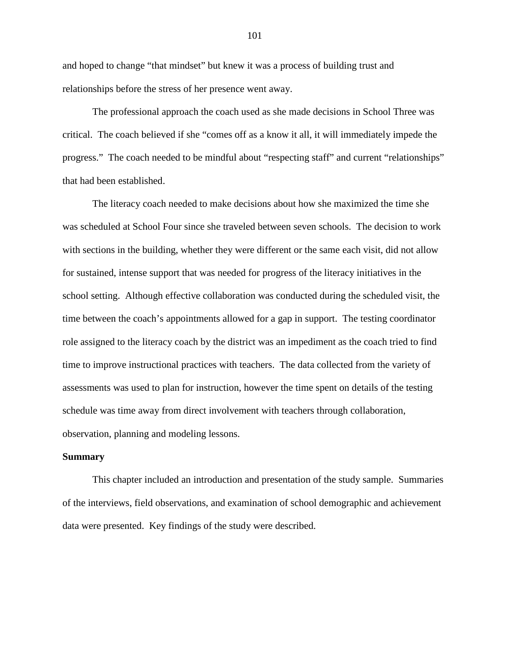and hoped to change "that mindset" but knew it was a process of building trust and relationships before the stress of her presence went away.

The professional approach the coach used as she made decisions in School Three was critical. The coach believed if she "comes off as a know it all, it will immediately impede the progress." The coach needed to be mindful about "respecting staff" and current "relationships" that had been established.

The literacy coach needed to make decisions about how she maximized the time she was scheduled at School Four since she traveled between seven schools. The decision to work with sections in the building, whether they were different or the same each visit, did not allow for sustained, intense support that was needed for progress of the literacy initiatives in the school setting. Although effective collaboration was conducted during the scheduled visit, the time between the coach's appointments allowed for a gap in support. The testing coordinator role assigned to the literacy coach by the district was an impediment as the coach tried to find time to improve instructional practices with teachers. The data collected from the variety of assessments was used to plan for instruction, however the time spent on details of the testing schedule was time away from direct involvement with teachers through collaboration, observation, planning and modeling lessons.

#### **Summary**

This chapter included an introduction and presentation of the study sample. Summaries of the interviews, field observations, and examination of school demographic and achievement data were presented. Key findings of the study were described.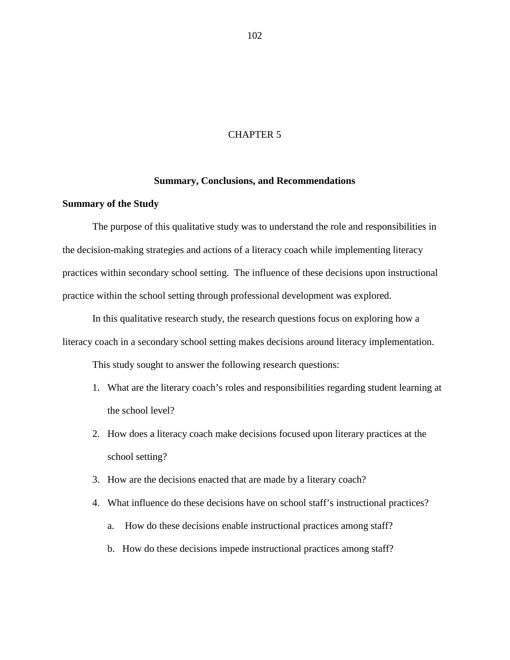## CHAPTER 5

#### **Summary, Conclusions, and Recommendations**

## **Summary of the Study**

The purpose of this qualitative study was to understand the role and responsibilities in the decision-making strategies and actions of a literacy coach while implementing literacy practices within secondary school setting. The influence of these decisions upon instructional practice within the school setting through professional development was explored.

In this qualitative research study, the research questions focus on exploring how a literacy coach in a secondary school setting makes decisions around literacy implementation.

This study sought to answer the following research questions:

- 1. What are the literary coach's roles and responsibilities regarding student learning at the school level?
- 2. How does a literacy coach make decisions focused upon literary practices at the school setting?
- 3. How are the decisions enacted that are made by a literary coach?
- 4. What influence do these decisions have on school staff's instructional practices?
	- a. How do these decisions enable instructional practices among staff?
	- b. How do these decisions impede instructional practices among staff?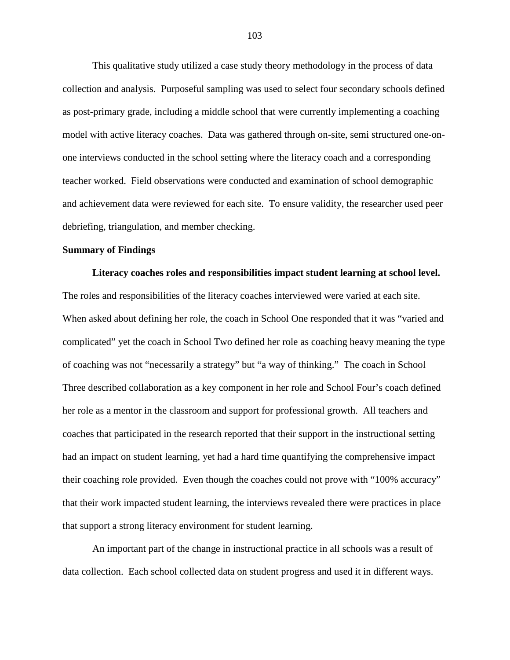This qualitative study utilized a case study theory methodology in the process of data collection and analysis. Purposeful sampling was used to select four secondary schools defined as post-primary grade, including a middle school that were currently implementing a coaching model with active literacy coaches. Data was gathered through on-site, semi structured one-onone interviews conducted in the school setting where the literacy coach and a corresponding teacher worked. Field observations were conducted and examination of school demographic and achievement data were reviewed for each site. To ensure validity, the researcher used peer debriefing, triangulation, and member checking.

## **Summary of Findings**

**Literacy coaches roles and responsibilities impact student learning at school level.**  The roles and responsibilities of the literacy coaches interviewed were varied at each site. When asked about defining her role, the coach in School One responded that it was "varied and complicated" yet the coach in School Two defined her role as coaching heavy meaning the type of coaching was not "necessarily a strategy" but "a way of thinking." The coach in School Three described collaboration as a key component in her role and School Four's coach defined her role as a mentor in the classroom and support for professional growth. All teachers and coaches that participated in the research reported that their support in the instructional setting had an impact on student learning, yet had a hard time quantifying the comprehensive impact their coaching role provided. Even though the coaches could not prove with "100% accuracy" that their work impacted student learning, the interviews revealed there were practices in place that support a strong literacy environment for student learning.

An important part of the change in instructional practice in all schools was a result of data collection. Each school collected data on student progress and used it in different ways.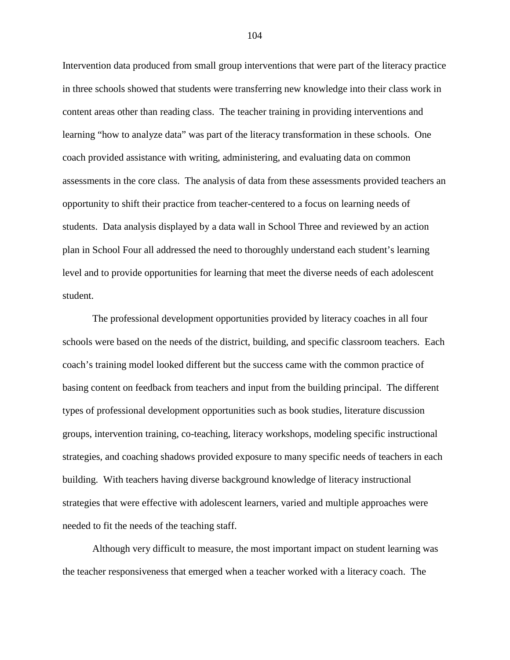Intervention data produced from small group interventions that were part of the literacy practice in three schools showed that students were transferring new knowledge into their class work in content areas other than reading class. The teacher training in providing interventions and learning "how to analyze data" was part of the literacy transformation in these schools. One coach provided assistance with writing, administering, and evaluating data on common assessments in the core class. The analysis of data from these assessments provided teachers an opportunity to shift their practice from teacher-centered to a focus on learning needs of students. Data analysis displayed by a data wall in School Three and reviewed by an action plan in School Four all addressed the need to thoroughly understand each student's learning level and to provide opportunities for learning that meet the diverse needs of each adolescent student.

The professional development opportunities provided by literacy coaches in all four schools were based on the needs of the district, building, and specific classroom teachers. Each coach's training model looked different but the success came with the common practice of basing content on feedback from teachers and input from the building principal. The different types of professional development opportunities such as book studies, literature discussion groups, intervention training, co-teaching, literacy workshops, modeling specific instructional strategies, and coaching shadows provided exposure to many specific needs of teachers in each building. With teachers having diverse background knowledge of literacy instructional strategies that were effective with adolescent learners, varied and multiple approaches were needed to fit the needs of the teaching staff.

Although very difficult to measure, the most important impact on student learning was the teacher responsiveness that emerged when a teacher worked with a literacy coach. The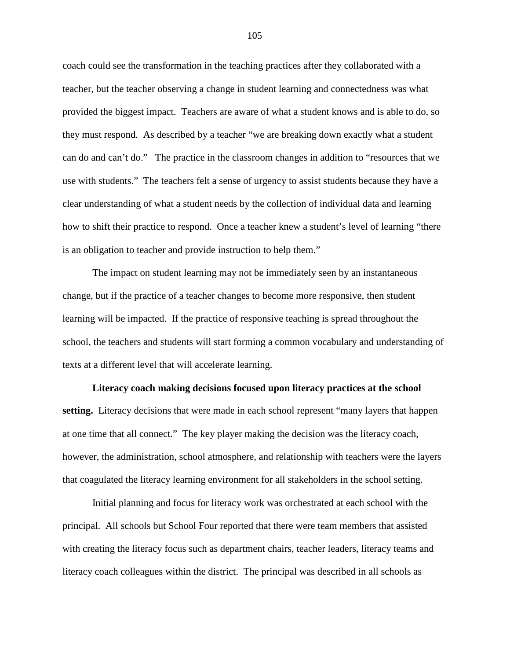coach could see the transformation in the teaching practices after they collaborated with a teacher, but the teacher observing a change in student learning and connectedness was what provided the biggest impact. Teachers are aware of what a student knows and is able to do, so they must respond. As described by a teacher "we are breaking down exactly what a student can do and can't do." The practice in the classroom changes in addition to "resources that we use with students." The teachers felt a sense of urgency to assist students because they have a clear understanding of what a student needs by the collection of individual data and learning how to shift their practice to respond. Once a teacher knew a student's level of learning "there is an obligation to teacher and provide instruction to help them."

The impact on student learning may not be immediately seen by an instantaneous change, but if the practice of a teacher changes to become more responsive, then student learning will be impacted. If the practice of responsive teaching is spread throughout the school, the teachers and students will start forming a common vocabulary and understanding of texts at a different level that will accelerate learning.

**Literacy coach making decisions focused upon literacy practices at the school setting.** Literacy decisions that were made in each school represent "many layers that happen at one time that all connect." The key player making the decision was the literacy coach, however, the administration, school atmosphere, and relationship with teachers were the layers that coagulated the literacy learning environment for all stakeholders in the school setting.

Initial planning and focus for literacy work was orchestrated at each school with the principal. All schools but School Four reported that there were team members that assisted with creating the literacy focus such as department chairs, teacher leaders, literacy teams and literacy coach colleagues within the district. The principal was described in all schools as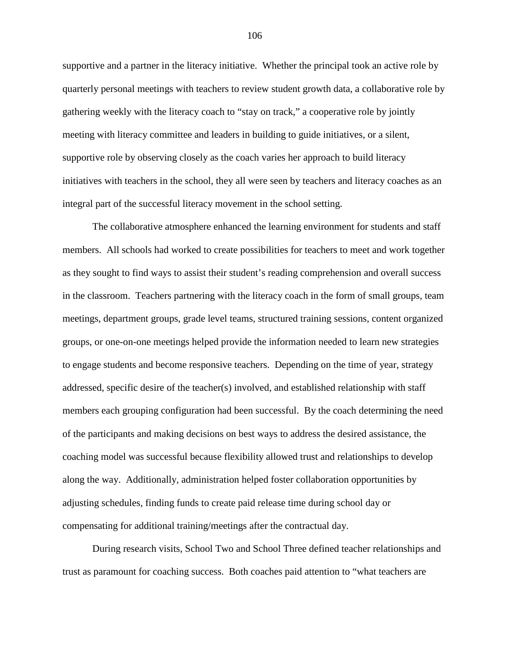supportive and a partner in the literacy initiative. Whether the principal took an active role by quarterly personal meetings with teachers to review student growth data, a collaborative role by gathering weekly with the literacy coach to "stay on track," a cooperative role by jointly meeting with literacy committee and leaders in building to guide initiatives, or a silent, supportive role by observing closely as the coach varies her approach to build literacy initiatives with teachers in the school, they all were seen by teachers and literacy coaches as an integral part of the successful literacy movement in the school setting.

The collaborative atmosphere enhanced the learning environment for students and staff members. All schools had worked to create possibilities for teachers to meet and work together as they sought to find ways to assist their student's reading comprehension and overall success in the classroom. Teachers partnering with the literacy coach in the form of small groups, team meetings, department groups, grade level teams, structured training sessions, content organized groups, or one-on-one meetings helped provide the information needed to learn new strategies to engage students and become responsive teachers. Depending on the time of year, strategy addressed, specific desire of the teacher(s) involved, and established relationship with staff members each grouping configuration had been successful. By the coach determining the need of the participants and making decisions on best ways to address the desired assistance, the coaching model was successful because flexibility allowed trust and relationships to develop along the way. Additionally, administration helped foster collaboration opportunities by adjusting schedules, finding funds to create paid release time during school day or compensating for additional training/meetings after the contractual day.

During research visits, School Two and School Three defined teacher relationships and trust as paramount for coaching success. Both coaches paid attention to "what teachers are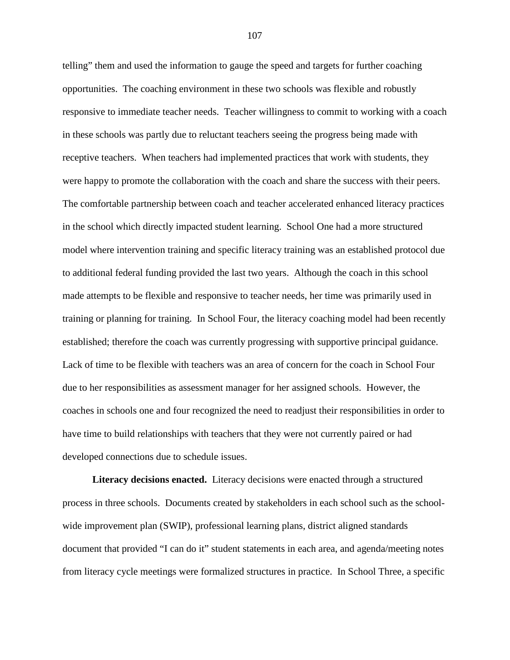telling" them and used the information to gauge the speed and targets for further coaching opportunities. The coaching environment in these two schools was flexible and robustly responsive to immediate teacher needs. Teacher willingness to commit to working with a coach in these schools was partly due to reluctant teachers seeing the progress being made with receptive teachers. When teachers had implemented practices that work with students, they were happy to promote the collaboration with the coach and share the success with their peers. The comfortable partnership between coach and teacher accelerated enhanced literacy practices in the school which directly impacted student learning. School One had a more structured model where intervention training and specific literacy training was an established protocol due to additional federal funding provided the last two years. Although the coach in this school made attempts to be flexible and responsive to teacher needs, her time was primarily used in training or planning for training. In School Four, the literacy coaching model had been recently established; therefore the coach was currently progressing with supportive principal guidance. Lack of time to be flexible with teachers was an area of concern for the coach in School Four due to her responsibilities as assessment manager for her assigned schools. However, the coaches in schools one and four recognized the need to readjust their responsibilities in order to have time to build relationships with teachers that they were not currently paired or had developed connections due to schedule issues.

**Literacy decisions enacted.** Literacy decisions were enacted through a structured process in three schools. Documents created by stakeholders in each school such as the schoolwide improvement plan (SWIP), professional learning plans, district aligned standards document that provided "I can do it" student statements in each area, and agenda/meeting notes from literacy cycle meetings were formalized structures in practice. In School Three, a specific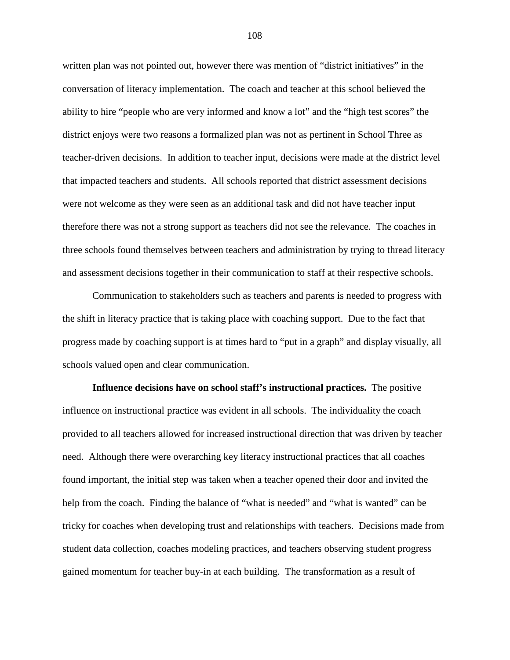written plan was not pointed out, however there was mention of "district initiatives" in the conversation of literacy implementation. The coach and teacher at this school believed the ability to hire "people who are very informed and know a lot" and the "high test scores" the district enjoys were two reasons a formalized plan was not as pertinent in School Three as teacher-driven decisions. In addition to teacher input, decisions were made at the district level that impacted teachers and students. All schools reported that district assessment decisions were not welcome as they were seen as an additional task and did not have teacher input therefore there was not a strong support as teachers did not see the relevance. The coaches in three schools found themselves between teachers and administration by trying to thread literacy and assessment decisions together in their communication to staff at their respective schools.

Communication to stakeholders such as teachers and parents is needed to progress with the shift in literacy practice that is taking place with coaching support. Due to the fact that progress made by coaching support is at times hard to "put in a graph" and display visually, all schools valued open and clear communication.

**Influence decisions have on school staff's instructional practices.** The positive influence on instructional practice was evident in all schools. The individuality the coach provided to all teachers allowed for increased instructional direction that was driven by teacher need. Although there were overarching key literacy instructional practices that all coaches found important, the initial step was taken when a teacher opened their door and invited the help from the coach. Finding the balance of "what is needed" and "what is wanted" can be tricky for coaches when developing trust and relationships with teachers. Decisions made from student data collection, coaches modeling practices, and teachers observing student progress gained momentum for teacher buy-in at each building. The transformation as a result of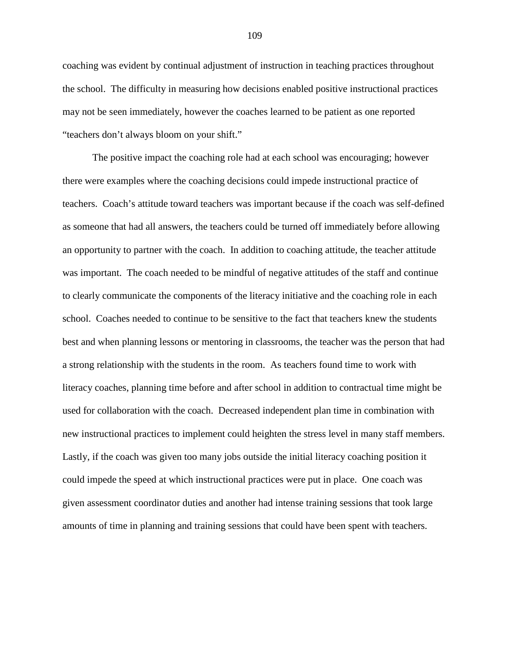coaching was evident by continual adjustment of instruction in teaching practices throughout the school. The difficulty in measuring how decisions enabled positive instructional practices may not be seen immediately, however the coaches learned to be patient as one reported "teachers don't always bloom on your shift."

The positive impact the coaching role had at each school was encouraging; however there were examples where the coaching decisions could impede instructional practice of teachers. Coach's attitude toward teachers was important because if the coach was self-defined as someone that had all answers, the teachers could be turned off immediately before allowing an opportunity to partner with the coach. In addition to coaching attitude, the teacher attitude was important. The coach needed to be mindful of negative attitudes of the staff and continue to clearly communicate the components of the literacy initiative and the coaching role in each school. Coaches needed to continue to be sensitive to the fact that teachers knew the students best and when planning lessons or mentoring in classrooms, the teacher was the person that had a strong relationship with the students in the room. As teachers found time to work with literacy coaches, planning time before and after school in addition to contractual time might be used for collaboration with the coach. Decreased independent plan time in combination with new instructional practices to implement could heighten the stress level in many staff members. Lastly, if the coach was given too many jobs outside the initial literacy coaching position it could impede the speed at which instructional practices were put in place. One coach was given assessment coordinator duties and another had intense training sessions that took large amounts of time in planning and training sessions that could have been spent with teachers.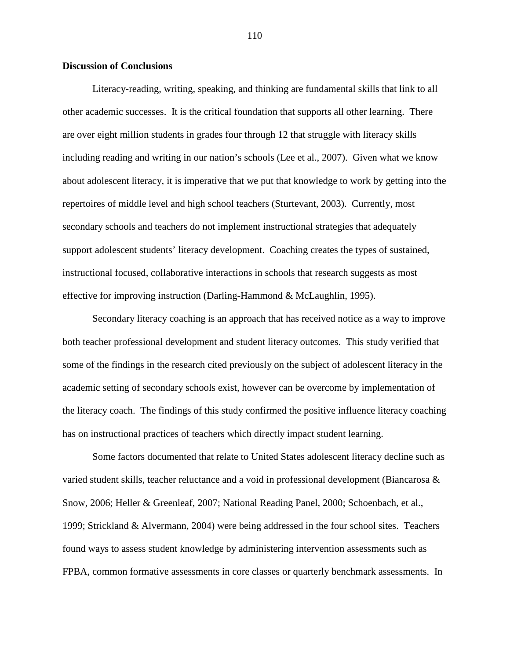## **Discussion of Conclusions**

Literacy-reading, writing, speaking, and thinking are fundamental skills that link to all other academic successes. It is the critical foundation that supports all other learning. There are over eight million students in grades four through 12 that struggle with literacy skills including reading and writing in our nation's schools (Lee et al., 2007). Given what we know about adolescent literacy, it is imperative that we put that knowledge to work by getting into the repertoires of middle level and high school teachers (Sturtevant, 2003). Currently, most secondary schools and teachers do not implement instructional strategies that adequately support adolescent students' literacy development. Coaching creates the types of sustained, instructional focused, collaborative interactions in schools that research suggests as most effective for improving instruction (Darling-Hammond & McLaughlin, 1995).

Secondary literacy coaching is an approach that has received notice as a way to improve both teacher professional development and student literacy outcomes. This study verified that some of the findings in the research cited previously on the subject of adolescent literacy in the academic setting of secondary schools exist, however can be overcome by implementation of the literacy coach. The findings of this study confirmed the positive influence literacy coaching has on instructional practices of teachers which directly impact student learning.

Some factors documented that relate to United States adolescent literacy decline such as varied student skills, teacher reluctance and a void in professional development (Biancarosa & Snow, 2006; Heller & Greenleaf, 2007; National Reading Panel, 2000; Schoenbach, et al., 1999; Strickland & Alvermann, 2004) were being addressed in the four school sites. Teachers found ways to assess student knowledge by administering intervention assessments such as FPBA, common formative assessments in core classes or quarterly benchmark assessments. In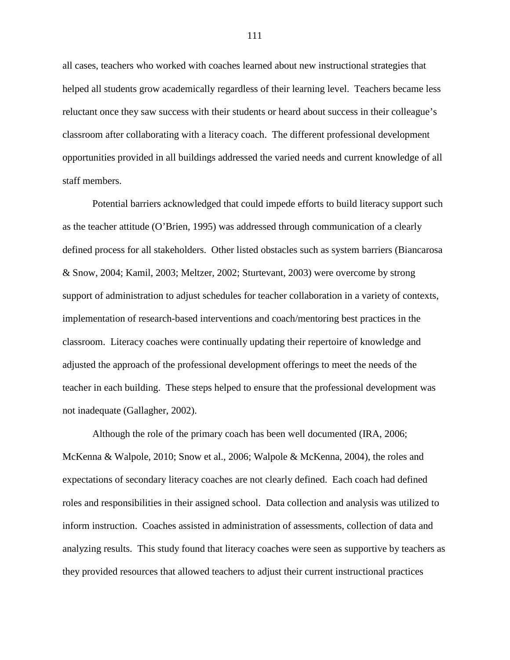all cases, teachers who worked with coaches learned about new instructional strategies that helped all students grow academically regardless of their learning level. Teachers became less reluctant once they saw success with their students or heard about success in their colleague's classroom after collaborating with a literacy coach. The different professional development opportunities provided in all buildings addressed the varied needs and current knowledge of all staff members.

Potential barriers acknowledged that could impede efforts to build literacy support such as the teacher attitude (O'Brien, 1995) was addressed through communication of a clearly defined process for all stakeholders. Other listed obstacles such as system barriers (Biancarosa & Snow, 2004; Kamil, 2003; Meltzer, 2002; Sturtevant, 2003) were overcome by strong support of administration to adjust schedules for teacher collaboration in a variety of contexts, implementation of research-based interventions and coach/mentoring best practices in the classroom. Literacy coaches were continually updating their repertoire of knowledge and adjusted the approach of the professional development offerings to meet the needs of the teacher in each building. These steps helped to ensure that the professional development was not inadequate (Gallagher, 2002).

Although the role of the primary coach has been well documented (IRA, 2006; McKenna & Walpole, 2010; Snow et al., 2006; Walpole & McKenna, 2004), the roles and expectations of secondary literacy coaches are not clearly defined. Each coach had defined roles and responsibilities in their assigned school. Data collection and analysis was utilized to inform instruction. Coaches assisted in administration of assessments, collection of data and analyzing results. This study found that literacy coaches were seen as supportive by teachers as they provided resources that allowed teachers to adjust their current instructional practices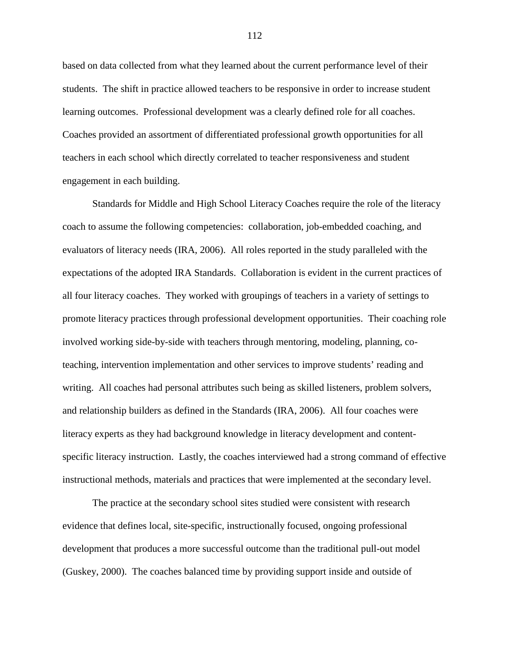based on data collected from what they learned about the current performance level of their students. The shift in practice allowed teachers to be responsive in order to increase student learning outcomes. Professional development was a clearly defined role for all coaches. Coaches provided an assortment of differentiated professional growth opportunities for all teachers in each school which directly correlated to teacher responsiveness and student engagement in each building.

Standards for Middle and High School Literacy Coaches require the role of the literacy coach to assume the following competencies: collaboration, job-embedded coaching, and evaluators of literacy needs (IRA, 2006). All roles reported in the study paralleled with the expectations of the adopted IRA Standards. Collaboration is evident in the current practices of all four literacy coaches. They worked with groupings of teachers in a variety of settings to promote literacy practices through professional development opportunities. Their coaching role involved working side-by-side with teachers through mentoring, modeling, planning, coteaching, intervention implementation and other services to improve students' reading and writing. All coaches had personal attributes such being as skilled listeners, problem solvers, and relationship builders as defined in the Standards (IRA, 2006). All four coaches were literacy experts as they had background knowledge in literacy development and contentspecific literacy instruction. Lastly, the coaches interviewed had a strong command of effective instructional methods, materials and practices that were implemented at the secondary level.

The practice at the secondary school sites studied were consistent with research evidence that defines local, site-specific, instructionally focused, ongoing professional development that produces a more successful outcome than the traditional pull-out model (Guskey, 2000). The coaches balanced time by providing support inside and outside of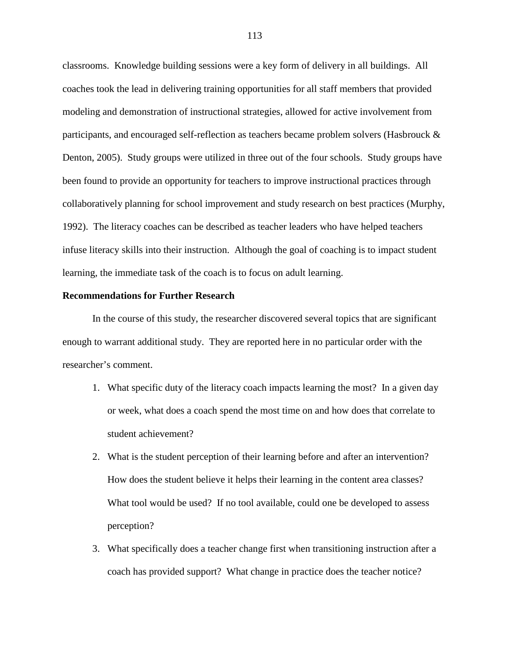classrooms. Knowledge building sessions were a key form of delivery in all buildings. All coaches took the lead in delivering training opportunities for all staff members that provided modeling and demonstration of instructional strategies, allowed for active involvement from participants, and encouraged self-reflection as teachers became problem solvers (Hasbrouck & Denton, 2005). Study groups were utilized in three out of the four schools. Study groups have been found to provide an opportunity for teachers to improve instructional practices through collaboratively planning for school improvement and study research on best practices (Murphy, 1992). The literacy coaches can be described as teacher leaders who have helped teachers infuse literacy skills into their instruction. Although the goal of coaching is to impact student learning, the immediate task of the coach is to focus on adult learning.

#### **Recommendations for Further Research**

In the course of this study, the researcher discovered several topics that are significant enough to warrant additional study. They are reported here in no particular order with the researcher's comment.

- 1. What specific duty of the literacy coach impacts learning the most? In a given day or week, what does a coach spend the most time on and how does that correlate to student achievement?
- 2. What is the student perception of their learning before and after an intervention? How does the student believe it helps their learning in the content area classes? What tool would be used? If no tool available, could one be developed to assess perception?
- 3. What specifically does a teacher change first when transitioning instruction after a coach has provided support? What change in practice does the teacher notice?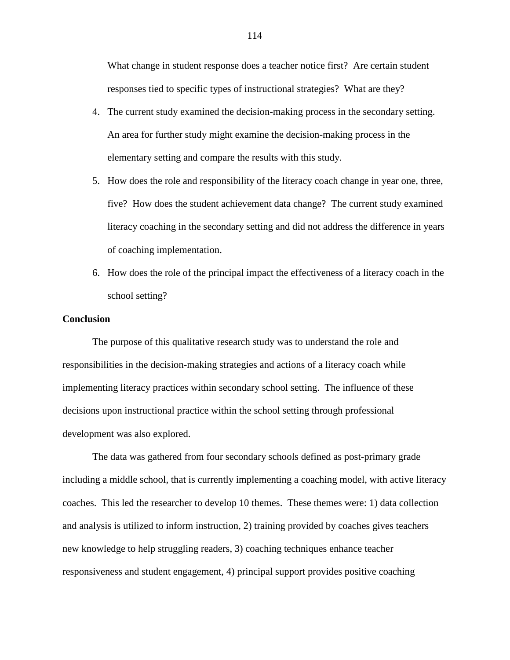What change in student response does a teacher notice first? Are certain student responses tied to specific types of instructional strategies? What are they?

- 4. The current study examined the decision-making process in the secondary setting. An area for further study might examine the decision-making process in the elementary setting and compare the results with this study.
- 5. How does the role and responsibility of the literacy coach change in year one, three, five? How does the student achievement data change? The current study examined literacy coaching in the secondary setting and did not address the difference in years of coaching implementation.
- 6. How does the role of the principal impact the effectiveness of a literacy coach in the school setting?

## **Conclusion**

The purpose of this qualitative research study was to understand the role and responsibilities in the decision-making strategies and actions of a literacy coach while implementing literacy practices within secondary school setting. The influence of these decisions upon instructional practice within the school setting through professional development was also explored.

The data was gathered from four secondary schools defined as post-primary grade including a middle school, that is currently implementing a coaching model, with active literacy coaches. This led the researcher to develop 10 themes. These themes were: 1) data collection and analysis is utilized to inform instruction, 2) training provided by coaches gives teachers new knowledge to help struggling readers, 3) coaching techniques enhance teacher responsiveness and student engagement, 4) principal support provides positive coaching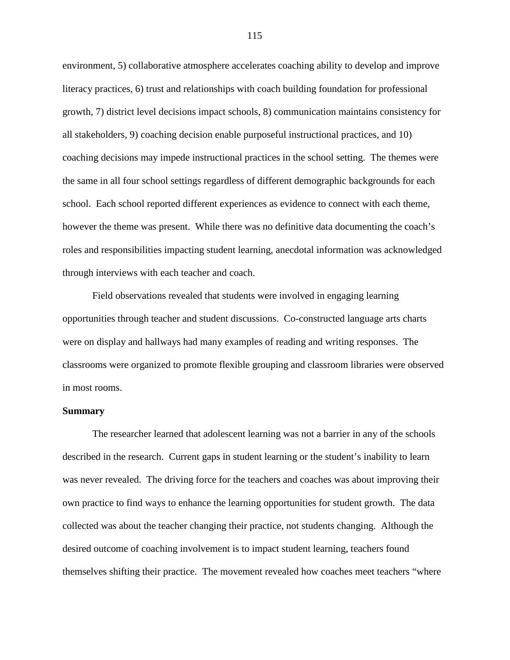environment, 5) collaborative atmosphere accelerates coaching ability to develop and improve literacy practices, 6) trust and relationships with coach building foundation for professional growth, 7) district level decisions impact schools, 8) communication maintains consistency for all stakeholders, 9) coaching decision enable purposeful instructional practices, and 10) coaching decisions may impede instructional practices in the school setting. The themes were the same in all four school settings regardless of different demographic backgrounds for each school. Each school reported different experiences as evidence to connect with each theme, however the theme was present. While there was no definitive data documenting the coach's roles and responsibilities impacting student learning, anecdotal information was acknowledged through interviews with each teacher and coach.

Field observations revealed that students were involved in engaging learning opportunities through teacher and student discussions. Co-constructed language arts charts were on display and hallways had many examples of reading and writing responses. The classrooms were organized to promote flexible grouping and classroom libraries were observed in most rooms.

#### **Summary**

The researcher learned that adolescent learning was not a barrier in any of the schools described in the research. Current gaps in student learning or the student's inability to learn was never revealed. The driving force for the teachers and coaches was about improving their own practice to find ways to enhance the learning opportunities for student growth. The data collected was about the teacher changing their practice, not students changing. Although the desired outcome of coaching involvement is to impact student learning, teachers found themselves shifting their practice. The movement revealed how coaches meet teachers "where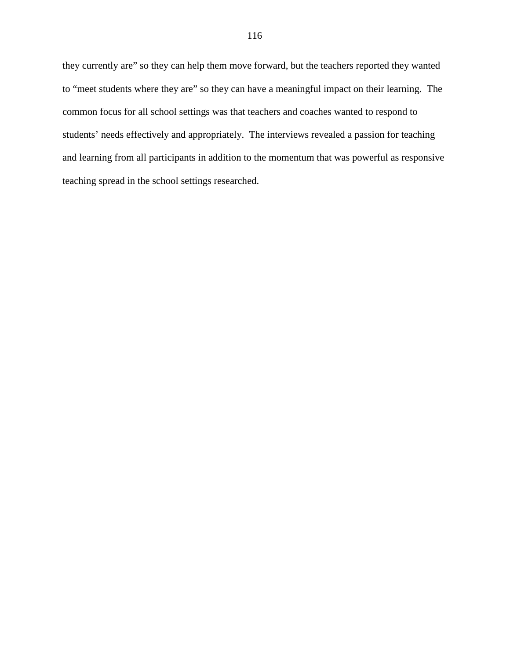they currently are" so they can help them move forward, but the teachers reported they wanted to "meet students where they are" so they can have a meaningful impact on their learning. The common focus for all school settings was that teachers and coaches wanted to respond to students' needs effectively and appropriately. The interviews revealed a passion for teaching and learning from all participants in addition to the momentum that was powerful as responsive teaching spread in the school settings researched.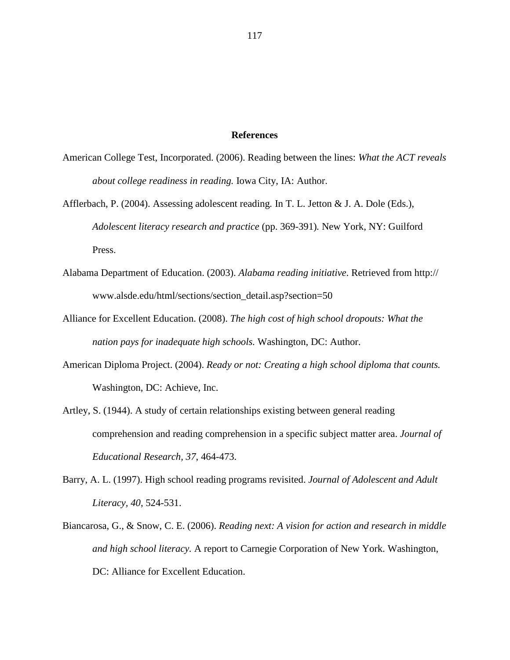#### **References**

- American College Test, Incorporated. (2006). Reading between the lines: *What the ACT reveals about college readiness in reading.* Iowa City, IA: Author.
- Afflerbach, P. (2004). Assessing adolescent reading*.* In T. L. Jetton & J. A. Dole (Eds.), *Adolescent literacy research and practice* (pp. 369-391)*.* New York, NY: Guilford Press.
- Alabama Department of Education. (2003). *Alabama reading initiative*. Retrieved from http:// www.alsde.edu/html/sections/section\_detail.asp?section=50
- Alliance for Excellent Education. (2008). *The high cost of high school dropouts: What the nation pays for inadequate high schools.* Washington, DC: Author.
- American Diploma Project. (2004). *Ready or not: Creating a high school diploma that counts.*  Washington, DC: Achieve, Inc.
- Artley, S. (1944). A study of certain relationships existing between general reading comprehension and reading comprehension in a specific subject matter area. *Journal of Educational Research, 37*, 464-473.
- Barry, A. L. (1997). High school reading programs revisited. *Journal of Adolescent and Adult Literacy, 40*, 524-531.
- Biancarosa, G., & Snow, C. E. (2006). *Reading next: A vision for action and research in middle and high school literacy.* A report to Carnegie Corporation of New York. Washington, DC: Alliance for Excellent Education.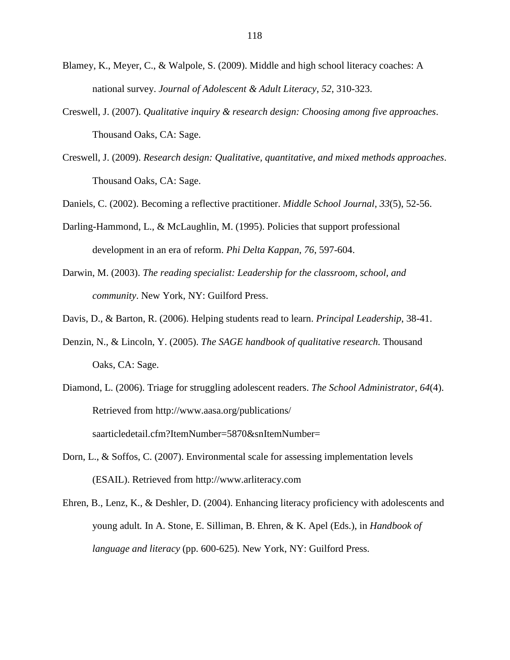- Blamey, K., Meyer, C., & Walpole, S. (2009). Middle and high school literacy coaches: A national survey. *Journal of Adolescent & Adult Literacy*, *52*, 310-323.
- Creswell, J. (2007). *Qualitative inquiry & research design: Choosing among five approaches*. Thousand Oaks, CA: Sage.
- Creswell, J. (2009). *Research design: Qualitative, quantitative, and mixed methods approaches*. Thousand Oaks, CA: Sage.

Daniels, C. (2002). Becoming a reflective practitioner. *Middle School Journal*, *33*(5), 52-56.

- Darling-Hammond, L., & McLaughlin, M. (1995). Policies that support professional development in an era of reform. *Phi Delta Kappan*, *76*, 597-604.
- Darwin, M. (2003). *The reading specialist: Leadership for the classroom, school, and community*. New York, NY: Guilford Press.
- Davis, D., & Barton, R. (2006). Helping students read to learn. *Principal Leadership*, 38-41.
- Denzin, N., & Lincoln, Y. (2005). *The SAGE handbook of qualitative research.* Thousand Oaks, CA: Sage.
- Diamond, L. (2006). Triage for struggling adolescent readers. *The School Administrator, 64*(4). Retrieved from http://www.aasa.org/publications/ saarticledetail.cfm?ItemNumber=5870&snItemNumber=
- Dorn, L., & Soffos, C. (2007). Environmental scale for assessing implementation levels (ESAIL). Retrieved from http://www.arliteracy.com
- Ehren, B., Lenz, K., & Deshler, D. (2004). Enhancing literacy proficiency with adolescents and young adult*.* In A. Stone, E. Silliman, B. Ehren, & K. Apel (Eds.), in *Handbook of language and literacy* (pp. 600-625)*.* New York, NY: Guilford Press.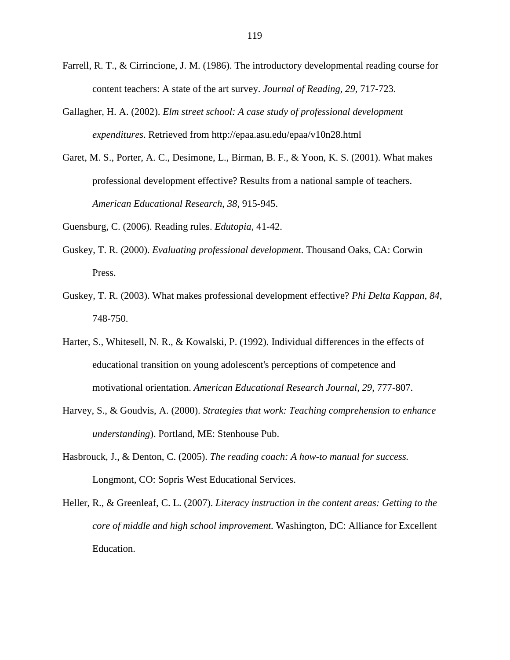- Farrell, R. T., & Cirrincione, J. M. (1986). The introductory developmental reading course for content teachers: A state of the art survey. *Journal of Reading, 29*, 717-723.
- Gallagher, H. A. (2002). *Elm street school: A case study of professional development expenditures*. Retrieved from http://epaa.asu.edu/epaa/v10n28.html
- Garet, M. S., Porter, A. C., Desimone, L., Birman, B. F., & Yoon, K. S. (2001). What makes professional development effective? Results from a national sample of teachers. *American Educational Research*, *38*, 915-945.

Guensburg, C. (2006). Reading rules. *Edutopia,* 41-42.

- Guskey, T. R. (2000). *Evaluating professional development*. Thousand Oaks, CA: Corwin Press.
- Guskey, T. R. (2003). What makes professional development effective? *Phi Delta Kappan*, *84*, 748-750.
- Harter, S., Whitesell, N. R., & Kowalski, P. (1992). Individual differences in the effects of educational transition on young adolescent's perceptions of competence and motivational orientation. *American Educational Research Journal, 29*, 777-807.
- Harvey, S., & Goudvis, A. (2000). *Strategies that work: Teaching comprehension to enhance understanding*). Portland, ME: Stenhouse Pub.
- Hasbrouck, J., & Denton, C. (2005). *The reading coach: A how-to manual for success.* Longmont, CO: Sopris West Educational Services.
- Heller, R., & Greenleaf, C. L. (2007). *Literacy instruction in the content areas: Getting to the core of middle and high school improvement.* Washington, DC: Alliance for Excellent Education.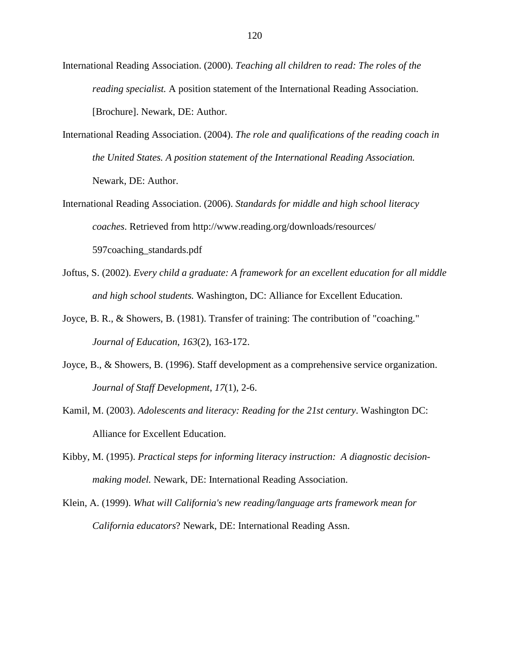- International Reading Association. (2000). *Teaching all children to read: The roles of the reading specialist.* A position statement of the International Reading Association. [Brochure]. Newark, DE: Author.
- International Reading Association. (2004). *The role and qualifications of the reading coach in the United States. A position statement of the International Reading Association.*  Newark, DE: Author.
- International Reading Association. (2006). *Standards for middle and high school literacy coaches*. Retrieved from http://www.reading.org/downloads/resources/ 597coaching\_standards.pdf
- Joftus, S. (2002). *Every child a graduate: A framework for an excellent education for all middle and high school students.* Washington, DC: Alliance for Excellent Education.
- Joyce, B. R., & Showers, B. (1981). Transfer of training: The contribution of "coaching." *Journal of Education*, *163*(2), 163-172.
- Joyce, B., & Showers, B. (1996). Staff development as a comprehensive service organization. *Journal of Staff Development*, *17*(1), 2-6.
- Kamil, M. (2003). *Adolescents and literacy: Reading for the 21st century*. Washington DC: Alliance for Excellent Education.
- Kibby, M. (1995). *Practical steps for informing literacy instruction: A diagnostic decisionmaking model.* Newark, DE: International Reading Association.
- Klein, A. (1999). *What will California's new reading/language arts framework mean for California educators*? Newark, DE: International Reading Assn.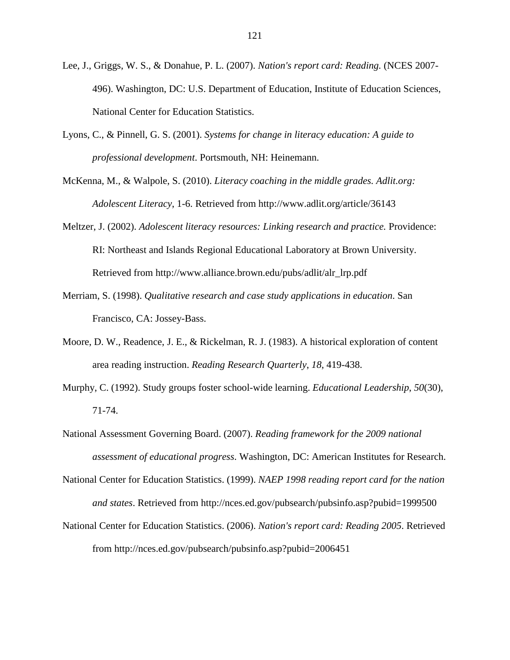- Lee, J., Griggs, W. S., & Donahue, P. L. (2007). *Nation's report card: Reading.* (NCES 2007- 496). Washington, DC: U.S. Department of Education, Institute of Education Sciences, National Center for Education Statistics.
- Lyons, C., & Pinnell, G. S. (2001). *Systems for change in literacy education: A guide to professional development*. Portsmouth, NH: Heinemann.
- McKenna, M., & Walpole, S. (2010). *Literacy coaching in the middle grades. Adlit.org: Adolescent Literacy*, 1-6. Retrieved from http://www.adlit.org/article/36143
- Meltzer, J. (2002). *Adolescent literacy resources: Linking research and practice.* Providence: RI: Northeast and Islands Regional Educational Laboratory at Brown University. Retrieved from http://www.alliance.brown.edu/pubs/adlit/alr\_lrp.pdf
- Merriam, S. (1998). *Qualitative research and case study applications in education*. San Francisco, CA: Jossey-Bass.
- Moore, D. W., Readence, J. E., & Rickelman, R. J. (1983). A historical exploration of content area reading instruction. *Reading Research Quarterly*, *18*, 419-438.
- Murphy, C. (1992). Study groups foster school-wide learning. *Educational Leadership*, *50*(30), 71-74.
- National Assessment Governing Board. (2007). *Reading framework for the 2009 national assessment of educational progress*. Washington, DC: American Institutes for Research.
- National Center for Education Statistics. (1999). *NAEP 1998 reading report card for the nation and states*. Retrieved from http://nces.ed.gov/pubsearch/pubsinfo.asp?pubid=1999500
- National Center for Education Statistics. (2006). *Nation's report card: Reading 2005*. Retrieved from http://nces.ed.gov/pubsearch/pubsinfo.asp?pubid=2006451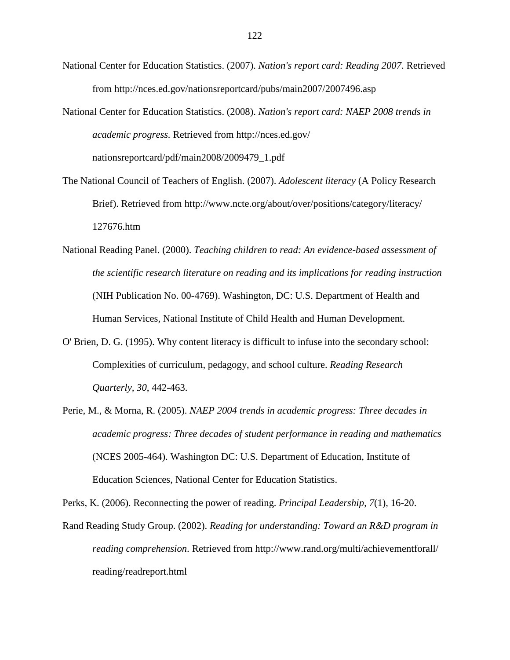- National Center for Education Statistics. (2007). *Nation's report card: Reading 2007*. Retrieved from http://nces.ed.gov/nationsreportcard/pubs/main2007/2007496.asp
- National Center for Education Statistics. (2008). *Nation's report card: NAEP 2008 trends in academic progress.* Retrieved from http://nces.ed.gov/ nationsreportcard/pdf/main2008/2009479\_1.pdf
- The National Council of Teachers of English. (2007). *Adolescent literacy* (A Policy Research Brief). Retrieved from http://www.ncte.org/about/over/positions/category/literacy/ 127676.htm
- National Reading Panel. (2000). *Teaching children to read: An evidence-based assessment of the scientific research literature on reading and its implications for reading instruction* (NIH Publication No. 00-4769). Washington, DC: U.S. Department of Health and Human Services, National Institute of Child Health and Human Development.
- O' Brien, D. G. (1995). Why content literacy is difficult to infuse into the secondary school: Complexities of curriculum, pedagogy, and school culture. *Reading Research Quarterly, 30*, 442-463.
- Perie, M., & Morna, R. (2005). *NAEP 2004 trends in academic progress: Three decades in academic progress: Three decades of student performance in reading and mathematics* (NCES 2005-464). Washington DC: U.S. Department of Education, Institute of Education Sciences, National Center for Education Statistics.

Perks, K. (2006). Reconnecting the power of reading. *Principal Leadership*, *7*(1), 16-20.

Rand Reading Study Group. (2002). *Reading for understanding: Toward an R&D program in reading comprehension*. Retrieved from http://www.rand.org/multi/achievementforall/ reading/readreport.html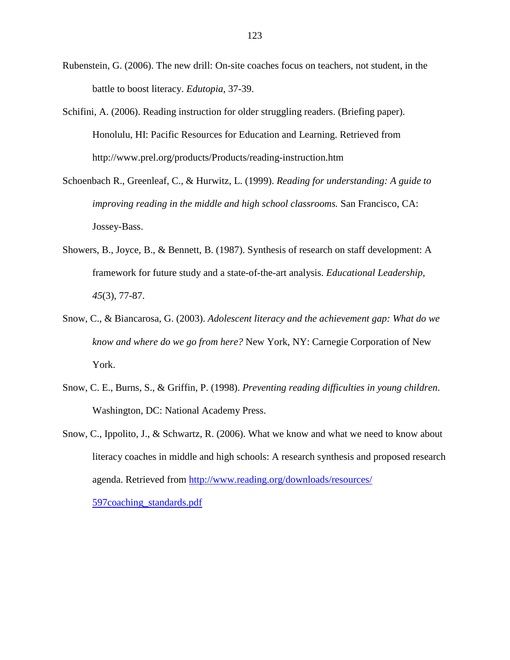- Rubenstein, G. (2006). The new drill: On-site coaches focus on teachers, not student, in the battle to boost literacy. *Edutopia*, 37-39.
- Schifini, A. (2006). Reading instruction for older struggling readers. (Briefing paper). Honolulu, HI: Pacific Resources for Education and Learning. Retrieved from http://www.prel.org/products/Products/reading-instruction.htm

Schoenbach R., Greenleaf, C., & Hurwitz, L. (1999). *Reading for understanding: A guide to improving reading in the middle and high school classrooms.* San Francisco, CA: Jossey-Bass.

- Showers, B., Joyce, B., & Bennett, B. (1987). Synthesis of research on staff development: A framework for future study and a state-of-the-art analysis. *Educational Leadership, 45*(3), 77-87.
- Snow, C., & Biancarosa, G. (2003). *Adolescent literacy and the achievement gap: What do we know and where do we go from here?* New York, NY: Carnegie Corporation of New York.
- Snow, C. E., Burns, S., & Griffin, P. (1998). *Preventing reading difficulties in young children*. Washington, DC: National Academy Press.
- Snow, C., Ippolito, J., & Schwartz, R. (2006). What we know and what we need to know about literacy coaches in middle and high schools: A research synthesis and proposed research agenda. Retrieved from http://www.reading.org/downloads/resources/ 597coaching\_standards.pdf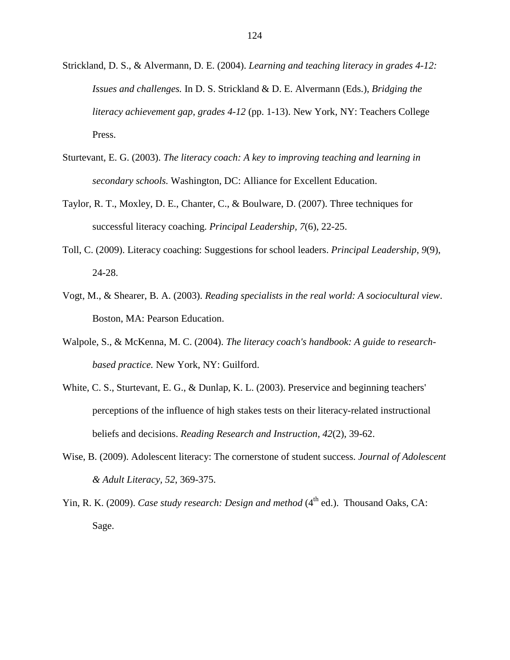- Strickland, D. S., & Alvermann, D. E. (2004). *Learning and teaching literacy in grades 4-12: Issues and challenges.* In D. S. Strickland & D. E. Alvermann (Eds.), *Bridging the literacy achievement gap, grades 4-12* (pp. 1-13). New York, NY: Teachers College Press.
- Sturtevant, E. G. (2003). *The literacy coach: A key to improving teaching and learning in secondary schools.* Washington, DC: Alliance for Excellent Education.
- Taylor, R. T., Moxley, D. E., Chanter, C., & Boulware, D. (2007). Three techniques for successful literacy coaching. *Principal Leadership, 7*(6), 22-25.
- Toll, C. (2009). Literacy coaching: Suggestions for school leaders. *Principal Leadership*, *9*(9), 24-28.
- Vogt, M., & Shearer, B. A. (2003). *Reading specialists in the real world: A sociocultural view*. Boston, MA: Pearson Education.
- Walpole, S., & McKenna, M. C. (2004). *The literacy coach's handbook: A guide to researchbased practice.* New York, NY: Guilford.
- White, C. S., Sturtevant, E. G., & Dunlap, K. L. (2003). Preservice and beginning teachers' perceptions of the influence of high stakes tests on their literacy-related instructional beliefs and decisions. *Reading Research and Instruction, 42*(2), 39-62.
- Wise, B. (2009). Adolescent literacy: The cornerstone of student success. *Journal of Adolescent & Adult Literacy, 52*, 369-375.
- Yin, R. K. (2009). *Case study research: Design and method* (4<sup>th</sup> ed.). Thousand Oaks, CA: Sage.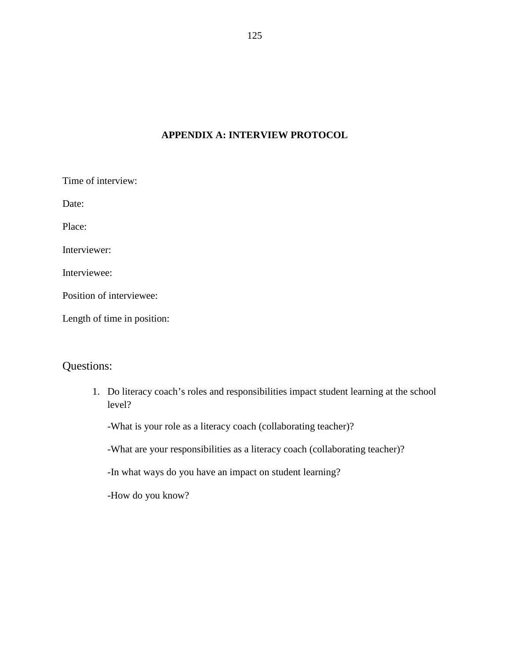## **APPENDIX A: INTERVIEW PROTOCOL**

| Time of interview:          |  |
|-----------------------------|--|
| Date:                       |  |
| Place:                      |  |
| Interviewer:                |  |
| Interviewee:                |  |
| Position of interviewee:    |  |
| Length of time in position: |  |

# Questions:

1. Do literacy coach's roles and responsibilities impact student learning at the school level?

-What is your role as a literacy coach (collaborating teacher)?

-What are your responsibilities as a literacy coach (collaborating teacher)?

-In what ways do you have an impact on student learning?

-How do you know?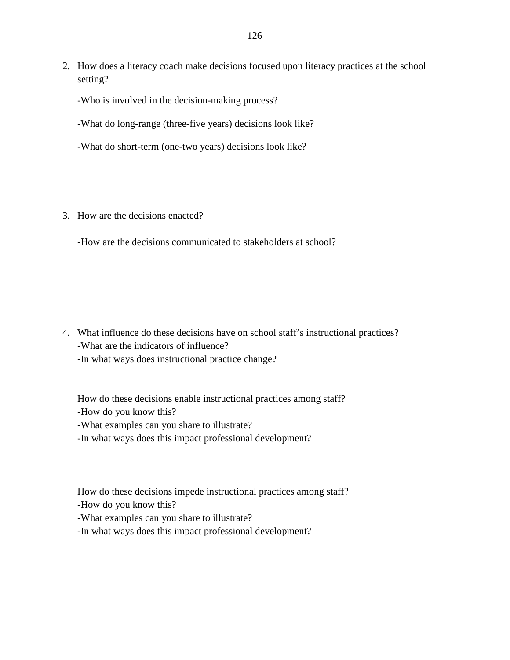2. How does a literacy coach make decisions focused upon literacy practices at the school setting?

-Who is involved in the decision-making process?

-What do long-range (three-five years) decisions look like?

-What do short-term (one-two years) decisions look like?

3. How are the decisions enacted?

-How are the decisions communicated to stakeholders at school?

4. What influence do these decisions have on school staff's instructional practices? -What are the indicators of influence? -In what ways does instructional practice change?

How do these decisions enable instructional practices among staff? -How do you know this? -What examples can you share to illustrate? -In what ways does this impact professional development?

How do these decisions impede instructional practices among staff? -How do you know this?

-What examples can you share to illustrate?

-In what ways does this impact professional development?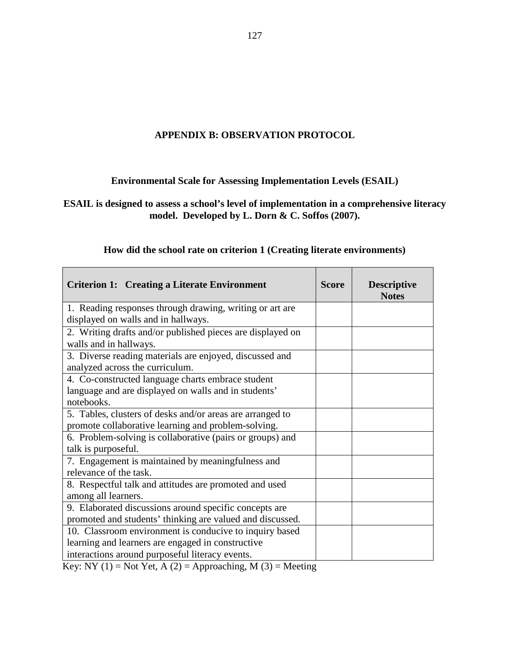## **APPENDIX B: OBSERVATION PROTOCOL**

## **Environmental Scale for Assessing Implementation Levels (ESAIL)**

## **ESAIL is designed to assess a school's level of implementation in a comprehensive literacy model. Developed by L. Dorn & C. Soffos (2007).**

| <b>Criterion 1: Creating a Literate Environment</b>              | <b>Score</b> | <b>Descriptive</b><br><b>Notes</b> |
|------------------------------------------------------------------|--------------|------------------------------------|
| 1. Reading responses through drawing, writing or art are         |              |                                    |
| displayed on walls and in hallways.                              |              |                                    |
| 2. Writing drafts and/or published pieces are displayed on       |              |                                    |
| walls and in hallways.                                           |              |                                    |
| 3. Diverse reading materials are enjoyed, discussed and          |              |                                    |
| analyzed across the curriculum.                                  |              |                                    |
| 4. Co-constructed language charts embrace student                |              |                                    |
| language and are displayed on walls and in students'             |              |                                    |
| notebooks.                                                       |              |                                    |
| 5. Tables, clusters of desks and/or areas are arranged to        |              |                                    |
| promote collaborative learning and problem-solving.              |              |                                    |
| 6. Problem-solving is collaborative (pairs or groups) and        |              |                                    |
| talk is purposeful.                                              |              |                                    |
| 7. Engagement is maintained by meaningfulness and                |              |                                    |
| relevance of the task.                                           |              |                                    |
| 8. Respectful talk and attitudes are promoted and used           |              |                                    |
| among all learners.                                              |              |                                    |
| 9. Elaborated discussions around specific concepts are           |              |                                    |
| promoted and students' thinking are valued and discussed.        |              |                                    |
| 10. Classroom environment is conducive to inquiry based          |              |                                    |
| learning and learners are engaged in constructive                |              |                                    |
| interactions around purposeful literacy events.<br>$\frac{1}{2}$ |              |                                    |

## **How did the school rate on criterion 1 (Creating literate environments)**

Key: NY (1) = Not Yet, A (2) = Approaching, M (3) = Meeting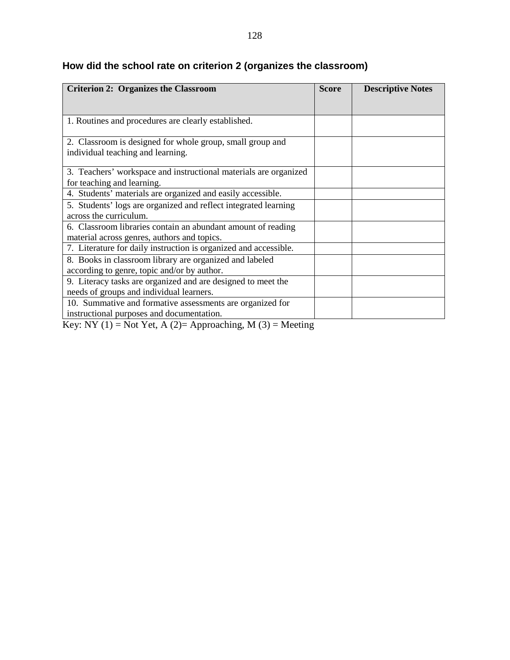| <b>Criterion 2: Organizes the Classroom</b>                                                                                                                     | <b>Score</b> | <b>Descriptive Notes</b> |
|-----------------------------------------------------------------------------------------------------------------------------------------------------------------|--------------|--------------------------|
|                                                                                                                                                                 |              |                          |
| 1. Routines and procedures are clearly established.                                                                                                             |              |                          |
| 2. Classroom is designed for whole group, small group and<br>individual teaching and learning.                                                                  |              |                          |
| 3. Teachers' workspace and instructional materials are organized<br>for teaching and learning.                                                                  |              |                          |
| 4. Students' materials are organized and easily accessible.                                                                                                     |              |                          |
| 5. Students' logs are organized and reflect integrated learning<br>across the curriculum.                                                                       |              |                          |
| 6. Classroom libraries contain an abundant amount of reading<br>material across genres, authors and topics.                                                     |              |                          |
| 7. Literature for daily instruction is organized and accessible.                                                                                                |              |                          |
| 8. Books in classroom library are organized and labeled<br>according to genre, topic and/or by author.                                                          |              |                          |
| 9. Literacy tasks are organized and are designed to meet the<br>needs of groups and individual learners.                                                        |              |                          |
| 10. Summative and formative assessments are organized for<br>instructional purposes and documentation.<br>$\mathbf{M}$<br>$\mathbf{M}$ $(0)$ $\mathbf{M}$ $(1)$ |              |                          |

# **How did the school rate on criterion 2 (organizes the classroom)**

Key: NY (1) = Not Yet, A (2)= Approaching, M (3) = Meeting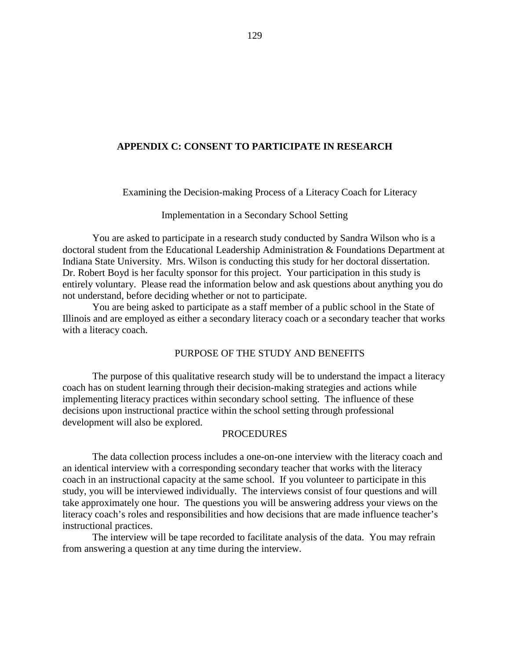## **APPENDIX C: CONSENT TO PARTICIPATE IN RESEARCH**

Examining the Decision-making Process of a Literacy Coach for Literacy

#### Implementation in a Secondary School Setting

You are asked to participate in a research study conducted by Sandra Wilson who is a doctoral student from the Educational Leadership Administration & Foundations Department at Indiana State University. Mrs. Wilson is conducting this study for her doctoral dissertation. Dr. Robert Boyd is her faculty sponsor for this project. Your participation in this study is entirely voluntary. Please read the information below and ask questions about anything you do not understand, before deciding whether or not to participate.

You are being asked to participate as a staff member of a public school in the State of Illinois and are employed as either a secondary literacy coach or a secondary teacher that works with a literacy coach.

## PURPOSE OF THE STUDY AND BENEFITS

The purpose of this qualitative research study will be to understand the impact a literacy coach has on student learning through their decision-making strategies and actions while implementing literacy practices within secondary school setting. The influence of these decisions upon instructional practice within the school setting through professional development will also be explored.

## **PROCEDURES**

The data collection process includes a one-on-one interview with the literacy coach and an identical interview with a corresponding secondary teacher that works with the literacy coach in an instructional capacity at the same school. If you volunteer to participate in this study, you will be interviewed individually. The interviews consist of four questions and will take approximately one hour. The questions you will be answering address your views on the literacy coach's roles and responsibilities and how decisions that are made influence teacher's instructional practices.

The interview will be tape recorded to facilitate analysis of the data. You may refrain from answering a question at any time during the interview.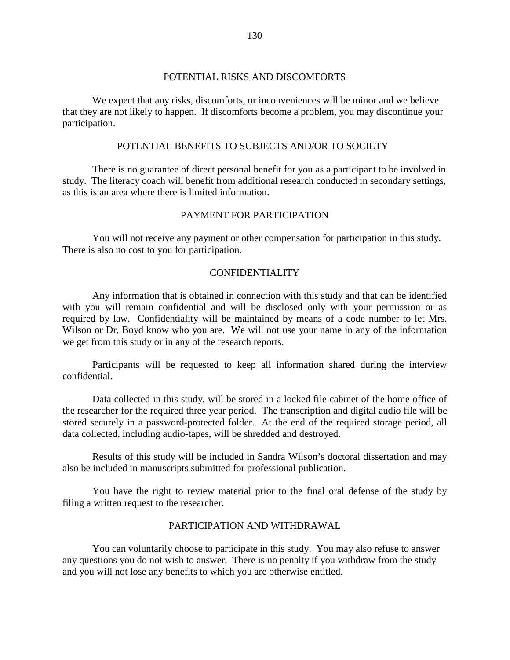## POTENTIAL RISKS AND DISCOMFORTS

We expect that any risks, discomforts, or inconveniences will be minor and we believe that they are not likely to happen. If discomforts become a problem, you may discontinue your participation.

#### POTENTIAL BENEFITS TO SUBJECTS AND/OR TO SOCIETY

There is no guarantee of direct personal benefit for you as a participant to be involved in study. The literacy coach will benefit from additional research conducted in secondary settings, as this is an area where there is limited information.

## PAYMENT FOR PARTICIPATION

You will not receive any payment or other compensation for participation in this study. There is also no cost to you for participation.

## CONFIDENTIALITY

Any information that is obtained in connection with this study and that can be identified with you will remain confidential and will be disclosed only with your permission or as required by law. Confidentiality will be maintained by means of a code number to let Mrs. Wilson or Dr. Boyd know who you are. We will not use your name in any of the information we get from this study or in any of the research reports.

Participants will be requested to keep all information shared during the interview confidential.

Data collected in this study, will be stored in a locked file cabinet of the home office of the researcher for the required three year period. The transcription and digital audio file will be stored securely in a password-protected folder. At the end of the required storage period, all data collected, including audio-tapes, will be shredded and destroyed.

Results of this study will be included in Sandra Wilson's doctoral dissertation and may also be included in manuscripts submitted for professional publication.

You have the right to review material prior to the final oral defense of the study by filing a written request to the researcher.

## PARTICIPATION AND WITHDRAWAL

You can voluntarily choose to participate in this study. You may also refuse to answer any questions you do not wish to answer. There is no penalty if you withdraw from the study and you will not lose any benefits to which you are otherwise entitled.